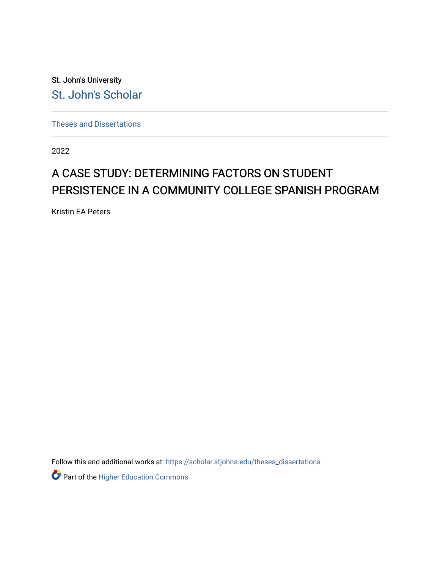St. John's University [St. John's Scholar](https://scholar.stjohns.edu/) 

[Theses and Dissertations](https://scholar.stjohns.edu/theses_dissertations)

2022

## A CASE STUDY: DETERMINING FACTORS ON STUDENT PERSISTENCE IN A COMMUNITY COLLEGE SPANISH PROGRAM

Kristin EA Peters

Follow this and additional works at: [https://scholar.stjohns.edu/theses\\_dissertations](https://scholar.stjohns.edu/theses_dissertations?utm_source=scholar.stjohns.edu%2Ftheses_dissertations%2F347&utm_medium=PDF&utm_campaign=PDFCoverPages)

Part of the [Higher Education Commons](http://network.bepress.com/hgg/discipline/1245?utm_source=scholar.stjohns.edu%2Ftheses_dissertations%2F347&utm_medium=PDF&utm_campaign=PDFCoverPages)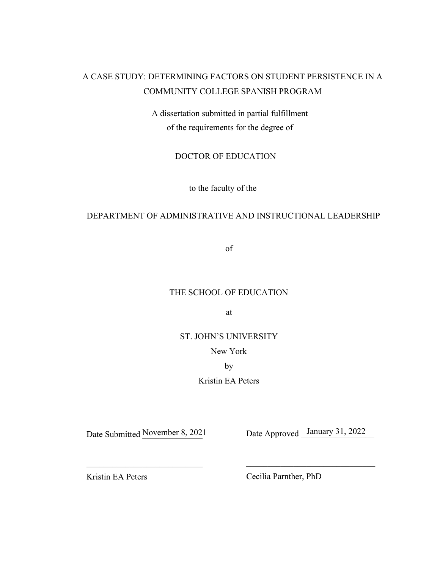## A CASE STUDY: DETERMINING FACTORS ON STUDENT PERSISTENCE IN A COMMUNITY COLLEGE SPANISH PROGRAM

A dissertation submitted in partial fulfillment of the requirements for the degree of

### DOCTOR OF EDUCATION

to the faculty of the

## DEPARTMENT OF ADMINISTRATIVE AND INSTRUCTIONAL LEADERSHIP

of

## THE SCHOOL OF EDUCATION

at

ST. JOHN'S UNIVERSITY

New York

by

Kristin EA Peters

Date Submitted November 8, 2021

November 8, 2021 Date Approved January 31, 2022

Kristin EA Peters

Cecilia Parnther, PhD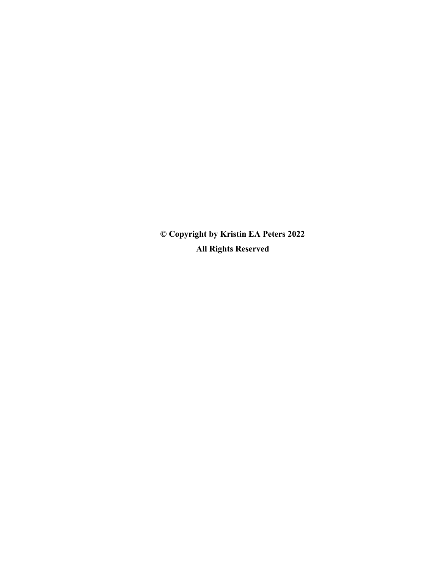© Copyright by Kristin EA Peters 2022 All Rights Reserved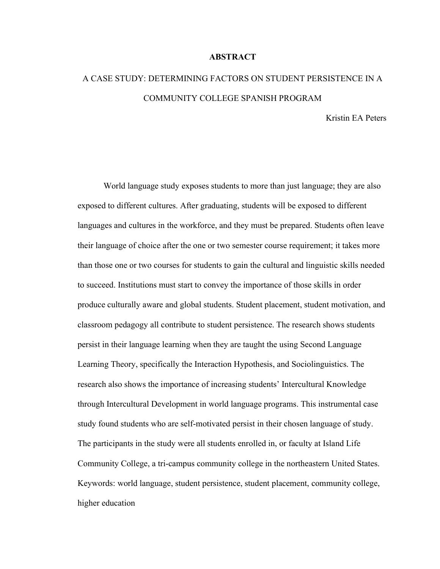#### **ABSTRACT**

# A CASE STUDY: DETERMINING FACTORS ON STUDENT PERSISTENCE IN A COMMUNITY COLLEGE SPANISH PROGRAM

Kristin EA Peters

 World language study exposes students to more than just language; they are also exposed to different cultures. After graduating, students will be exposed to different languages and cultures in the workforce, and they must be prepared. Students often leave their language of choice after the one or two semester course requirement; it takes more than those one or two courses for students to gain the cultural and linguistic skills needed to succeed. Institutions must start to convey the importance of those skills in order produce culturally aware and global students. Student placement, student motivation, and classroom pedagogy all contribute to student persistence. The research shows students persist in their language learning when they are taught the using Second Language Learning Theory, specifically the Interaction Hypothesis, and Sociolinguistics. The research also shows the importance of increasing students' Intercultural Knowledge through Intercultural Development in world language programs. This instrumental case study found students who are self-motivated persist in their chosen language of study. The participants in the study were all students enrolled in, or faculty at Island Life Community College, a tri-campus community college in the northeastern United States. Keywords: world language, student persistence, student placement, community college, higher education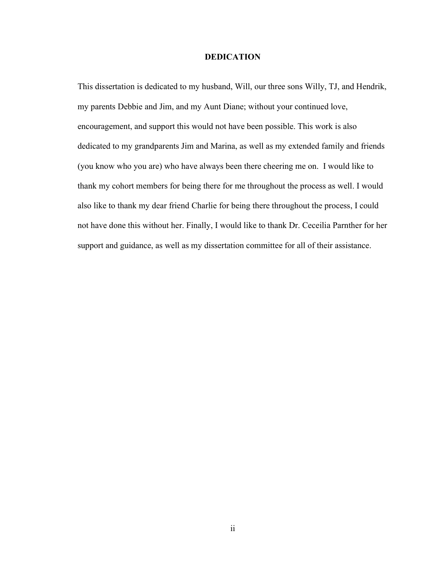#### DEDICATION

This dissertation is dedicated to my husband, Will, our three sons Willy, TJ, and Hendrik, my parents Debbie and Jim, and my Aunt Diane; without your continued love, encouragement, and support this would not have been possible. This work is also dedicated to my grandparents Jim and Marina, as well as my extended family and friends (you know who you are) who have always been there cheering me on. I would like to thank my cohort members for being there for me throughout the process as well. I would also like to thank my dear friend Charlie for being there throughout the process, I could not have done this without her. Finally, I would like to thank Dr. Ceceilia Parnther for her support and guidance, as well as my dissertation committee for all of their assistance.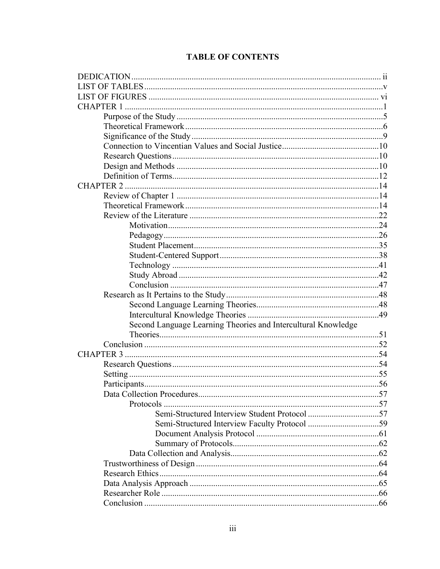## **TABLE OF CONTENTS**

| <b>CHAPTER 2</b>                                              |     |
|---------------------------------------------------------------|-----|
|                                                               |     |
|                                                               |     |
|                                                               |     |
|                                                               |     |
|                                                               |     |
|                                                               |     |
|                                                               |     |
|                                                               |     |
|                                                               |     |
|                                                               |     |
|                                                               |     |
|                                                               |     |
|                                                               |     |
| Second Language Learning Theories and Intercultural Knowledge |     |
|                                                               |     |
|                                                               |     |
|                                                               |     |
|                                                               |     |
|                                                               |     |
|                                                               |     |
| Data Collection Procedures                                    | .57 |
|                                                               |     |
|                                                               |     |
|                                                               |     |
|                                                               |     |
|                                                               |     |
|                                                               |     |
|                                                               |     |
|                                                               |     |
|                                                               |     |
|                                                               |     |
|                                                               |     |
|                                                               |     |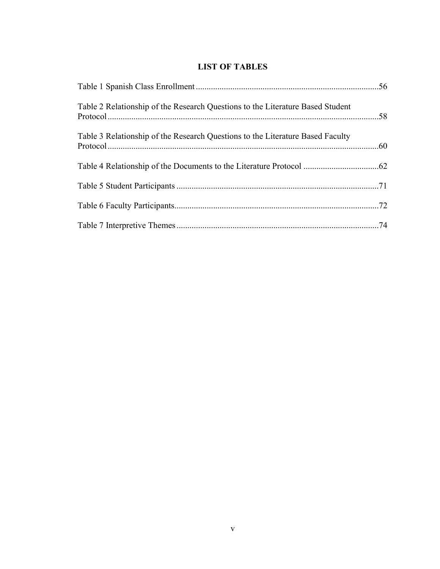## LIST OF TABLES

| Table 2 Relationship of the Research Questions to the Literature Based Student |  |
|--------------------------------------------------------------------------------|--|
| Table 3 Relationship of the Research Questions to the Literature Based Faculty |  |
|                                                                                |  |
|                                                                                |  |
|                                                                                |  |
|                                                                                |  |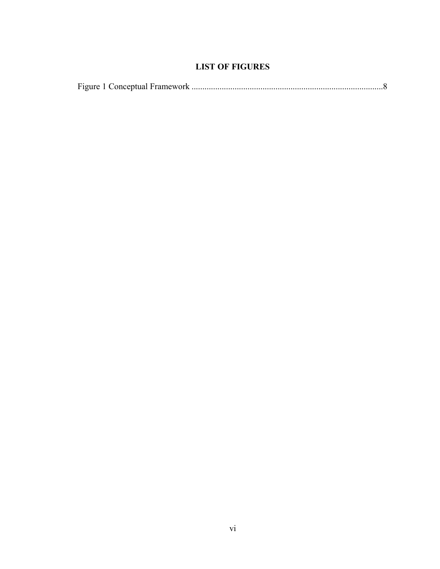## LIST OF FIGURES

|--|--|--|--|--|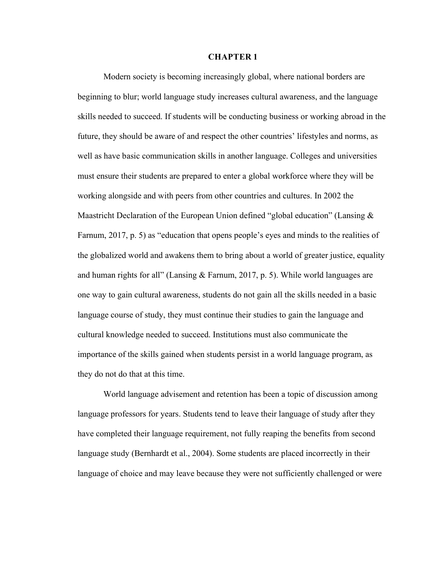#### CHAPTER 1

 Modern society is becoming increasingly global, where national borders are beginning to blur; world language study increases cultural awareness, and the language skills needed to succeed. If students will be conducting business or working abroad in the future, they should be aware of and respect the other countries' lifestyles and norms, as well as have basic communication skills in another language. Colleges and universities must ensure their students are prepared to enter a global workforce where they will be working alongside and with peers from other countries and cultures. In 2002 the Maastricht Declaration of the European Union defined "global education" (Lansing  $\&$ Farnum, 2017, p. 5) as "education that opens people's eyes and minds to the realities of the globalized world and awakens them to bring about a world of greater justice, equality and human rights for all" (Lansing & Farnum, 2017, p. 5). While world languages are one way to gain cultural awareness, students do not gain all the skills needed in a basic language course of study, they must continue their studies to gain the language and cultural knowledge needed to succeed. Institutions must also communicate the importance of the skills gained when students persist in a world language program, as they do not do that at this time.

World language advisement and retention has been a topic of discussion among language professors for years. Students tend to leave their language of study after they have completed their language requirement, not fully reaping the benefits from second language study (Bernhardt et al., 2004). Some students are placed incorrectly in their language of choice and may leave because they were not sufficiently challenged or were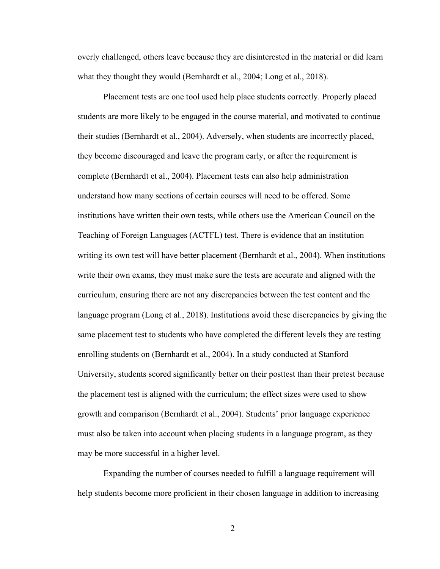overly challenged, others leave because they are disinterested in the material or did learn what they thought they would (Bernhardt et al., 2004; Long et al., 2018).

Placement tests are one tool used help place students correctly. Properly placed students are more likely to be engaged in the course material, and motivated to continue their studies (Bernhardt et al., 2004). Adversely, when students are incorrectly placed, they become discouraged and leave the program early, or after the requirement is complete (Bernhardt et al., 2004). Placement tests can also help administration understand how many sections of certain courses will need to be offered. Some institutions have written their own tests, while others use the American Council on the Teaching of Foreign Languages (ACTFL) test. There is evidence that an institution writing its own test will have better placement (Bernhardt et al., 2004). When institutions write their own exams, they must make sure the tests are accurate and aligned with the curriculum, ensuring there are not any discrepancies between the test content and the language program (Long et al., 2018). Institutions avoid these discrepancies by giving the same placement test to students who have completed the different levels they are testing enrolling students on (Bernhardt et al., 2004). In a study conducted at Stanford University, students scored significantly better on their posttest than their pretest because the placement test is aligned with the curriculum; the effect sizes were used to show growth and comparison (Bernhardt et al., 2004). Students' prior language experience must also be taken into account when placing students in a language program, as they may be more successful in a higher level.

Expanding the number of courses needed to fulfill a language requirement will help students become more proficient in their chosen language in addition to increasing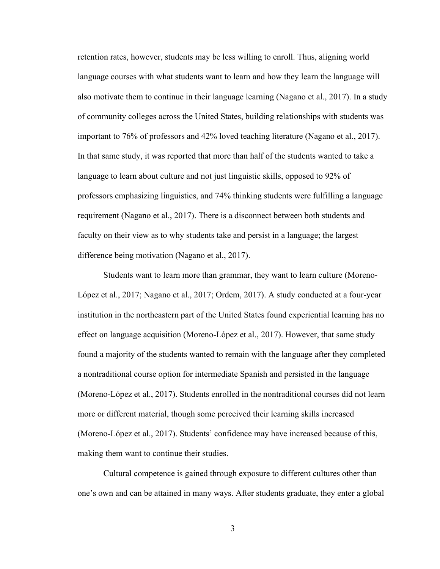retention rates, however, students may be less willing to enroll. Thus, aligning world language courses with what students want to learn and how they learn the language will also motivate them to continue in their language learning (Nagano et al., 2017). In a study of community colleges across the United States, building relationships with students was important to 76% of professors and 42% loved teaching literature (Nagano et al., 2017). In that same study, it was reported that more than half of the students wanted to take a language to learn about culture and not just linguistic skills, opposed to 92% of professors emphasizing linguistics, and 74% thinking students were fulfilling a language requirement (Nagano et al., 2017). There is a disconnect between both students and faculty on their view as to why students take and persist in a language; the largest difference being motivation (Nagano et al., 2017).

Students want to learn more than grammar, they want to learn culture (Moreno-López et al., 2017; Nagano et al., 2017; Ordem, 2017). A study conducted at a four-year institution in the northeastern part of the United States found experiential learning has no effect on language acquisition (Moreno-López et al., 2017). However, that same study found a majority of the students wanted to remain with the language after they completed a nontraditional course option for intermediate Spanish and persisted in the language (Moreno-López et al., 2017). Students enrolled in the nontraditional courses did not learn more or different material, though some perceived their learning skills increased (Moreno-López et al., 2017). Students' confidence may have increased because of this, making them want to continue their studies.

Cultural competence is gained through exposure to different cultures other than one's own and can be attained in many ways. After students graduate, they enter a global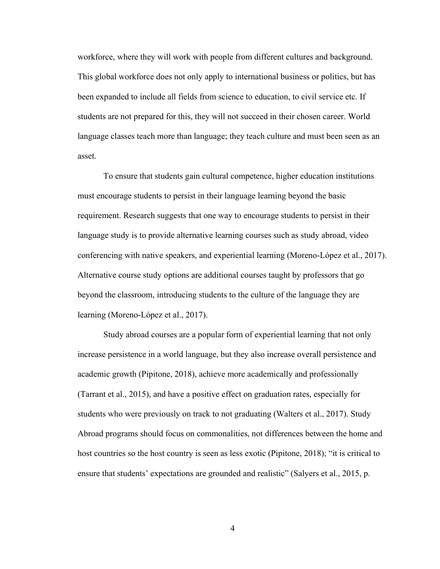workforce, where they will work with people from different cultures and background. This global workforce does not only apply to international business or politics, but has been expanded to include all fields from science to education, to civil service etc. If students are not prepared for this, they will not succeed in their chosen career. World language classes teach more than language; they teach culture and must been seen as an asset.

To ensure that students gain cultural competence, higher education institutions must encourage students to persist in their language learning beyond the basic requirement. Research suggests that one way to encourage students to persist in their language study is to provide alternative learning courses such as study abroad, video conferencing with native speakers, and experiential learning (Moreno-López et al., 2017). Alternative course study options are additional courses taught by professors that go beyond the classroom, introducing students to the culture of the language they are learning (Moreno-López et al., 2017).

Study abroad courses are a popular form of experiential learning that not only increase persistence in a world language, but they also increase overall persistence and academic growth (Pipitone, 2018), achieve more academically and professionally (Tarrant et al., 2015), and have a positive effect on graduation rates, especially for students who were previously on track to not graduating (Walters et al., 2017). Study Abroad programs should focus on commonalities, not differences between the home and host countries so the host country is seen as less exotic (Pipitone, 2018); "it is critical to ensure that students' expectations are grounded and realistic" (Salyers et al., 2015, p.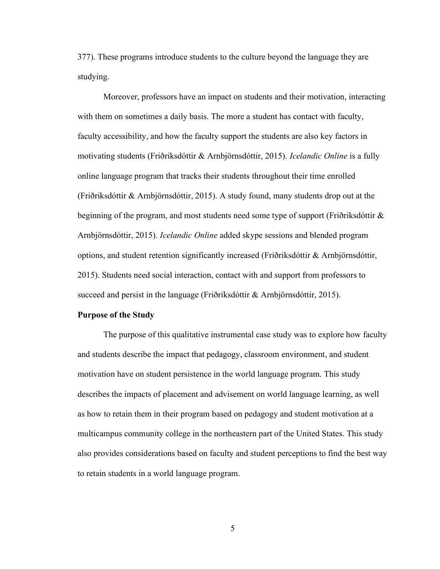377). These programs introduce students to the culture beyond the language they are studying.

Moreover, professors have an impact on students and their motivation, interacting with them on sometimes a daily basis. The more a student has contact with faculty, faculty accessibility, and how the faculty support the students are also key factors in motivating students (Friðriksdóttir & Arnbjörnsdóttir, 2015). Icelandic Online is a fully online language program that tracks their students throughout their time enrolled (Friðriksdóttir & Arnbjӧrnsdóttir, 2015). A study found, many students drop out at the beginning of the program, and most students need some type of support (Friðriksdóttir  $\&$ Arnbjörnsdóttir, 2015). *Icelandic Online* added skype sessions and blended program options, and student retention significantly increased (Friðriksdóttir & Arnbjörnsdóttir, 2015). Students need social interaction, contact with and support from professors to succeed and persist in the language (Friðriksdóttir & Arnbjörnsdóttir, 2015).

#### Purpose of the Study

The purpose of this qualitative instrumental case study was to explore how faculty and students describe the impact that pedagogy, classroom environment, and student motivation have on student persistence in the world language program. This study describes the impacts of placement and advisement on world language learning, as well as how to retain them in their program based on pedagogy and student motivation at a multicampus community college in the northeastern part of the United States. This study also provides considerations based on faculty and student perceptions to find the best way to retain students in a world language program.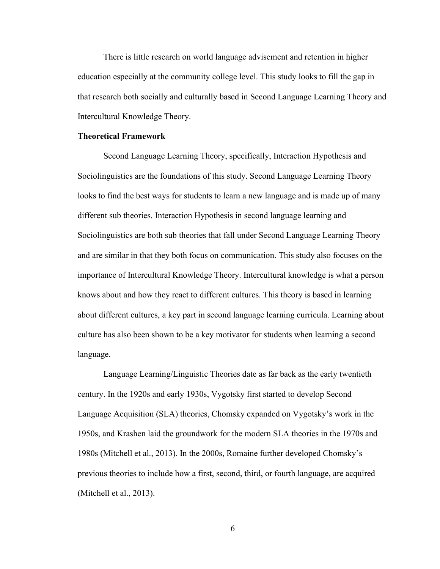There is little research on world language advisement and retention in higher education especially at the community college level. This study looks to fill the gap in that research both socially and culturally based in Second Language Learning Theory and Intercultural Knowledge Theory.

#### Theoretical Framework

 Second Language Learning Theory, specifically, Interaction Hypothesis and Sociolinguistics are the foundations of this study. Second Language Learning Theory looks to find the best ways for students to learn a new language and is made up of many different sub theories. Interaction Hypothesis in second language learning and Sociolinguistics are both sub theories that fall under Second Language Learning Theory and are similar in that they both focus on communication. This study also focuses on the importance of Intercultural Knowledge Theory. Intercultural knowledge is what a person knows about and how they react to different cultures. This theory is based in learning about different cultures, a key part in second language learning curricula. Learning about culture has also been shown to be a key motivator for students when learning a second language.

Language Learning/Linguistic Theories date as far back as the early twentieth century. In the 1920s and early 1930s, Vygotsky first started to develop Second Language Acquisition (SLA) theories, Chomsky expanded on Vygotsky's work in the 1950s, and Krashen laid the groundwork for the modern SLA theories in the 1970s and 1980s (Mitchell et al., 2013). In the 2000s, Romaine further developed Chomsky's previous theories to include how a first, second, third, or fourth language, are acquired (Mitchell et al., 2013).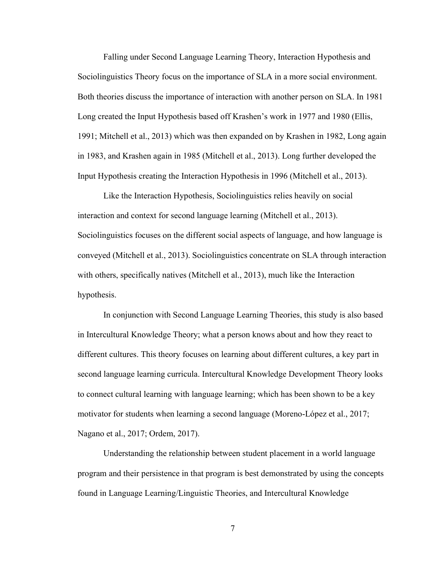Falling under Second Language Learning Theory, Interaction Hypothesis and Sociolinguistics Theory focus on the importance of SLA in a more social environment. Both theories discuss the importance of interaction with another person on SLA. In 1981 Long created the Input Hypothesis based off Krashen's work in 1977 and 1980 (Ellis, 1991; Mitchell et al., 2013) which was then expanded on by Krashen in 1982, Long again in 1983, and Krashen again in 1985 (Mitchell et al., 2013). Long further developed the Input Hypothesis creating the Interaction Hypothesis in 1996 (Mitchell et al., 2013).

Like the Interaction Hypothesis, Sociolinguistics relies heavily on social interaction and context for second language learning (Mitchell et al., 2013). Sociolinguistics focuses on the different social aspects of language, and how language is conveyed (Mitchell et al., 2013). Sociolinguistics concentrate on SLA through interaction with others, specifically natives (Mitchell et al., 2013), much like the Interaction hypothesis.

In conjunction with Second Language Learning Theories, this study is also based in Intercultural Knowledge Theory; what a person knows about and how they react to different cultures. This theory focuses on learning about different cultures, a key part in second language learning curricula. Intercultural Knowledge Development Theory looks to connect cultural learning with language learning; which has been shown to be a key motivator for students when learning a second language (Moreno-López et al., 2017; Nagano et al., 2017; Ordem, 2017).

Understanding the relationship between student placement in a world language program and their persistence in that program is best demonstrated by using the concepts found in Language Learning/Linguistic Theories, and Intercultural Knowledge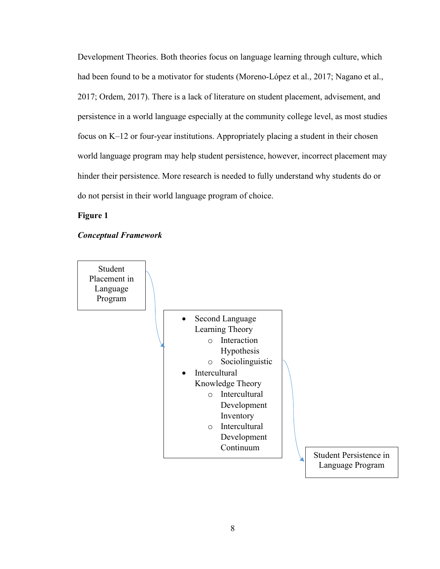Development Theories. Both theories focus on language learning through culture, which had been found to be a motivator for students (Moreno-López et al., 2017; Nagano et al., 2017; Ordem, 2017). There is a lack of literature on student placement, advisement, and persistence in a world language especially at the community college level, as most studies focus on K–12 or four-year institutions. Appropriately placing a student in their chosen world language program may help student persistence, however, incorrect placement may hinder their persistence. More research is needed to fully understand why students do or do not persist in their world language program of choice.

Figure 1

#### Conceptual Framework

Student Placement in Language Program



Student Persistence in Language Program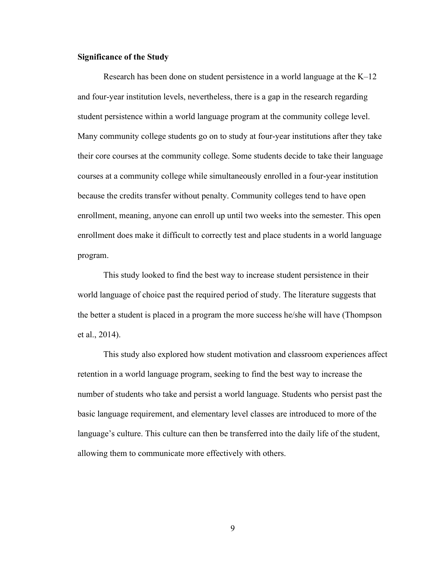#### Significance of the Study

 Research has been done on student persistence in a world language at the K–12 and four-year institution levels, nevertheless, there is a gap in the research regarding student persistence within a world language program at the community college level. Many community college students go on to study at four-year institutions after they take their core courses at the community college. Some students decide to take their language courses at a community college while simultaneously enrolled in a four-year institution because the credits transfer without penalty. Community colleges tend to have open enrollment, meaning, anyone can enroll up until two weeks into the semester. This open enrollment does make it difficult to correctly test and place students in a world language program.

This study looked to find the best way to increase student persistence in their world language of choice past the required period of study. The literature suggests that the better a student is placed in a program the more success he/she will have (Thompson et al., 2014).

This study also explored how student motivation and classroom experiences affect retention in a world language program, seeking to find the best way to increase the number of students who take and persist a world language. Students who persist past the basic language requirement, and elementary level classes are introduced to more of the language's culture. This culture can then be transferred into the daily life of the student, allowing them to communicate more effectively with others.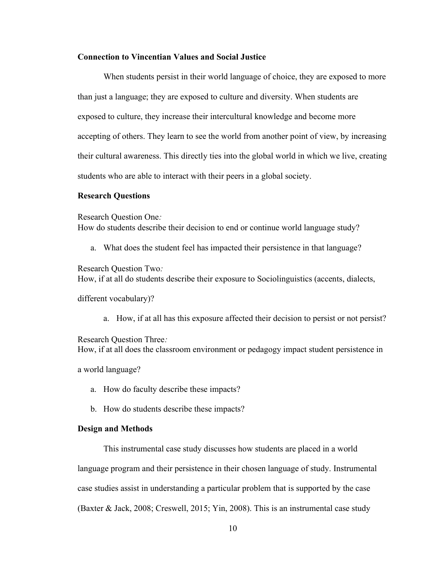#### Connection to Vincentian Values and Social Justice

 When students persist in their world language of choice, they are exposed to more than just a language; they are exposed to culture and diversity. When students are exposed to culture, they increase their intercultural knowledge and become more accepting of others. They learn to see the world from another point of view, by increasing their cultural awareness. This directly ties into the global world in which we live, creating students who are able to interact with their peers in a global society.

#### Research Questions

Research Question One:

How do students describe their decision to end or continue world language study?

a. What does the student feel has impacted their persistence in that language?

Research Question Two: How, if at all do students describe their exposure to Sociolinguistics (accents, dialects,

different vocabulary)?

a. How, if at all has this exposure affected their decision to persist or not persist?

Research Question Three:

How, if at all does the classroom environment or pedagogy impact student persistence in

a world language?

- a. How do faculty describe these impacts?
- b. How do students describe these impacts?

#### Design and Methods

 This instrumental case study discusses how students are placed in a world language program and their persistence in their chosen language of study. Instrumental case studies assist in understanding a particular problem that is supported by the case (Baxter & Jack, 2008; Creswell, 2015; Yin, 2008). This is an instrumental case study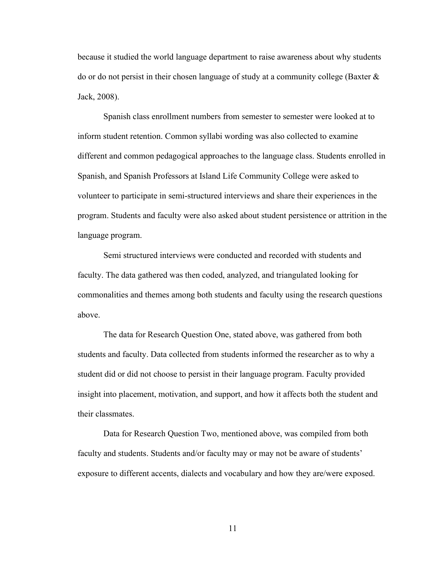because it studied the world language department to raise awareness about why students do or do not persist in their chosen language of study at a community college (Baxter  $\&$ Jack, 2008).

Spanish class enrollment numbers from semester to semester were looked at to inform student retention. Common syllabi wording was also collected to examine different and common pedagogical approaches to the language class. Students enrolled in Spanish, and Spanish Professors at Island Life Community College were asked to volunteer to participate in semi-structured interviews and share their experiences in the program. Students and faculty were also asked about student persistence or attrition in the language program.

 Semi structured interviews were conducted and recorded with students and faculty. The data gathered was then coded, analyzed, and triangulated looking for commonalities and themes among both students and faculty using the research questions above.

The data for Research Question One, stated above, was gathered from both students and faculty. Data collected from students informed the researcher as to why a student did or did not choose to persist in their language program. Faculty provided insight into placement, motivation, and support, and how it affects both the student and their classmates.

Data for Research Question Two, mentioned above, was compiled from both faculty and students. Students and/or faculty may or may not be aware of students' exposure to different accents, dialects and vocabulary and how they are/were exposed.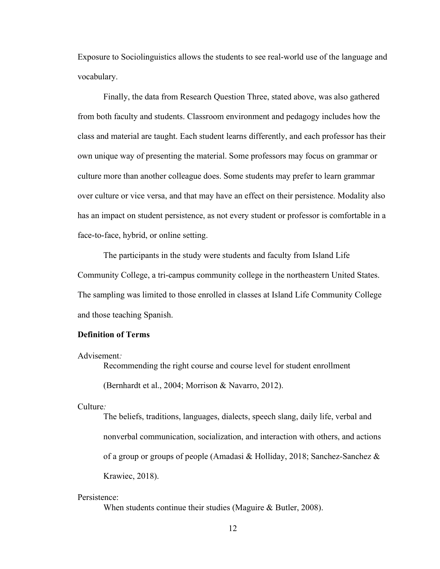Exposure to Sociolinguistics allows the students to see real-world use of the language and vocabulary.

Finally, the data from Research Question Three, stated above, was also gathered from both faculty and students. Classroom environment and pedagogy includes how the class and material are taught. Each student learns differently, and each professor has their own unique way of presenting the material. Some professors may focus on grammar or culture more than another colleague does. Some students may prefer to learn grammar over culture or vice versa, and that may have an effect on their persistence. Modality also has an impact on student persistence, as not every student or professor is comfortable in a face-to-face, hybrid, or online setting.

The participants in the study were students and faculty from Island Life Community College, a tri-campus community college in the northeastern United States. The sampling was limited to those enrolled in classes at Island Life Community College and those teaching Spanish.

#### Definition of Terms

Advisement:

Recommending the right course and course level for student enrollment

(Bernhardt et al., 2004; Morrison & Navarro, 2012).

Culture:

The beliefs, traditions, languages, dialects, speech slang, daily life, verbal and nonverbal communication, socialization, and interaction with others, and actions of a group or groups of people (Amadasi & Holliday, 2018; Sanchez-Sanchez & Krawiec, 2018).

#### Persistence:

When students continue their studies (Maguire & Butler, 2008).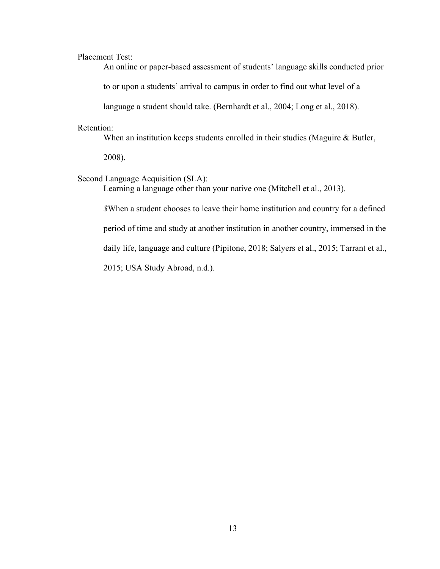Placement Test:

An online or paper-based assessment of students' language skills conducted prior

to or upon a students' arrival to campus in order to find out what level of a

language a student should take. (Bernhardt et al., 2004; Long et al., 2018).

#### Retention:

When an institution keeps students enrolled in their studies (Maguire & Butler,

2008).

#### Second Language Acquisition (SLA):

Learning a language other than your native one (Mitchell et al., 2013).

\$When a student chooses to leave their home institution and country for a defined period of time and study at another institution in another country, immersed in the daily life, language and culture (Pipitone, 2018; Salyers et al., 2015; Tarrant et al., 2015; USA Study Abroad, n.d.).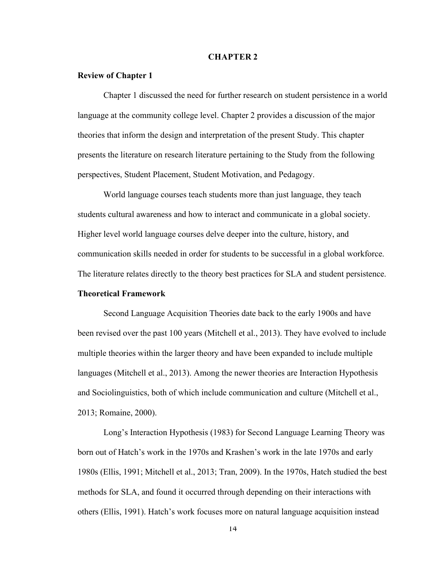#### CHAPTER 2

#### Review of Chapter 1

 Chapter 1 discussed the need for further research on student persistence in a world language at the community college level. Chapter 2 provides a discussion of the major theories that inform the design and interpretation of the present Study. This chapter presents the literature on research literature pertaining to the Study from the following perspectives, Student Placement, Student Motivation, and Pedagogy.

World language courses teach students more than just language, they teach students cultural awareness and how to interact and communicate in a global society. Higher level world language courses delve deeper into the culture, history, and communication skills needed in order for students to be successful in a global workforce. The literature relates directly to the theory best practices for SLA and student persistence.

#### Theoretical Framework

 Second Language Acquisition Theories date back to the early 1900s and have been revised over the past 100 years (Mitchell et al., 2013). They have evolved to include multiple theories within the larger theory and have been expanded to include multiple languages (Mitchell et al., 2013). Among the newer theories are Interaction Hypothesis and Sociolinguistics, both of which include communication and culture (Mitchell et al., 2013; Romaine, 2000).

 Long's Interaction Hypothesis (1983) for Second Language Learning Theory was born out of Hatch's work in the 1970s and Krashen's work in the late 1970s and early 1980s (Ellis, 1991; Mitchell et al., 2013; Tran, 2009). In the 1970s, Hatch studied the best methods for SLA, and found it occurred through depending on their interactions with others (Ellis, 1991). Hatch's work focuses more on natural language acquisition instead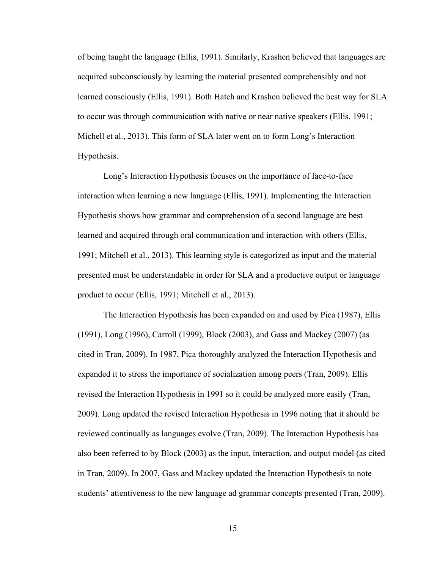of being taught the language (Ellis, 1991). Similarly, Krashen believed that languages are acquired subconsciously by learning the material presented comprehensibly and not learned consciously (Ellis, 1991). Both Hatch and Krashen believed the best way for SLA to occur was through communication with native or near native speakers (Ellis, 1991; Michell et al., 2013). This form of SLA later went on to form Long's Interaction Hypothesis.

Long's Interaction Hypothesis focuses on the importance of face-to-face interaction when learning a new language (Ellis, 1991). Implementing the Interaction Hypothesis shows how grammar and comprehension of a second language are best learned and acquired through oral communication and interaction with others (Ellis, 1991; Mitchell et al., 2013). This learning style is categorized as input and the material presented must be understandable in order for SLA and a productive output or language product to occur (Ellis, 1991; Mitchell et al., 2013).

The Interaction Hypothesis has been expanded on and used by Pica (1987), Ellis (1991), Long (1996), Carroll (1999), Block (2003), and Gass and Mackey (2007) (as cited in Tran, 2009). In 1987, Pica thoroughly analyzed the Interaction Hypothesis and expanded it to stress the importance of socialization among peers (Tran, 2009). Ellis revised the Interaction Hypothesis in 1991 so it could be analyzed more easily (Tran, 2009). Long updated the revised Interaction Hypothesis in 1996 noting that it should be reviewed continually as languages evolve (Tran, 2009). The Interaction Hypothesis has also been referred to by Block (2003) as the input, interaction, and output model (as cited in Tran, 2009). In 2007, Gass and Mackey updated the Interaction Hypothesis to note students' attentiveness to the new language ad grammar concepts presented (Tran, 2009).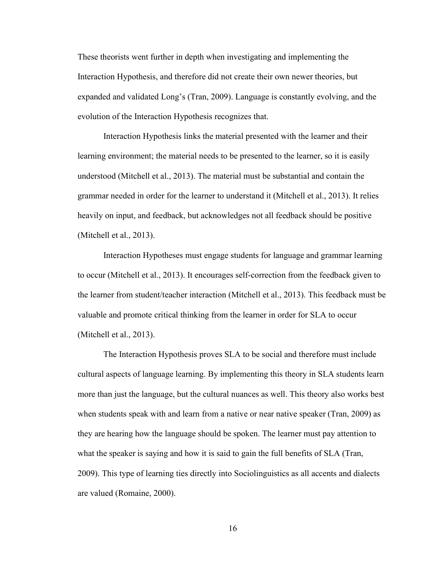These theorists went further in depth when investigating and implementing the Interaction Hypothesis, and therefore did not create their own newer theories, but expanded and validated Long's (Tran, 2009). Language is constantly evolving, and the evolution of the Interaction Hypothesis recognizes that.

Interaction Hypothesis links the material presented with the learner and their learning environment; the material needs to be presented to the learner, so it is easily understood (Mitchell et al., 2013). The material must be substantial and contain the grammar needed in order for the learner to understand it (Mitchell et al., 2013). It relies heavily on input, and feedback, but acknowledges not all feedback should be positive (Mitchell et al., 2013).

Interaction Hypotheses must engage students for language and grammar learning to occur (Mitchell et al., 2013). It encourages self-correction from the feedback given to the learner from student/teacher interaction (Mitchell et al., 2013). This feedback must be valuable and promote critical thinking from the learner in order for SLA to occur (Mitchell et al., 2013).

The Interaction Hypothesis proves SLA to be social and therefore must include cultural aspects of language learning. By implementing this theory in SLA students learn more than just the language, but the cultural nuances as well. This theory also works best when students speak with and learn from a native or near native speaker (Tran, 2009) as they are hearing how the language should be spoken. The learner must pay attention to what the speaker is saying and how it is said to gain the full benefits of SLA (Tran, 2009). This type of learning ties directly into Sociolinguistics as all accents and dialects are valued (Romaine, 2000).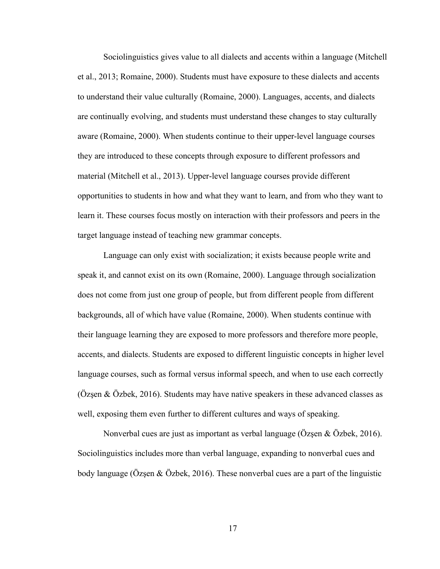Sociolinguistics gives value to all dialects and accents within a language (Mitchell et al., 2013; Romaine, 2000). Students must have exposure to these dialects and accents to understand their value culturally (Romaine, 2000). Languages, accents, and dialects are continually evolving, and students must understand these changes to stay culturally aware (Romaine, 2000). When students continue to their upper-level language courses they are introduced to these concepts through exposure to different professors and material (Mitchell et al., 2013). Upper-level language courses provide different opportunities to students in how and what they want to learn, and from who they want to learn it. These courses focus mostly on interaction with their professors and peers in the target language instead of teaching new grammar concepts.

Language can only exist with socialization; it exists because people write and speak it, and cannot exist on its own (Romaine, 2000). Language through socialization does not come from just one group of people, but from different people from different backgrounds, all of which have value (Romaine, 2000). When students continue with their language learning they are exposed to more professors and therefore more people, accents, and dialects. Students are exposed to different linguistic concepts in higher level language courses, such as formal versus informal speech, and when to use each correctly ( $\ddot{\text{O}}$ zsen &  $\ddot{\text{O}}$ zbek, 2016). Students may have native speakers in these advanced classes as well, exposing them even further to different cultures and ways of speaking.

Nonverbal cues are just as important as verbal language (Özşen & Özbek, 2016). Sociolinguistics includes more than verbal language, expanding to nonverbal cues and body language (Özşen & Özbek, 2016). These nonverbal cues are a part of the linguistic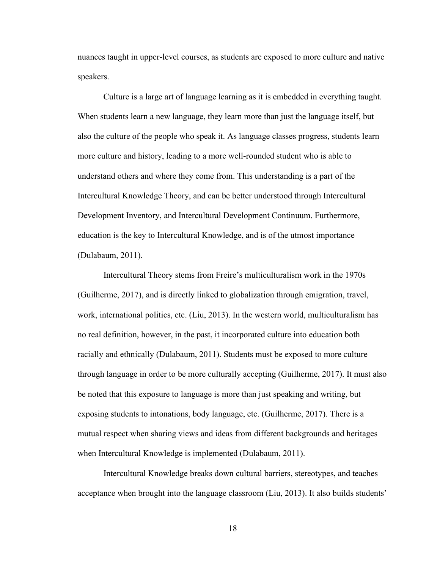nuances taught in upper-level courses, as students are exposed to more culture and native speakers.

Culture is a large art of language learning as it is embedded in everything taught. When students learn a new language, they learn more than just the language itself, but also the culture of the people who speak it. As language classes progress, students learn more culture and history, leading to a more well-rounded student who is able to understand others and where they come from. This understanding is a part of the Intercultural Knowledge Theory, and can be better understood through Intercultural Development Inventory, and Intercultural Development Continuum. Furthermore, education is the key to Intercultural Knowledge, and is of the utmost importance (Dulabaum, 2011).

 Intercultural Theory stems from Freire's multiculturalism work in the 1970s (Guilherme, 2017), and is directly linked to globalization through emigration, travel, work, international politics, etc. (Liu, 2013). In the western world, multiculturalism has no real definition, however, in the past, it incorporated culture into education both racially and ethnically (Dulabaum, 2011). Students must be exposed to more culture through language in order to be more culturally accepting (Guilherme, 2017). It must also be noted that this exposure to language is more than just speaking and writing, but exposing students to intonations, body language, etc. (Guilherme, 2017). There is a mutual respect when sharing views and ideas from different backgrounds and heritages when Intercultural Knowledge is implemented (Dulabaum, 2011).

 Intercultural Knowledge breaks down cultural barriers, stereotypes, and teaches acceptance when brought into the language classroom (Liu, 2013). It also builds students'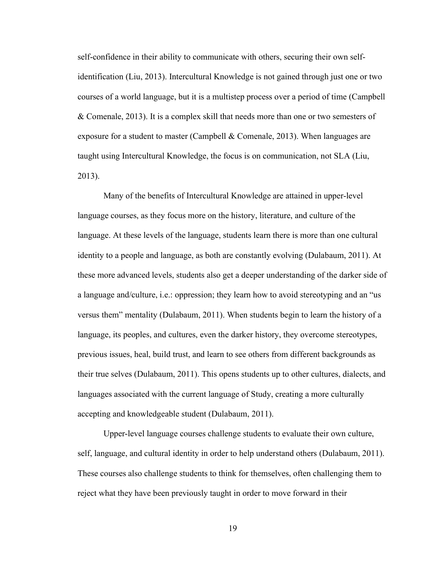self-confidence in their ability to communicate with others, securing their own selfidentification (Liu, 2013). Intercultural Knowledge is not gained through just one or two courses of a world language, but it is a multistep process over a period of time (Campbell & Comenale, 2013). It is a complex skill that needs more than one or two semesters of exposure for a student to master (Campbell & Comenale, 2013). When languages are taught using Intercultural Knowledge, the focus is on communication, not SLA (Liu, 2013).

 Many of the benefits of Intercultural Knowledge are attained in upper-level language courses, as they focus more on the history, literature, and culture of the language. At these levels of the language, students learn there is more than one cultural identity to a people and language, as both are constantly evolving (Dulabaum, 2011). At these more advanced levels, students also get a deeper understanding of the darker side of a language and/culture, i.e.: oppression; they learn how to avoid stereotyping and an "us versus them" mentality (Dulabaum, 2011). When students begin to learn the history of a language, its peoples, and cultures, even the darker history, they overcome stereotypes, previous issues, heal, build trust, and learn to see others from different backgrounds as their true selves (Dulabaum, 2011). This opens students up to other cultures, dialects, and languages associated with the current language of Study, creating a more culturally accepting and knowledgeable student (Dulabaum, 2011).

 Upper-level language courses challenge students to evaluate their own culture, self, language, and cultural identity in order to help understand others (Dulabaum, 2011). These courses also challenge students to think for themselves, often challenging them to reject what they have been previously taught in order to move forward in their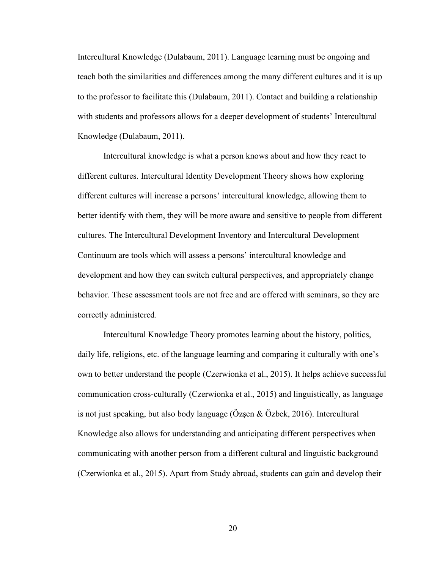Intercultural Knowledge (Dulabaum, 2011). Language learning must be ongoing and teach both the similarities and differences among the many different cultures and it is up to the professor to facilitate this (Dulabaum, 2011). Contact and building a relationship with students and professors allows for a deeper development of students' Intercultural Knowledge (Dulabaum, 2011).

Intercultural knowledge is what a person knows about and how they react to different cultures. Intercultural Identity Development Theory shows how exploring different cultures will increase a persons' intercultural knowledge, allowing them to better identify with them, they will be more aware and sensitive to people from different cultures. The Intercultural Development Inventory and Intercultural Development Continuum are tools which will assess a persons' intercultural knowledge and development and how they can switch cultural perspectives, and appropriately change behavior. These assessment tools are not free and are offered with seminars, so they are correctly administered.

Intercultural Knowledge Theory promotes learning about the history, politics, daily life, religions, etc. of the language learning and comparing it culturally with one's own to better understand the people (Czerwionka et al., 2015). It helps achieve successful communication cross-culturally (Czerwionka et al., 2015) and linguistically, as language is not just speaking, but also body language (Özşen & Özbek, 2016). Intercultural Knowledge also allows for understanding and anticipating different perspectives when communicating with another person from a different cultural and linguistic background (Czerwionka et al., 2015). Apart from Study abroad, students can gain and develop their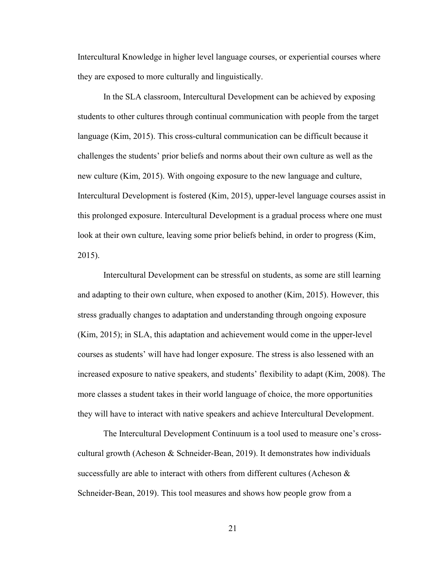Intercultural Knowledge in higher level language courses, or experiential courses where they are exposed to more culturally and linguistically.

In the SLA classroom, Intercultural Development can be achieved by exposing students to other cultures through continual communication with people from the target language (Kim, 2015). This cross-cultural communication can be difficult because it challenges the students' prior beliefs and norms about their own culture as well as the new culture (Kim, 2015). With ongoing exposure to the new language and culture, Intercultural Development is fostered (Kim, 2015), upper-level language courses assist in this prolonged exposure. Intercultural Development is a gradual process where one must look at their own culture, leaving some prior beliefs behind, in order to progress (Kim, 2015).

Intercultural Development can be stressful on students, as some are still learning and adapting to their own culture, when exposed to another (Kim, 2015). However, this stress gradually changes to adaptation and understanding through ongoing exposure (Kim, 2015); in SLA, this adaptation and achievement would come in the upper-level courses as students' will have had longer exposure. The stress is also lessened with an increased exposure to native speakers, and students' flexibility to adapt (Kim, 2008). The more classes a student takes in their world language of choice, the more opportunities they will have to interact with native speakers and achieve Intercultural Development.

The Intercultural Development Continuum is a tool used to measure one's crosscultural growth (Acheson & Schneider-Bean, 2019). It demonstrates how individuals successfully are able to interact with others from different cultures (Acheson  $\&$ Schneider-Bean, 2019). This tool measures and shows how people grow from a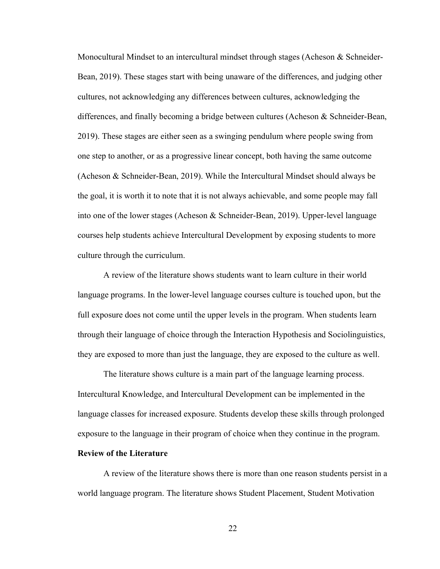Monocultural Mindset to an intercultural mindset through stages (Acheson & Schneider-Bean, 2019). These stages start with being unaware of the differences, and judging other cultures, not acknowledging any differences between cultures, acknowledging the differences, and finally becoming a bridge between cultures (Acheson & Schneider-Bean, 2019). These stages are either seen as a swinging pendulum where people swing from one step to another, or as a progressive linear concept, both having the same outcome (Acheson & Schneider-Bean, 2019). While the Intercultural Mindset should always be the goal, it is worth it to note that it is not always achievable, and some people may fall into one of the lower stages (Acheson & Schneider-Bean, 2019). Upper-level language courses help students achieve Intercultural Development by exposing students to more culture through the curriculum.

A review of the literature shows students want to learn culture in their world language programs. In the lower-level language courses culture is touched upon, but the full exposure does not come until the upper levels in the program. When students learn through their language of choice through the Interaction Hypothesis and Sociolinguistics, they are exposed to more than just the language, they are exposed to the culture as well.

The literature shows culture is a main part of the language learning process. Intercultural Knowledge, and Intercultural Development can be implemented in the language classes for increased exposure. Students develop these skills through prolonged exposure to the language in their program of choice when they continue in the program.

#### Review of the Literature

 A review of the literature shows there is more than one reason students persist in a world language program. The literature shows Student Placement, Student Motivation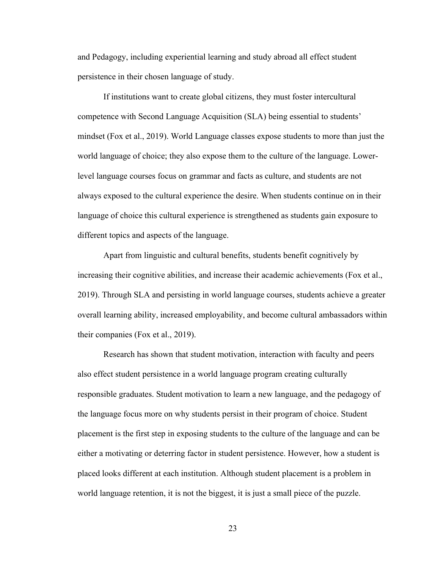and Pedagogy, including experiential learning and study abroad all effect student persistence in their chosen language of study.

If institutions want to create global citizens, they must foster intercultural competence with Second Language Acquisition (SLA) being essential to students' mindset (Fox et al., 2019). World Language classes expose students to more than just the world language of choice; they also expose them to the culture of the language. Lowerlevel language courses focus on grammar and facts as culture, and students are not always exposed to the cultural experience the desire. When students continue on in their language of choice this cultural experience is strengthened as students gain exposure to different topics and aspects of the language.

Apart from linguistic and cultural benefits, students benefit cognitively by increasing their cognitive abilities, and increase their academic achievements (Fox et al., 2019). Through SLA and persisting in world language courses, students achieve a greater overall learning ability, increased employability, and become cultural ambassadors within their companies (Fox et al., 2019).

Research has shown that student motivation, interaction with faculty and peers also effect student persistence in a world language program creating culturally responsible graduates. Student motivation to learn a new language, and the pedagogy of the language focus more on why students persist in their program of choice. Student placement is the first step in exposing students to the culture of the language and can be either a motivating or deterring factor in student persistence. However, how a student is placed looks different at each institution. Although student placement is a problem in world language retention, it is not the biggest, it is just a small piece of the puzzle.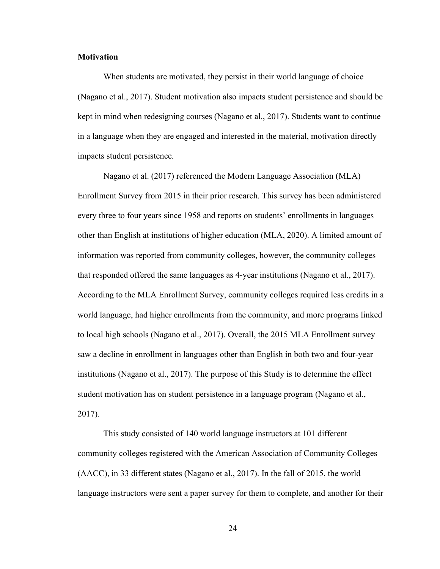#### **Motivation**

When students are motivated, they persist in their world language of choice (Nagano et al., 2017). Student motivation also impacts student persistence and should be kept in mind when redesigning courses (Nagano et al., 2017). Students want to continue in a language when they are engaged and interested in the material, motivation directly impacts student persistence.

Nagano et al. (2017) referenced the Modern Language Association (MLA) Enrollment Survey from 2015 in their prior research. This survey has been administered every three to four years since 1958 and reports on students' enrollments in languages other than English at institutions of higher education (MLA, 2020). A limited amount of information was reported from community colleges, however, the community colleges that responded offered the same languages as 4-year institutions (Nagano et al., 2017). According to the MLA Enrollment Survey, community colleges required less credits in a world language, had higher enrollments from the community, and more programs linked to local high schools (Nagano et al., 2017). Overall, the 2015 MLA Enrollment survey saw a decline in enrollment in languages other than English in both two and four-year institutions (Nagano et al., 2017). The purpose of this Study is to determine the effect student motivation has on student persistence in a language program (Nagano et al., 2017).

This study consisted of 140 world language instructors at 101 different community colleges registered with the American Association of Community Colleges (AACC), in 33 different states (Nagano et al., 2017). In the fall of 2015, the world language instructors were sent a paper survey for them to complete, and another for their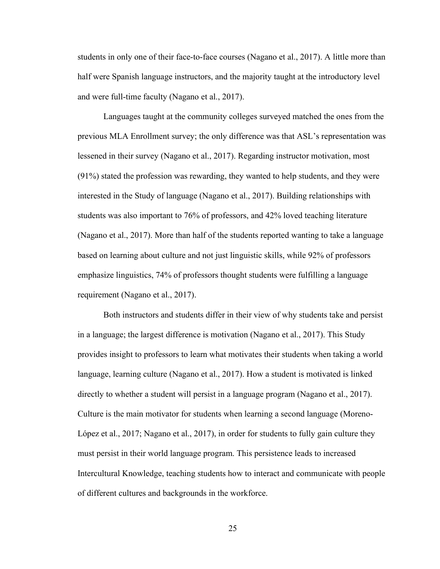students in only one of their face-to-face courses (Nagano et al., 2017). A little more than half were Spanish language instructors, and the majority taught at the introductory level and were full-time faculty (Nagano et al., 2017).

Languages taught at the community colleges surveyed matched the ones from the previous MLA Enrollment survey; the only difference was that ASL's representation was lessened in their survey (Nagano et al., 2017). Regarding instructor motivation, most (91%) stated the profession was rewarding, they wanted to help students, and they were interested in the Study of language (Nagano et al., 2017). Building relationships with students was also important to 76% of professors, and 42% loved teaching literature (Nagano et al., 2017). More than half of the students reported wanting to take a language based on learning about culture and not just linguistic skills, while 92% of professors emphasize linguistics, 74% of professors thought students were fulfilling a language requirement (Nagano et al., 2017).

Both instructors and students differ in their view of why students take and persist in a language; the largest difference is motivation (Nagano et al., 2017). This Study provides insight to professors to learn what motivates their students when taking a world language, learning culture (Nagano et al., 2017). How a student is motivated is linked directly to whether a student will persist in a language program (Nagano et al., 2017). Culture is the main motivator for students when learning a second language (Moreno-López et al., 2017; Nagano et al., 2017), in order for students to fully gain culture they must persist in their world language program. This persistence leads to increased Intercultural Knowledge, teaching students how to interact and communicate with people of different cultures and backgrounds in the workforce.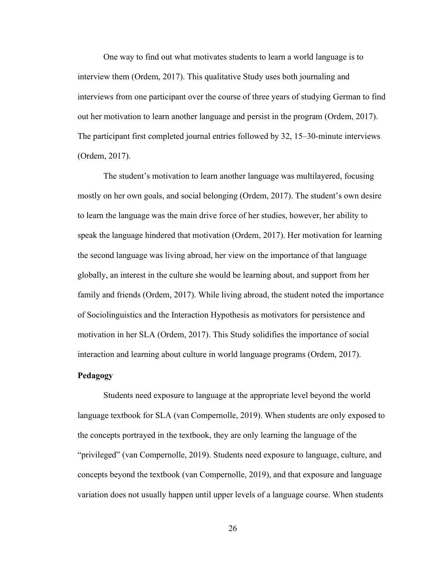One way to find out what motivates students to learn a world language is to interview them (Ordem, 2017). This qualitative Study uses both journaling and interviews from one participant over the course of three years of studying German to find out her motivation to learn another language and persist in the program (Ordem, 2017). The participant first completed journal entries followed by 32, 15–30-minute interviews (Ordem, 2017).

The student's motivation to learn another language was multilayered, focusing mostly on her own goals, and social belonging (Ordem, 2017). The student's own desire to learn the language was the main drive force of her studies, however, her ability to speak the language hindered that motivation (Ordem, 2017). Her motivation for learning the second language was living abroad, her view on the importance of that language globally, an interest in the culture she would be learning about, and support from her family and friends (Ordem, 2017). While living abroad, the student noted the importance of Sociolinguistics and the Interaction Hypothesis as motivators for persistence and motivation in her SLA (Ordem, 2017). This Study solidifies the importance of social interaction and learning about culture in world language programs (Ordem, 2017).

#### Pedagogy

Students need exposure to language at the appropriate level beyond the world language textbook for SLA (van Compernolle, 2019). When students are only exposed to the concepts portrayed in the textbook, they are only learning the language of the "privileged" (van Compernolle, 2019). Students need exposure to language, culture, and concepts beyond the textbook (van Compernolle, 2019), and that exposure and language variation does not usually happen until upper levels of a language course. When students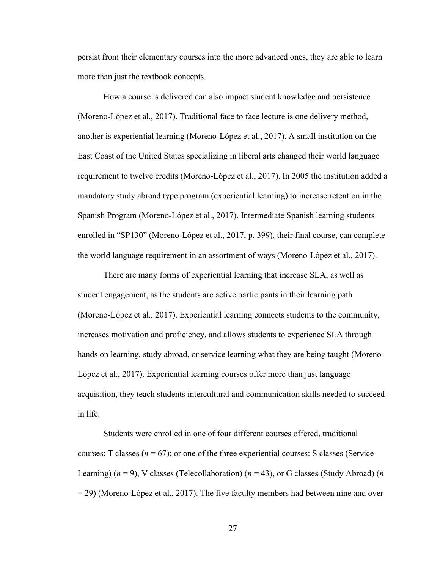persist from their elementary courses into the more advanced ones, they are able to learn more than just the textbook concepts.

How a course is delivered can also impact student knowledge and persistence (Moreno-López et al., 2017). Traditional face to face lecture is one delivery method, another is experiential learning (Moreno-López et al., 2017). A small institution on the East Coast of the United States specializing in liberal arts changed their world language requirement to twelve credits (Moreno-López et al., 2017). In 2005 the institution added a mandatory study abroad type program (experiential learning) to increase retention in the Spanish Program (Moreno-López et al., 2017). Intermediate Spanish learning students enrolled in "SP130" (Moreno-López et al., 2017, p. 399), their final course, can complete the world language requirement in an assortment of ways (Moreno-López et al., 2017).

There are many forms of experiential learning that increase SLA, as well as student engagement, as the students are active participants in their learning path (Moreno-López et al., 2017). Experiential learning connects students to the community, increases motivation and proficiency, and allows students to experience SLA through hands on learning, study abroad, or service learning what they are being taught (Moreno-López et al., 2017). Experiential learning courses offer more than just language acquisition, they teach students intercultural and communication skills needed to succeed in life.

Students were enrolled in one of four different courses offered, traditional courses: T classes ( $n = 67$ ); or one of the three experiential courses: S classes (Service Learning) ( $n = 9$ ), V classes (Telecollaboration) ( $n = 43$ ), or G classes (Study Abroad) ( $n$ = 29) (Moreno-López et al., 2017). The five faculty members had between nine and over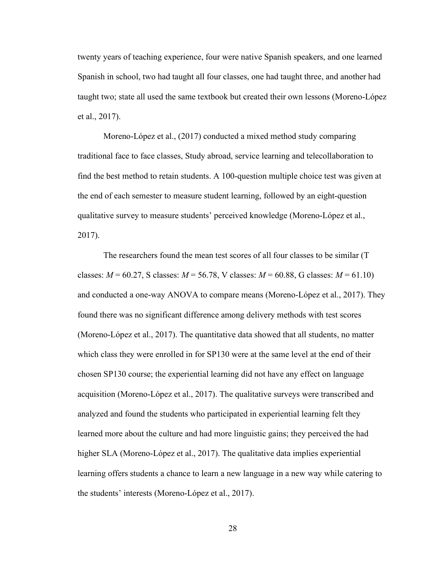twenty years of teaching experience, four were native Spanish speakers, and one learned Spanish in school, two had taught all four classes, one had taught three, and another had taught two; state all used the same textbook but created their own lessons (Moreno-López et al., 2017).

Moreno-López et al., (2017) conducted a mixed method study comparing traditional face to face classes, Study abroad, service learning and telecollaboration to find the best method to retain students. A 100-question multiple choice test was given at the end of each semester to measure student learning, followed by an eight-question qualitative survey to measure students' perceived knowledge (Moreno-López et al., 2017).

The researchers found the mean test scores of all four classes to be similar (T classes:  $M = 60.27$ , S classes:  $M = 56.78$ , V classes:  $M = 60.88$ , G classes:  $M = 61.10$ ) and conducted a one-way ANOVA to compare means (Moreno-López et al., 2017). They found there was no significant difference among delivery methods with test scores (Moreno-López et al., 2017). The quantitative data showed that all students, no matter which class they were enrolled in for SP130 were at the same level at the end of their chosen SP130 course; the experiential learning did not have any effect on language acquisition (Moreno-López et al., 2017). The qualitative surveys were transcribed and analyzed and found the students who participated in experiential learning felt they learned more about the culture and had more linguistic gains; they perceived the had higher SLA (Moreno-López et al., 2017). The qualitative data implies experiential learning offers students a chance to learn a new language in a new way while catering to the students' interests (Moreno-López et al., 2017).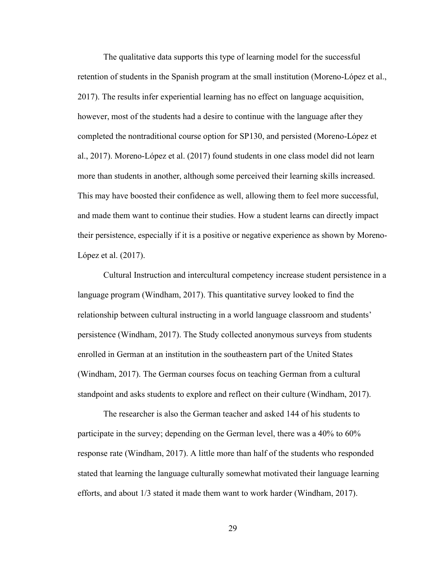The qualitative data supports this type of learning model for the successful retention of students in the Spanish program at the small institution (Moreno-López et al., 2017). The results infer experiential learning has no effect on language acquisition, however, most of the students had a desire to continue with the language after they completed the nontraditional course option for SP130, and persisted (Moreno-López et al., 2017). Moreno-López et al. (2017) found students in one class model did not learn more than students in another, although some perceived their learning skills increased. This may have boosted their confidence as well, allowing them to feel more successful, and made them want to continue their studies. How a student learns can directly impact their persistence, especially if it is a positive or negative experience as shown by Moreno-López et al. (2017).

Cultural Instruction and intercultural competency increase student persistence in a language program (Windham, 2017). This quantitative survey looked to find the relationship between cultural instructing in a world language classroom and students' persistence (Windham, 2017). The Study collected anonymous surveys from students enrolled in German at an institution in the southeastern part of the United States (Windham, 2017). The German courses focus on teaching German from a cultural standpoint and asks students to explore and reflect on their culture (Windham, 2017).

The researcher is also the German teacher and asked 144 of his students to participate in the survey; depending on the German level, there was a 40% to 60% response rate (Windham, 2017). A little more than half of the students who responded stated that learning the language culturally somewhat motivated their language learning efforts, and about 1/3 stated it made them want to work harder (Windham, 2017).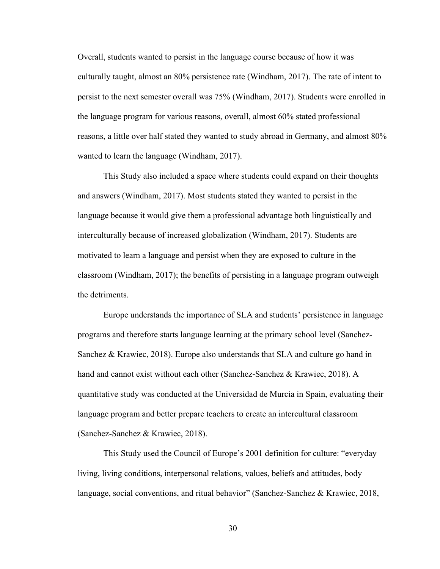Overall, students wanted to persist in the language course because of how it was culturally taught, almost an 80% persistence rate (Windham, 2017). The rate of intent to persist to the next semester overall was 75% (Windham, 2017). Students were enrolled in the language program for various reasons, overall, almost 60% stated professional reasons, a little over half stated they wanted to study abroad in Germany, and almost 80% wanted to learn the language (Windham, 2017).

This Study also included a space where students could expand on their thoughts and answers (Windham, 2017). Most students stated they wanted to persist in the language because it would give them a professional advantage both linguistically and interculturally because of increased globalization (Windham, 2017). Students are motivated to learn a language and persist when they are exposed to culture in the classroom (Windham, 2017); the benefits of persisting in a language program outweigh the detriments.

Europe understands the importance of SLA and students' persistence in language programs and therefore starts language learning at the primary school level (Sanchez-Sanchez & Krawiec, 2018). Europe also understands that SLA and culture go hand in hand and cannot exist without each other (Sanchez-Sanchez & Krawiec, 2018). A quantitative study was conducted at the Universidad de Murcia in Spain, evaluating their language program and better prepare teachers to create an intercultural classroom (Sanchez-Sanchez & Krawiec, 2018).

This Study used the Council of Europe's 2001 definition for culture: "everyday living, living conditions, interpersonal relations, values, beliefs and attitudes, body language, social conventions, and ritual behavior" (Sanchez-Sanchez & Krawiec, 2018,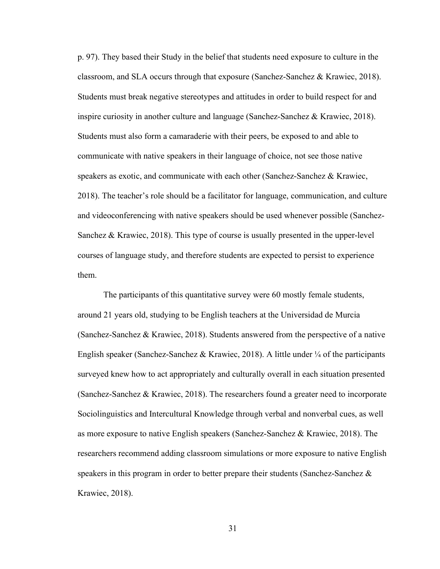p. 97). They based their Study in the belief that students need exposure to culture in the classroom, and SLA occurs through that exposure (Sanchez-Sanchez & Krawiec, 2018). Students must break negative stereotypes and attitudes in order to build respect for and inspire curiosity in another culture and language (Sanchez-Sanchez & Krawiec, 2018). Students must also form a camaraderie with their peers, be exposed to and able to communicate with native speakers in their language of choice, not see those native speakers as exotic, and communicate with each other (Sanchez-Sanchez & Krawiec, 2018). The teacher's role should be a facilitator for language, communication, and culture and videoconferencing with native speakers should be used whenever possible (Sanchez-Sanchez & Krawiec, 2018). This type of course is usually presented in the upper-level courses of language study, and therefore students are expected to persist to experience them.

The participants of this quantitative survey were 60 mostly female students, around 21 years old, studying to be English teachers at the Universidad de Murcia (Sanchez-Sanchez & Krawiec, 2018). Students answered from the perspective of a native English speaker (Sanchez-Sanchez & Krawiec, 2018). A little under  $\frac{1}{4}$  of the participants surveyed knew how to act appropriately and culturally overall in each situation presented (Sanchez-Sanchez & Krawiec, 2018). The researchers found a greater need to incorporate Sociolinguistics and Intercultural Knowledge through verbal and nonverbal cues, as well as more exposure to native English speakers (Sanchez-Sanchez & Krawiec, 2018). The researchers recommend adding classroom simulations or more exposure to native English speakers in this program in order to better prepare their students (Sanchez-Sanchez & Krawiec, 2018).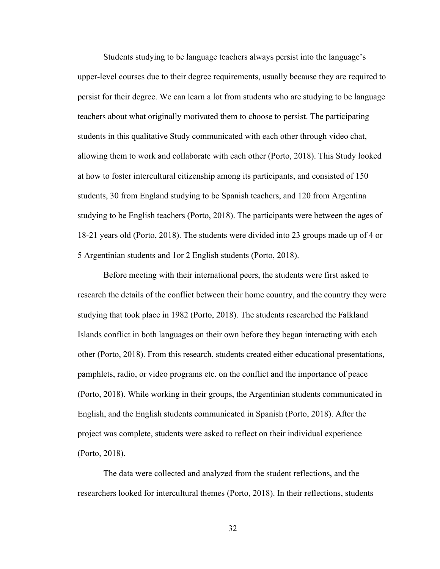Students studying to be language teachers always persist into the language's upper-level courses due to their degree requirements, usually because they are required to persist for their degree. We can learn a lot from students who are studying to be language teachers about what originally motivated them to choose to persist. The participating students in this qualitative Study communicated with each other through video chat, allowing them to work and collaborate with each other (Porto, 2018). This Study looked at how to foster intercultural citizenship among its participants, and consisted of 150 students, 30 from England studying to be Spanish teachers, and 120 from Argentina studying to be English teachers (Porto, 2018). The participants were between the ages of 18-21 years old (Porto, 2018). The students were divided into 23 groups made up of 4 or 5 Argentinian students and 1or 2 English students (Porto, 2018).

Before meeting with their international peers, the students were first asked to research the details of the conflict between their home country, and the country they were studying that took place in 1982 (Porto, 2018). The students researched the Falkland Islands conflict in both languages on their own before they began interacting with each other (Porto, 2018). From this research, students created either educational presentations, pamphlets, radio, or video programs etc. on the conflict and the importance of peace (Porto, 2018). While working in their groups, the Argentinian students communicated in English, and the English students communicated in Spanish (Porto, 2018). After the project was complete, students were asked to reflect on their individual experience (Porto, 2018).

The data were collected and analyzed from the student reflections, and the researchers looked for intercultural themes (Porto, 2018). In their reflections, students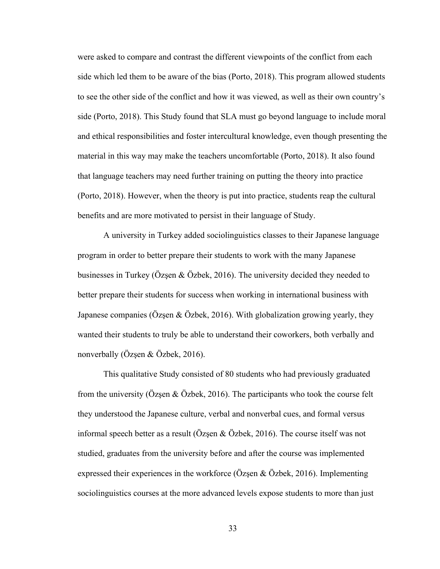were asked to compare and contrast the different viewpoints of the conflict from each side which led them to be aware of the bias (Porto, 2018). This program allowed students to see the other side of the conflict and how it was viewed, as well as their own country's side (Porto, 2018). This Study found that SLA must go beyond language to include moral and ethical responsibilities and foster intercultural knowledge, even though presenting the material in this way may make the teachers uncomfortable (Porto, 2018). It also found that language teachers may need further training on putting the theory into practice (Porto, 2018). However, when the theory is put into practice, students reap the cultural benefits and are more motivated to persist in their language of Study.

A university in Turkey added sociolinguistics classes to their Japanese language program in order to better prepare their students to work with the many Japanese businesses in Turkey (Özşen & Özbek, 2016). The university decided they needed to better prepare their students for success when working in international business with Japanese companies (Özşen & Özbek, 2016). With globalization growing yearly, they wanted their students to truly be able to understand their coworkers, both verbally and nonverbally (Özşen & Özbek, 2016).

This qualitative Study consisted of 80 students who had previously graduated from the university (Özşen & Özbek, 2016). The participants who took the course felt they understood the Japanese culture, verbal and nonverbal cues, and formal versus informal speech better as a result (Özşen & Özbek, 2016). The course itself was not studied, graduates from the university before and after the course was implemented expressed their experiences in the workforce (Özşen  $\&$  Özbek, 2016). Implementing sociolinguistics courses at the more advanced levels expose students to more than just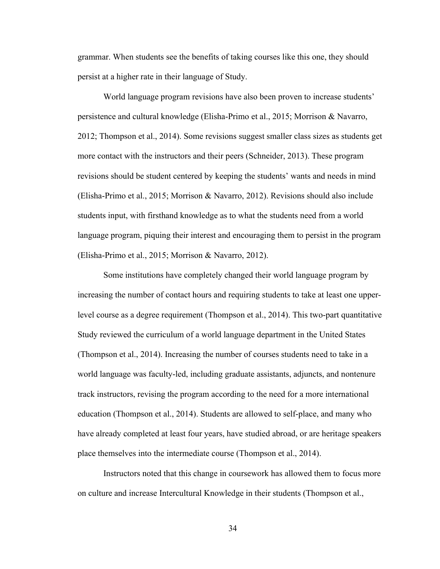grammar. When students see the benefits of taking courses like this one, they should persist at a higher rate in their language of Study.

World language program revisions have also been proven to increase students' persistence and cultural knowledge (Elisha-Primo et al., 2015; Morrison & Navarro, 2012; Thompson et al., 2014). Some revisions suggest smaller class sizes as students get more contact with the instructors and their peers (Schneider, 2013). These program revisions should be student centered by keeping the students' wants and needs in mind (Elisha-Primo et al., 2015; Morrison & Navarro, 2012). Revisions should also include students input, with firsthand knowledge as to what the students need from a world language program, piquing their interest and encouraging them to persist in the program (Elisha-Primo et al., 2015; Morrison & Navarro, 2012).

Some institutions have completely changed their world language program by increasing the number of contact hours and requiring students to take at least one upperlevel course as a degree requirement (Thompson et al., 2014). This two-part quantitative Study reviewed the curriculum of a world language department in the United States (Thompson et al., 2014). Increasing the number of courses students need to take in a world language was faculty-led, including graduate assistants, adjuncts, and nontenure track instructors, revising the program according to the need for a more international education (Thompson et al., 2014). Students are allowed to self-place, and many who have already completed at least four years, have studied abroad, or are heritage speakers place themselves into the intermediate course (Thompson et al., 2014).

Instructors noted that this change in coursework has allowed them to focus more on culture and increase Intercultural Knowledge in their students (Thompson et al.,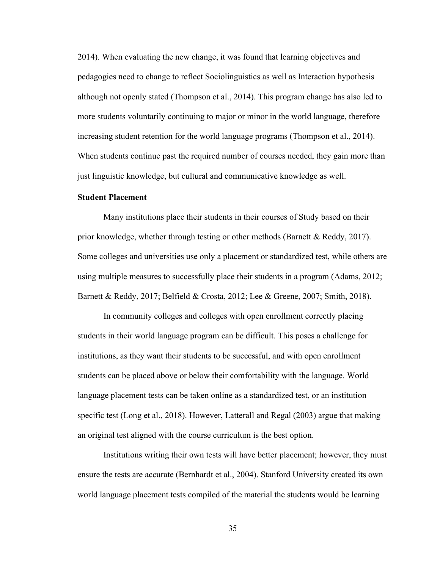2014). When evaluating the new change, it was found that learning objectives and pedagogies need to change to reflect Sociolinguistics as well as Interaction hypothesis although not openly stated (Thompson et al., 2014). This program change has also led to more students voluntarily continuing to major or minor in the world language, therefore increasing student retention for the world language programs (Thompson et al., 2014). When students continue past the required number of courses needed, they gain more than just linguistic knowledge, but cultural and communicative knowledge as well.

## Student Placement

Many institutions place their students in their courses of Study based on their prior knowledge, whether through testing or other methods (Barnett & Reddy, 2017). Some colleges and universities use only a placement or standardized test, while others are using multiple measures to successfully place their students in a program (Adams, 2012; Barnett & Reddy, 2017; Belfield & Crosta, 2012; Lee & Greene, 2007; Smith, 2018).

 In community colleges and colleges with open enrollment correctly placing students in their world language program can be difficult. This poses a challenge for institutions, as they want their students to be successful, and with open enrollment students can be placed above or below their comfortability with the language. World language placement tests can be taken online as a standardized test, or an institution specific test (Long et al., 2018). However, Latterall and Regal (2003) argue that making an original test aligned with the course curriculum is the best option.

Institutions writing their own tests will have better placement; however, they must ensure the tests are accurate (Bernhardt et al., 2004). Stanford University created its own world language placement tests compiled of the material the students would be learning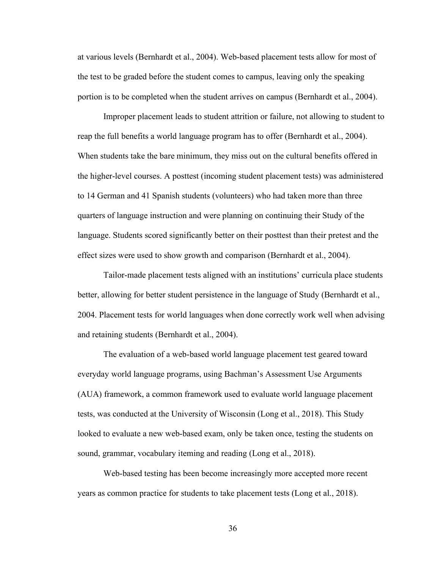at various levels (Bernhardt et al., 2004). Web-based placement tests allow for most of the test to be graded before the student comes to campus, leaving only the speaking portion is to be completed when the student arrives on campus (Bernhardt et al., 2004).

Improper placement leads to student attrition or failure, not allowing to student to reap the full benefits a world language program has to offer (Bernhardt et al., 2004). When students take the bare minimum, they miss out on the cultural benefits offered in the higher-level courses. A posttest (incoming student placement tests) was administered to 14 German and 41 Spanish students (volunteers) who had taken more than three quarters of language instruction and were planning on continuing their Study of the language. Students scored significantly better on their posttest than their pretest and the effect sizes were used to show growth and comparison (Bernhardt et al., 2004).

Tailor-made placement tests aligned with an institutions' curricula place students better, allowing for better student persistence in the language of Study (Bernhardt et al., 2004. Placement tests for world languages when done correctly work well when advising and retaining students (Bernhardt et al., 2004).

The evaluation of a web-based world language placement test geared toward everyday world language programs, using Bachman's Assessment Use Arguments (AUA) framework, a common framework used to evaluate world language placement tests, was conducted at the University of Wisconsin (Long et al., 2018). This Study looked to evaluate a new web-based exam, only be taken once, testing the students on sound, grammar, vocabulary iteming and reading (Long et al., 2018).

Web-based testing has been become increasingly more accepted more recent years as common practice for students to take placement tests (Long et al., 2018).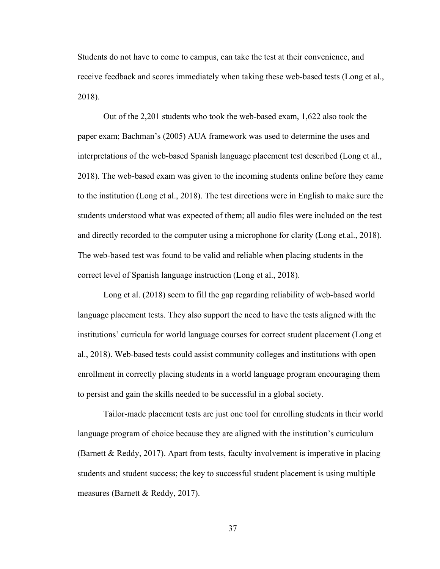Students do not have to come to campus, can take the test at their convenience, and receive feedback and scores immediately when taking these web-based tests (Long et al., 2018).

Out of the 2,201 students who took the web-based exam, 1,622 also took the paper exam; Bachman's (2005) AUA framework was used to determine the uses and interpretations of the web-based Spanish language placement test described (Long et al., 2018). The web-based exam was given to the incoming students online before they came to the institution (Long et al., 2018). The test directions were in English to make sure the students understood what was expected of them; all audio files were included on the test and directly recorded to the computer using a microphone for clarity (Long et.al., 2018). The web-based test was found to be valid and reliable when placing students in the correct level of Spanish language instruction (Long et al., 2018).

Long et al. (2018) seem to fill the gap regarding reliability of web-based world language placement tests. They also support the need to have the tests aligned with the institutions' curricula for world language courses for correct student placement (Long et al., 2018). Web-based tests could assist community colleges and institutions with open enrollment in correctly placing students in a world language program encouraging them to persist and gain the skills needed to be successful in a global society.

Tailor-made placement tests are just one tool for enrolling students in their world language program of choice because they are aligned with the institution's curriculum (Barnett & Reddy, 2017). Apart from tests, faculty involvement is imperative in placing students and student success; the key to successful student placement is using multiple measures (Barnett & Reddy, 2017).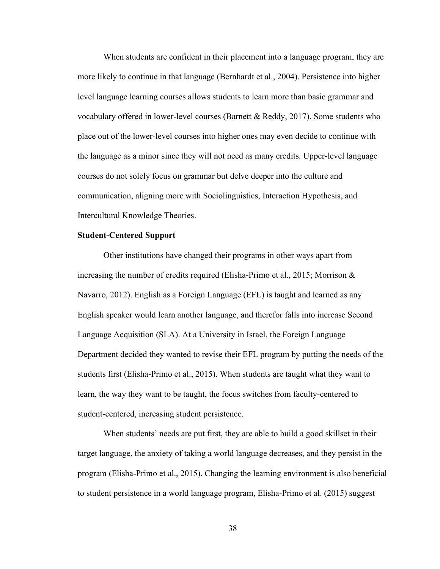When students are confident in their placement into a language program, they are more likely to continue in that language (Bernhardt et al., 2004). Persistence into higher level language learning courses allows students to learn more than basic grammar and vocabulary offered in lower-level courses (Barnett & Reddy, 2017). Some students who place out of the lower-level courses into higher ones may even decide to continue with the language as a minor since they will not need as many credits. Upper-level language courses do not solely focus on grammar but delve deeper into the culture and communication, aligning more with Sociolinguistics, Interaction Hypothesis, and Intercultural Knowledge Theories.

#### Student-Centered Support

Other institutions have changed their programs in other ways apart from increasing the number of credits required (Elisha-Primo et al., 2015; Morrison & Navarro, 2012). English as a Foreign Language (EFL) is taught and learned as any English speaker would learn another language, and therefor falls into increase Second Language Acquisition (SLA). At a University in Israel, the Foreign Language Department decided they wanted to revise their EFL program by putting the needs of the students first (Elisha-Primo et al., 2015). When students are taught what they want to learn, the way they want to be taught, the focus switches from faculty-centered to student-centered, increasing student persistence.

When students' needs are put first, they are able to build a good skillset in their target language, the anxiety of taking a world language decreases, and they persist in the program (Elisha-Primo et al., 2015). Changing the learning environment is also beneficial to student persistence in a world language program, Elisha-Primo et al. (2015) suggest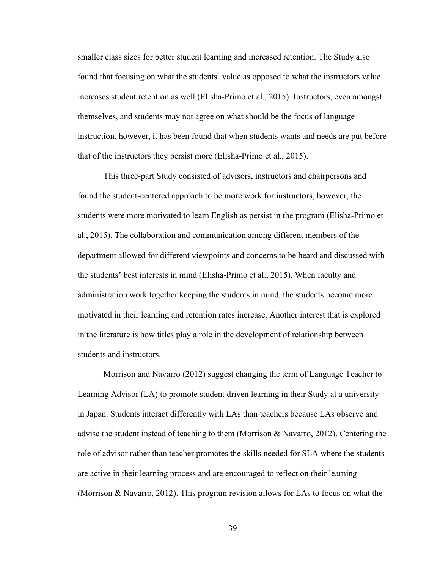smaller class sizes for better student learning and increased retention. The Study also found that focusing on what the students' value as opposed to what the instructors value increases student retention as well (Elisha-Primo et al., 2015). Instructors, even amongst themselves, and students may not agree on what should be the focus of language instruction, however, it has been found that when students wants and needs are put before that of the instructors they persist more (Elisha-Primo et al., 2015).

This three-part Study consisted of advisors, instructors and chairpersons and found the student-centered approach to be more work for instructors, however, the students were more motivated to learn English as persist in the program (Elisha-Primo et al., 2015). The collaboration and communication among different members of the department allowed for different viewpoints and concerns to be heard and discussed with the students' best interests in mind (Elisha-Primo et al., 2015). When faculty and administration work together keeping the students in mind, the students become more motivated in their learning and retention rates increase. Another interest that is explored in the literature is how titles play a role in the development of relationship between students and instructors.

Morrison and Navarro (2012) suggest changing the term of Language Teacher to Learning Advisor (LA) to promote student driven learning in their Study at a university in Japan. Students interact differently with LAs than teachers because LAs observe and advise the student instead of teaching to them (Morrison & Navarro, 2012). Centering the role of advisor rather than teacher promotes the skills needed for SLA where the students are active in their learning process and are encouraged to reflect on their learning (Morrison & Navarro, 2012). This program revision allows for LAs to focus on what the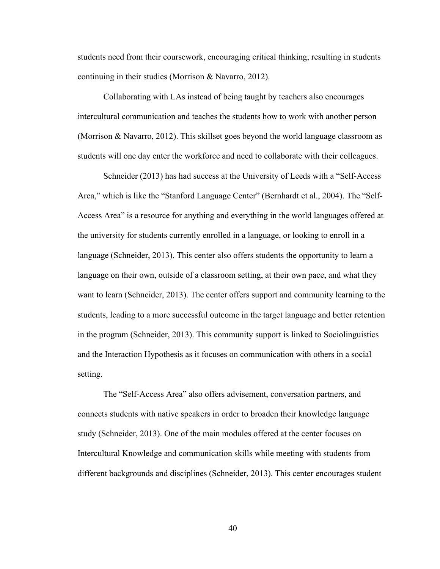students need from their coursework, encouraging critical thinking, resulting in students continuing in their studies (Morrison & Navarro, 2012).

Collaborating with LAs instead of being taught by teachers also encourages intercultural communication and teaches the students how to work with another person (Morrison & Navarro, 2012). This skillset goes beyond the world language classroom as students will one day enter the workforce and need to collaborate with their colleagues.

Schneider (2013) has had success at the University of Leeds with a "Self-Access Area," which is like the "Stanford Language Center" (Bernhardt et al., 2004). The "Self-Access Area" is a resource for anything and everything in the world languages offered at the university for students currently enrolled in a language, or looking to enroll in a language (Schneider, 2013). This center also offers students the opportunity to learn a language on their own, outside of a classroom setting, at their own pace, and what they want to learn (Schneider, 2013). The center offers support and community learning to the students, leading to a more successful outcome in the target language and better retention in the program (Schneider, 2013). This community support is linked to Sociolinguistics and the Interaction Hypothesis as it focuses on communication with others in a social setting.

The "Self-Access Area" also offers advisement, conversation partners, and connects students with native speakers in order to broaden their knowledge language study (Schneider, 2013). One of the main modules offered at the center focuses on Intercultural Knowledge and communication skills while meeting with students from different backgrounds and disciplines (Schneider, 2013). This center encourages student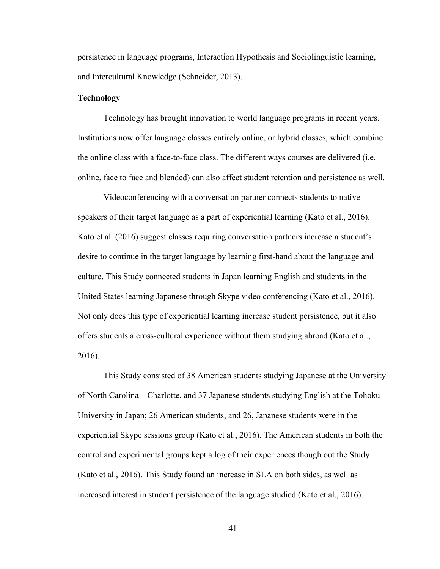persistence in language programs, Interaction Hypothesis and Sociolinguistic learning, and Intercultural Knowledge (Schneider, 2013).

#### **Technology**

Technology has brought innovation to world language programs in recent years. Institutions now offer language classes entirely online, or hybrid classes, which combine the online class with a face-to-face class. The different ways courses are delivered (i.e. online, face to face and blended) can also affect student retention and persistence as well.

Videoconferencing with a conversation partner connects students to native speakers of their target language as a part of experiential learning (Kato et al., 2016). Kato et al. (2016) suggest classes requiring conversation partners increase a student's desire to continue in the target language by learning first-hand about the language and culture. This Study connected students in Japan learning English and students in the United States learning Japanese through Skype video conferencing (Kato et al., 2016). Not only does this type of experiential learning increase student persistence, but it also offers students a cross-cultural experience without them studying abroad (Kato et al., 2016).

This Study consisted of 38 American students studying Japanese at the University of North Carolina – Charlotte, and 37 Japanese students studying English at the Tohoku University in Japan; 26 American students, and 26, Japanese students were in the experiential Skype sessions group (Kato et al., 2016). The American students in both the control and experimental groups kept a log of their experiences though out the Study (Kato et al., 2016). This Study found an increase in SLA on both sides, as well as increased interest in student persistence of the language studied (Kato et al., 2016).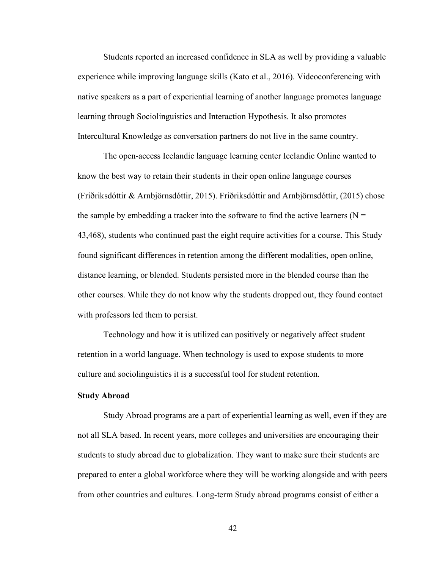Students reported an increased confidence in SLA as well by providing a valuable experience while improving language skills (Kato et al., 2016). Videoconferencing with native speakers as a part of experiential learning of another language promotes language learning through Sociolinguistics and Interaction Hypothesis. It also promotes Intercultural Knowledge as conversation partners do not live in the same country.

The open-access Icelandic language learning center Icelandic Online wanted to know the best way to retain their students in their open online language courses (Friðriksdóttir & Arnbjӧrnsdóttir, 2015). Friðriksdóttir and Arnbjӧrnsdóttir, (2015) chose the sample by embedding a tracker into the software to find the active learners ( $N =$ 43,468), students who continued past the eight require activities for a course. This Study found significant differences in retention among the different modalities, open online, distance learning, or blended. Students persisted more in the blended course than the other courses. While they do not know why the students dropped out, they found contact with professors led them to persist.

Technology and how it is utilized can positively or negatively affect student retention in a world language. When technology is used to expose students to more culture and sociolinguistics it is a successful tool for student retention.

## Study Abroad

Study Abroad programs are a part of experiential learning as well, even if they are not all SLA based. In recent years, more colleges and universities are encouraging their students to study abroad due to globalization. They want to make sure their students are prepared to enter a global workforce where they will be working alongside and with peers from other countries and cultures. Long-term Study abroad programs consist of either a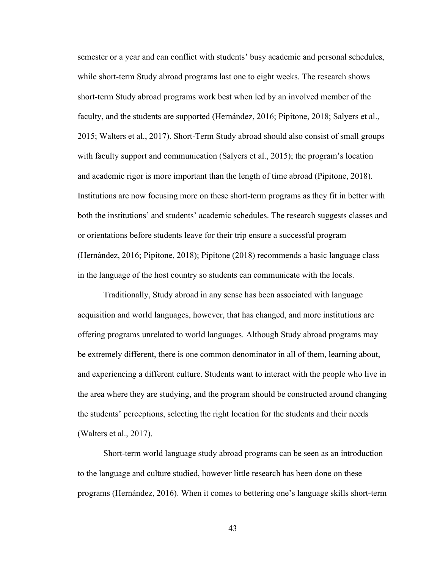semester or a year and can conflict with students' busy academic and personal schedules, while short-term Study abroad programs last one to eight weeks. The research shows short-term Study abroad programs work best when led by an involved member of the faculty, and the students are supported (Hernández, 2016; Pipitone, 2018; Salyers et al., 2015; Walters et al., 2017). Short-Term Study abroad should also consist of small groups with faculty support and communication (Salyers et al., 2015); the program's location and academic rigor is more important than the length of time abroad (Pipitone, 2018). Institutions are now focusing more on these short-term programs as they fit in better with both the institutions' and students' academic schedules. The research suggests classes and or orientations before students leave for their trip ensure a successful program (Hernández, 2016; Pipitone, 2018); Pipitone (2018) recommends a basic language class in the language of the host country so students can communicate with the locals.

Traditionally, Study abroad in any sense has been associated with language acquisition and world languages, however, that has changed, and more institutions are offering programs unrelated to world languages. Although Study abroad programs may be extremely different, there is one common denominator in all of them, learning about, and experiencing a different culture. Students want to interact with the people who live in the area where they are studying, and the program should be constructed around changing the students' perceptions, selecting the right location for the students and their needs (Walters et al., 2017).

Short-term world language study abroad programs can be seen as an introduction to the language and culture studied, however little research has been done on these programs (Hernández, 2016). When it comes to bettering one's language skills short-term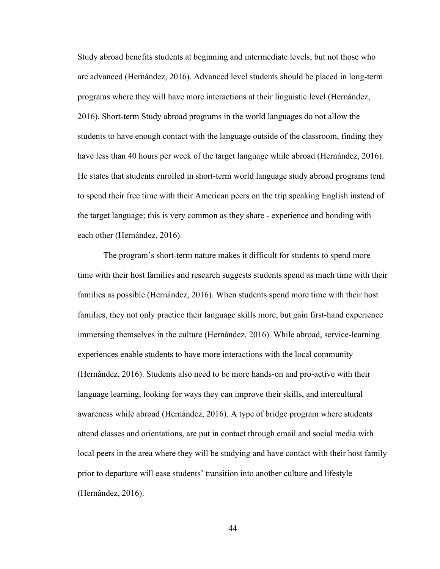Study abroad benefits students at beginning and intermediate levels, but not those who are advanced (Hernández, 2016). Advanced level students should be placed in long-term programs where they will have more interactions at their linguistic level (Hernández, 2016). Short-term Study abroad programs in the world languages do not allow the students to have enough contact with the language outside of the classroom, finding they have less than 40 hours per week of the target language while abroad (Hernández, 2016). He states that students enrolled in short-term world language study abroad programs tend to spend their free time with their American peers on the trip speaking English instead of the target language; this is very common as they share - experience and bonding with each other (Hernández, 2016).

The program's short-term nature makes it difficult for students to spend more time with their host families and research suggests students spend as much time with their families as possible (Hernández, 2016). When students spend more time with their host families, they not only practice their language skills more, but gain first-hand experience immersing themselves in the culture (Hernández, 2016). While abroad, service-learning experiences enable students to have more interactions with the local community (Hernández, 2016). Students also need to be more hands-on and pro-active with their language learning, looking for ways they can improve their skills, and intercultural awareness while abroad (Hernández, 2016). A type of bridge program where students attend classes and orientations, are put in contact through email and social media with local peers in the area where they will be studying and have contact with their host family prior to departure will ease students' transition into another culture and lifestyle (Hernández, 2016).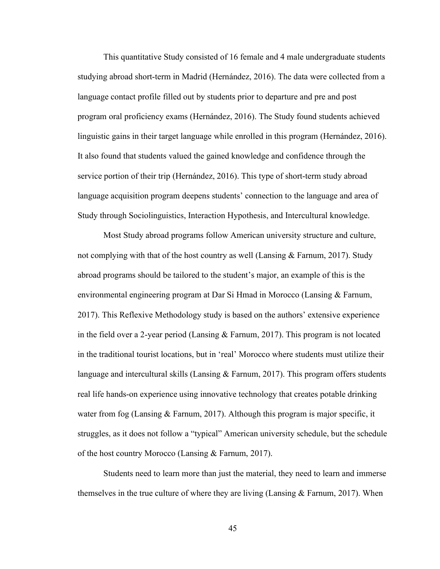This quantitative Study consisted of 16 female and 4 male undergraduate students studying abroad short-term in Madrid (Hernández, 2016). The data were collected from a language contact profile filled out by students prior to departure and pre and post program oral proficiency exams (Hernández, 2016). The Study found students achieved linguistic gains in their target language while enrolled in this program (Hernández, 2016). It also found that students valued the gained knowledge and confidence through the service portion of their trip (Hernández, 2016). This type of short-term study abroad language acquisition program deepens students' connection to the language and area of Study through Sociolinguistics, Interaction Hypothesis, and Intercultural knowledge.

Most Study abroad programs follow American university structure and culture, not complying with that of the host country as well (Lansing  $& Farnum, 2017$ ). Study abroad programs should be tailored to the student's major, an example of this is the environmental engineering program at Dar Si Hmad in Morocco (Lansing & Farnum, 2017). This Reflexive Methodology study is based on the authors' extensive experience in the field over a 2-year period (Lansing & Farnum, 2017). This program is not located in the traditional tourist locations, but in 'real' Morocco where students must utilize their language and intercultural skills (Lansing & Farnum, 2017). This program offers students real life hands-on experience using innovative technology that creates potable drinking water from fog (Lansing & Farnum, 2017). Although this program is major specific, it struggles, as it does not follow a "typical" American university schedule, but the schedule of the host country Morocco (Lansing & Farnum, 2017).

Students need to learn more than just the material, they need to learn and immerse themselves in the true culture of where they are living (Lansing  $\&$  Farnum, 2017). When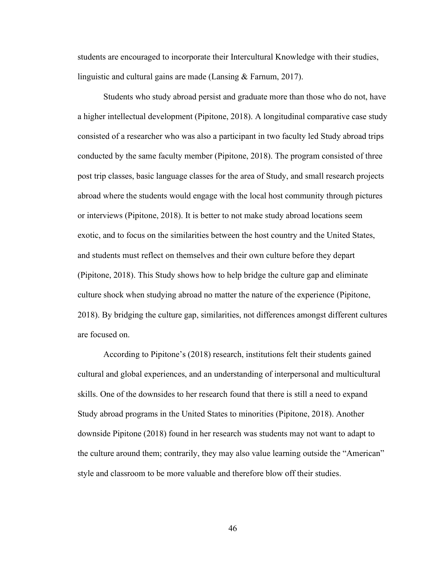students are encouraged to incorporate their Intercultural Knowledge with their studies, linguistic and cultural gains are made (Lansing & Farnum, 2017).

Students who study abroad persist and graduate more than those who do not, have a higher intellectual development (Pipitone, 2018). A longitudinal comparative case study consisted of a researcher who was also a participant in two faculty led Study abroad trips conducted by the same faculty member (Pipitone, 2018). The program consisted of three post trip classes, basic language classes for the area of Study, and small research projects abroad where the students would engage with the local host community through pictures or interviews (Pipitone, 2018). It is better to not make study abroad locations seem exotic, and to focus on the similarities between the host country and the United States, and students must reflect on themselves and their own culture before they depart (Pipitone, 2018). This Study shows how to help bridge the culture gap and eliminate culture shock when studying abroad no matter the nature of the experience (Pipitone, 2018). By bridging the culture gap, similarities, not differences amongst different cultures are focused on.

According to Pipitone's (2018) research, institutions felt their students gained cultural and global experiences, and an understanding of interpersonal and multicultural skills. One of the downsides to her research found that there is still a need to expand Study abroad programs in the United States to minorities (Pipitone, 2018). Another downside Pipitone (2018) found in her research was students may not want to adapt to the culture around them; contrarily, they may also value learning outside the "American" style and classroom to be more valuable and therefore blow off their studies.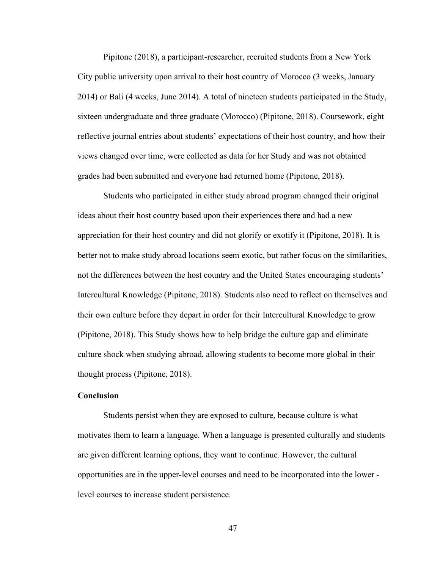Pipitone (2018), a participant-researcher, recruited students from a New York City public university upon arrival to their host country of Morocco (3 weeks, January 2014) or Bali (4 weeks, June 2014). A total of nineteen students participated in the Study, sixteen undergraduate and three graduate (Morocco) (Pipitone, 2018). Coursework, eight reflective journal entries about students' expectations of their host country, and how their views changed over time, were collected as data for her Study and was not obtained grades had been submitted and everyone had returned home (Pipitone, 2018).

Students who participated in either study abroad program changed their original ideas about their host country based upon their experiences there and had a new appreciation for their host country and did not glorify or exotify it (Pipitone, 2018). It is better not to make study abroad locations seem exotic, but rather focus on the similarities, not the differences between the host country and the United States encouraging students' Intercultural Knowledge (Pipitone, 2018). Students also need to reflect on themselves and their own culture before they depart in order for their Intercultural Knowledge to grow (Pipitone, 2018). This Study shows how to help bridge the culture gap and eliminate culture shock when studying abroad, allowing students to become more global in their thought process (Pipitone, 2018).

# Conclusion

Students persist when they are exposed to culture, because culture is what motivates them to learn a language. When a language is presented culturally and students are given different learning options, they want to continue. However, the cultural opportunities are in the upper-level courses and need to be incorporated into the lower level courses to increase student persistence.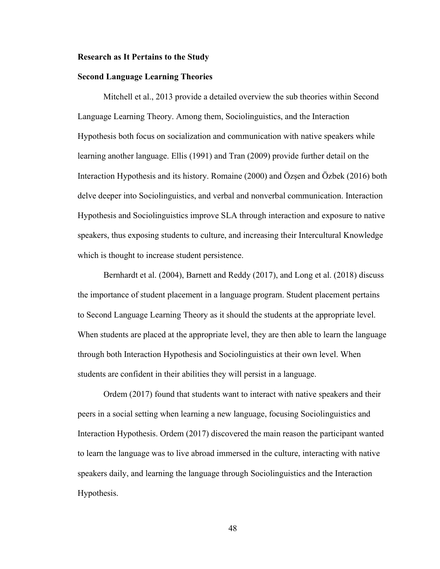#### Research as It Pertains to the Study

## Second Language Learning Theories

Mitchell et al., 2013 provide a detailed overview the sub theories within Second Language Learning Theory. Among them, Sociolinguistics, and the Interaction Hypothesis both focus on socialization and communication with native speakers while learning another language. Ellis (1991) and Tran (2009) provide further detail on the Interaction Hypothesis and its history. Romaine (2000) and Özşen and Özbek (2016) both delve deeper into Sociolinguistics, and verbal and nonverbal communication. Interaction Hypothesis and Sociolinguistics improve SLA through interaction and exposure to native speakers, thus exposing students to culture, and increasing their Intercultural Knowledge which is thought to increase student persistence.

 Bernhardt et al. (2004), Barnett and Reddy (2017), and Long et al. (2018) discuss the importance of student placement in a language program. Student placement pertains to Second Language Learning Theory as it should the students at the appropriate level. When students are placed at the appropriate level, they are then able to learn the language through both Interaction Hypothesis and Sociolinguistics at their own level. When students are confident in their abilities they will persist in a language.

 Ordem (2017) found that students want to interact with native speakers and their peers in a social setting when learning a new language, focusing Sociolinguistics and Interaction Hypothesis. Ordem (2017) discovered the main reason the participant wanted to learn the language was to live abroad immersed in the culture, interacting with native speakers daily, and learning the language through Sociolinguistics and the Interaction Hypothesis.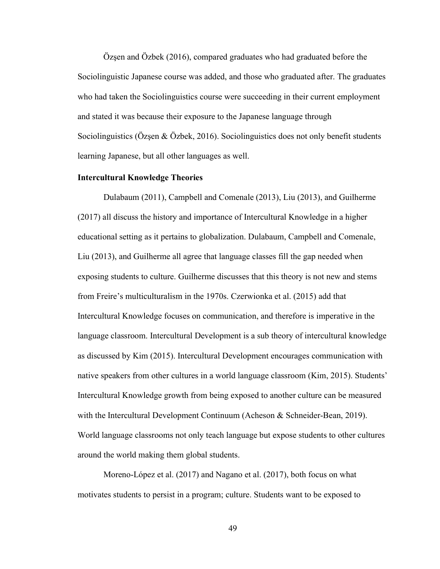Özşen and Özbek (2016), compared graduates who had graduated before the Sociolinguistic Japanese course was added, and those who graduated after. The graduates who had taken the Sociolinguistics course were succeeding in their current employment and stated it was because their exposure to the Japanese language through Sociolinguistics (Ozşen & Ozbek, 2016). Sociolinguistics does not only benefit students learning Japanese, but all other languages as well.

## Intercultural Knowledge Theories

 Dulabaum (2011), Campbell and Comenale (2013), Liu (2013), and Guilherme (2017) all discuss the history and importance of Intercultural Knowledge in a higher educational setting as it pertains to globalization. Dulabaum, Campbell and Comenale, Liu (2013), and Guilherme all agree that language classes fill the gap needed when exposing students to culture. Guilherme discusses that this theory is not new and stems from Freire's multiculturalism in the 1970s. Czerwionka et al. (2015) add that Intercultural Knowledge focuses on communication, and therefore is imperative in the language classroom. Intercultural Development is a sub theory of intercultural knowledge as discussed by Kim (2015). Intercultural Development encourages communication with native speakers from other cultures in a world language classroom (Kim, 2015). Students' Intercultural Knowledge growth from being exposed to another culture can be measured with the Intercultural Development Continuum (Acheson & Schneider-Bean, 2019). World language classrooms not only teach language but expose students to other cultures around the world making them global students.

 Moreno-López et al. (2017) and Nagano et al. (2017), both focus on what motivates students to persist in a program; culture. Students want to be exposed to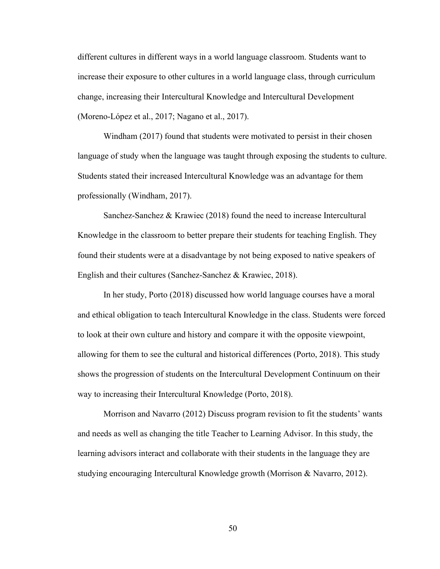different cultures in different ways in a world language classroom. Students want to increase their exposure to other cultures in a world language class, through curriculum change, increasing their Intercultural Knowledge and Intercultural Development (Moreno-López et al., 2017; Nagano et al., 2017).

 Windham (2017) found that students were motivated to persist in their chosen language of study when the language was taught through exposing the students to culture. Students stated their increased Intercultural Knowledge was an advantage for them professionally (Windham, 2017).

 Sanchez-Sanchez & Krawiec (2018) found the need to increase Intercultural Knowledge in the classroom to better prepare their students for teaching English. They found their students were at a disadvantage by not being exposed to native speakers of English and their cultures (Sanchez-Sanchez & Krawiec, 2018).

 In her study, Porto (2018) discussed how world language courses have a moral and ethical obligation to teach Intercultural Knowledge in the class. Students were forced to look at their own culture and history and compare it with the opposite viewpoint, allowing for them to see the cultural and historical differences (Porto, 2018). This study shows the progression of students on the Intercultural Development Continuum on their way to increasing their Intercultural Knowledge (Porto, 2018).

 Morrison and Navarro (2012) Discuss program revision to fit the students' wants and needs as well as changing the title Teacher to Learning Advisor. In this study, the learning advisors interact and collaborate with their students in the language they are studying encouraging Intercultural Knowledge growth (Morrison & Navarro, 2012).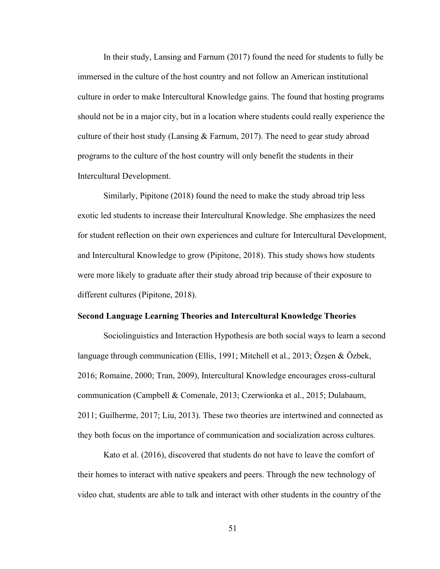In their study, Lansing and Farnum (2017) found the need for students to fully be immersed in the culture of the host country and not follow an American institutional culture in order to make Intercultural Knowledge gains. The found that hosting programs should not be in a major city, but in a location where students could really experience the culture of their host study (Lansing  $&$  Farnum, 2017). The need to gear study abroad programs to the culture of the host country will only benefit the students in their Intercultural Development.

 Similarly, Pipitone (2018) found the need to make the study abroad trip less exotic led students to increase their Intercultural Knowledge. She emphasizes the need for student reflection on their own experiences and culture for Intercultural Development, and Intercultural Knowledge to grow (Pipitone, 2018). This study shows how students were more likely to graduate after their study abroad trip because of their exposure to different cultures (Pipitone, 2018).

## Second Language Learning Theories and Intercultural Knowledge Theories

 Sociolinguistics and Interaction Hypothesis are both social ways to learn a second language through communication (Ellis, 1991; Mitchell et al., 2013; Özşen & Özbek, 2016; Romaine, 2000; Tran, 2009), Intercultural Knowledge encourages cross-cultural communication (Campbell & Comenale, 2013; Czerwionka et al., 2015; Dulabaum, 2011; Guilherme, 2017; Liu, 2013). These two theories are intertwined and connected as they both focus on the importance of communication and socialization across cultures.

 Kato et al. (2016), discovered that students do not have to leave the comfort of their homes to interact with native speakers and peers. Through the new technology of video chat, students are able to talk and interact with other students in the country of the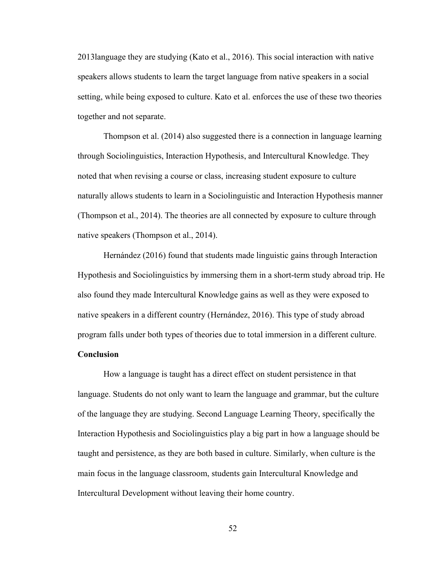2013language they are studying (Kato et al., 2016). This social interaction with native speakers allows students to learn the target language from native speakers in a social setting, while being exposed to culture. Kato et al. enforces the use of these two theories together and not separate.

 Thompson et al. (2014) also suggested there is a connection in language learning through Sociolinguistics, Interaction Hypothesis, and Intercultural Knowledge. They noted that when revising a course or class, increasing student exposure to culture naturally allows students to learn in a Sociolinguistic and Interaction Hypothesis manner (Thompson et al., 2014). The theories are all connected by exposure to culture through native speakers (Thompson et al., 2014).

 Hernández (2016) found that students made linguistic gains through Interaction Hypothesis and Sociolinguistics by immersing them in a short-term study abroad trip. He also found they made Intercultural Knowledge gains as well as they were exposed to native speakers in a different country (Hernández, 2016). This type of study abroad program falls under both types of theories due to total immersion in a different culture.

## **Conclusion**

 How a language is taught has a direct effect on student persistence in that language. Students do not only want to learn the language and grammar, but the culture of the language they are studying. Second Language Learning Theory, specifically the Interaction Hypothesis and Sociolinguistics play a big part in how a language should be taught and persistence, as they are both based in culture. Similarly, when culture is the main focus in the language classroom, students gain Intercultural Knowledge and Intercultural Development without leaving their home country.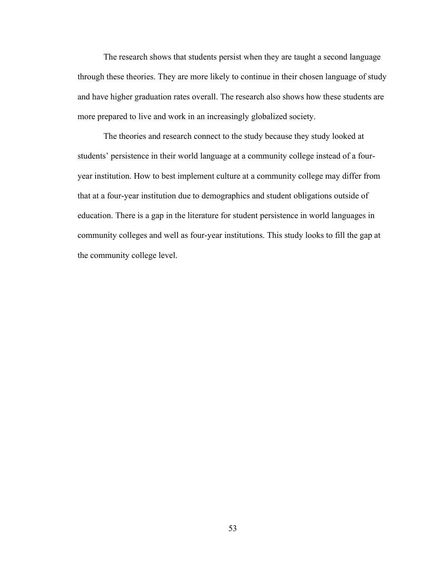The research shows that students persist when they are taught a second language through these theories. They are more likely to continue in their chosen language of study and have higher graduation rates overall. The research also shows how these students are more prepared to live and work in an increasingly globalized society.

 The theories and research connect to the study because they study looked at students' persistence in their world language at a community college instead of a fouryear institution. How to best implement culture at a community college may differ from that at a four-year institution due to demographics and student obligations outside of education. There is a gap in the literature for student persistence in world languages in community colleges and well as four-year institutions. This study looks to fill the gap at the community college level.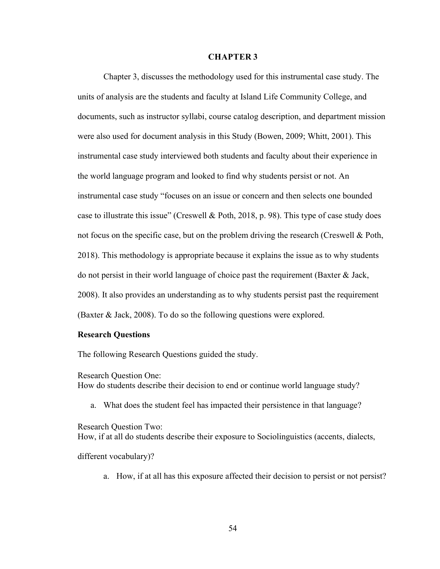#### CHAPTER 3

 Chapter 3, discusses the methodology used for this instrumental case study. The units of analysis are the students and faculty at Island Life Community College, and documents, such as instructor syllabi, course catalog description, and department mission were also used for document analysis in this Study (Bowen, 2009; Whitt, 2001). This instrumental case study interviewed both students and faculty about their experience in the world language program and looked to find why students persist or not. An instrumental case study "focuses on an issue or concern and then selects one bounded case to illustrate this issue" (Creswell & Poth, 2018, p. 98). This type of case study does not focus on the specific case, but on the problem driving the research (Creswell & Poth, 2018). This methodology is appropriate because it explains the issue as to why students do not persist in their world language of choice past the requirement (Baxter  $\&$  Jack, 2008). It also provides an understanding as to why students persist past the requirement (Baxter & Jack, 2008). To do so the following questions were explored.

## Research Questions

The following Research Questions guided the study.

Research Question One: How do students describe their decision to end or continue world language study?

a. What does the student feel has impacted their persistence in that language?

Research Question Two: How, if at all do students describe their exposure to Sociolinguistics (accents, dialects,

different vocabulary)?

a. How, if at all has this exposure affected their decision to persist or not persist?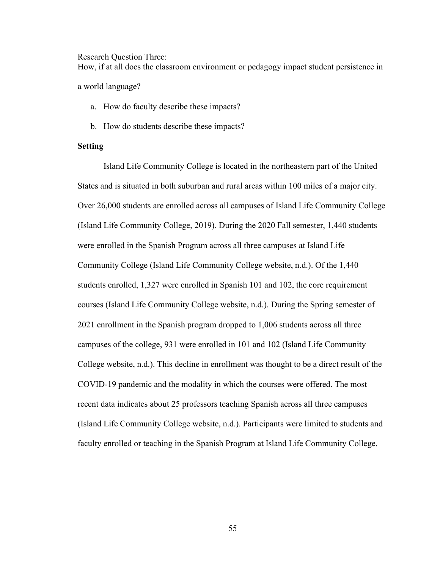Research Question Three:

How, if at all does the classroom environment or pedagogy impact student persistence in

a world language?

- a. How do faculty describe these impacts?
- b. How do students describe these impacts?

# Setting

 Island Life Community College is located in the northeastern part of the United States and is situated in both suburban and rural areas within 100 miles of a major city. Over 26,000 students are enrolled across all campuses of Island Life Community College (Island Life Community College, 2019). During the 2020 Fall semester, 1,440 students were enrolled in the Spanish Program across all three campuses at Island Life Community College (Island Life Community College website, n.d.). Of the 1,440 students enrolled, 1,327 were enrolled in Spanish 101 and 102, the core requirement courses (Island Life Community College website, n.d.). During the Spring semester of 2021 enrollment in the Spanish program dropped to 1,006 students across all three campuses of the college, 931 were enrolled in 101 and 102 (Island Life Community College website, n.d.). This decline in enrollment was thought to be a direct result of the COVID-19 pandemic and the modality in which the courses were offered. The most recent data indicates about 25 professors teaching Spanish across all three campuses (Island Life Community College website, n.d.). Participants were limited to students and faculty enrolled or teaching in the Spanish Program at Island Life Community College.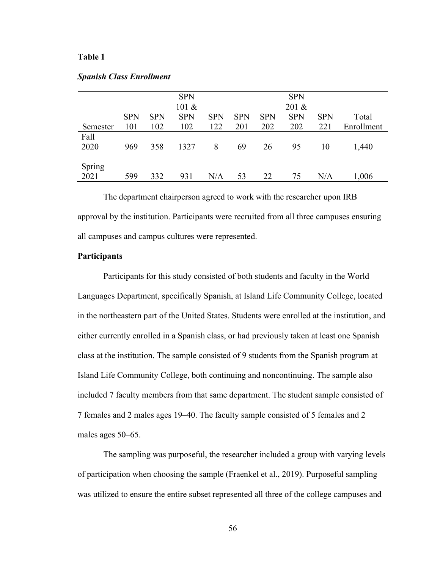## Table 1

|                |            |            | <b>SPN</b><br>101 & |            |            |            | <b>SPN</b><br>201 & |            |            |
|----------------|------------|------------|---------------------|------------|------------|------------|---------------------|------------|------------|
|                | <b>SPN</b> | <b>SPN</b> | <b>SPN</b>          | <b>SPN</b> | <b>SPN</b> | <b>SPN</b> | <b>SPN</b>          | <b>SPN</b> | Total      |
| Semester       | 101        | 102        | 102                 | 122        | 201        | 202        | 202                 | 221        | Enrollment |
| Fall<br>2020   | 969        | 358        | 1327                | 8          | 69         | 26         | 95                  | 10         | 1,440      |
| Spring<br>2021 | 599        | 332        | 931                 | N/A        | 53         | 22         | 75                  | N/A        | 1,006      |

#### Spanish Class Enrollment

 The department chairperson agreed to work with the researcher upon IRB approval by the institution. Participants were recruited from all three campuses ensuring all campuses and campus cultures were represented.

## **Participants**

Participants for this study consisted of both students and faculty in the World Languages Department, specifically Spanish, at Island Life Community College, located in the northeastern part of the United States. Students were enrolled at the institution, and either currently enrolled in a Spanish class, or had previously taken at least one Spanish class at the institution. The sample consisted of 9 students from the Spanish program at Island Life Community College, both continuing and noncontinuing. The sample also included 7 faculty members from that same department. The student sample consisted of 7 females and 2 males ages 19–40. The faculty sample consisted of 5 females and 2 males ages 50–65.

The sampling was purposeful, the researcher included a group with varying levels of participation when choosing the sample (Fraenkel et al., 2019). Purposeful sampling was utilized to ensure the entire subset represented all three of the college campuses and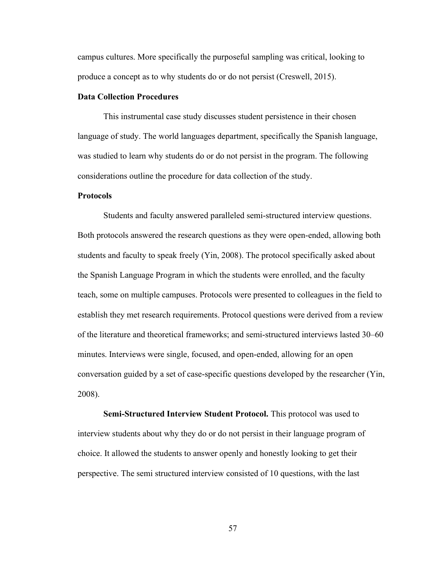campus cultures. More specifically the purposeful sampling was critical, looking to produce a concept as to why students do or do not persist (Creswell, 2015).

## Data Collection Procedures

This instrumental case study discusses student persistence in their chosen language of study. The world languages department, specifically the Spanish language, was studied to learn why students do or do not persist in the program. The following considerations outline the procedure for data collection of the study.

#### **Protocols**

Students and faculty answered paralleled semi-structured interview questions. Both protocols answered the research questions as they were open-ended, allowing both students and faculty to speak freely (Yin, 2008). The protocol specifically asked about the Spanish Language Program in which the students were enrolled, and the faculty teach, some on multiple campuses. Protocols were presented to colleagues in the field to establish they met research requirements. Protocol questions were derived from a review of the literature and theoretical frameworks; and semi-structured interviews lasted 30–60 minutes. Interviews were single, focused, and open-ended, allowing for an open conversation guided by a set of case-specific questions developed by the researcher (Yin, 2008).

Semi-Structured Interview Student Protocol. This protocol was used to interview students about why they do or do not persist in their language program of choice. It allowed the students to answer openly and honestly looking to get their perspective. The semi structured interview consisted of 10 questions, with the last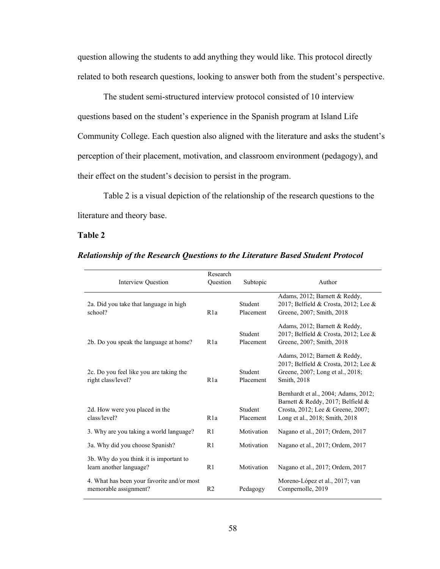question allowing the students to add anything they would like. This protocol directly related to both research questions, looking to answer both from the student's perspective.

The student semi-structured interview protocol consisted of 10 interview questions based on the student's experience in the Spanish program at Island Life Community College. Each question also aligned with the literature and asks the student's perception of their placement, motivation, and classroom environment (pedagogy), and their effect on the student's decision to persist in the program.

Table 2 is a visual depiction of the relationship of the research questions to the literature and theory base.

## Table 2

| <b>Interview Question</b>                                           | Research<br>Ouestion | Subtopic             | Author                                                                                                                                           |
|---------------------------------------------------------------------|----------------------|----------------------|--------------------------------------------------------------------------------------------------------------------------------------------------|
| 2a. Did you take that language in high<br>school?                   | R1a                  | Student<br>Placement | Adams, 2012; Barnett & Reddy,<br>2017; Belfield & Crosta, 2012; Lee &<br>Greene, 2007; Smith, 2018                                               |
| 2b. Do you speak the language at home?                              | R1a                  | Student<br>Placement | Adams, 2012; Barnett & Reddy,<br>2017; Belfield & Crosta, 2012; Lee &<br>Greene, 2007; Smith, 2018                                               |
| 2c. Do you feel like you are taking the<br>right class/level?       | R1a                  | Student<br>Placement | Adams, 2012; Barnett & Reddy,<br>2017; Belfield & Crosta, 2012; Lee &<br>Greene, 2007; Long et al., 2018;<br>Smith, 2018                         |
| 2d. How were you placed in the<br>class/level?                      | R <sub>1</sub> a     | Student<br>Placement | Bernhardt et al., 2004; Adams, 2012;<br>Barnett & Reddy, 2017; Belfield &<br>Crosta, 2012; Lee & Greene, 2007;<br>Long et al., 2018; Smith, 2018 |
| 3. Why are you taking a world language?                             | R <sub>1</sub>       | Motivation           | Nagano et al., 2017; Ordem, 2017                                                                                                                 |
| 3a. Why did you choose Spanish?                                     | R1                   | Motivation           | Nagano et al., 2017; Ordem, 2017                                                                                                                 |
| 3b. Why do you think it is important to<br>learn another language?  | R1                   | Motivation           | Nagano et al., 2017; Ordem, 2017                                                                                                                 |
| 4. What has been your favorite and/or most<br>memorable assignment? | R <sub>2</sub>       | Pedagogy             | Moreno-López et al., 2017; van<br>Compernolle, 2019                                                                                              |

## Relationship of the Research Questions to the Literature Based Student Protocol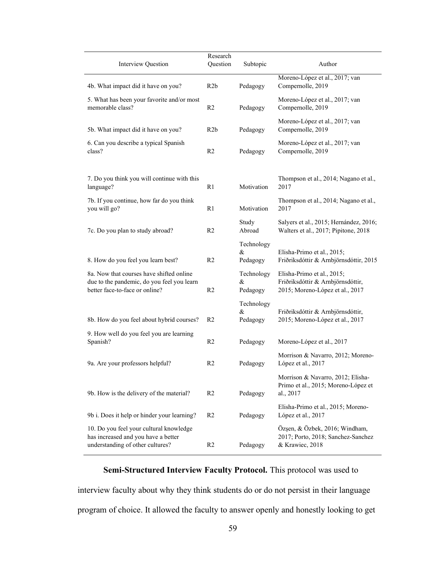| Interview Question                                                                                                       | Research<br>Question | Subtopic                       | Author                                                                                             |  |
|--------------------------------------------------------------------------------------------------------------------------|----------------------|--------------------------------|----------------------------------------------------------------------------------------------------|--|
| 4b. What impact did it have on you?                                                                                      | R2b                  | Pedagogy                       | Moreno-López et al., 2017; van<br>Compernolle, 2019                                                |  |
| 5. What has been your favorite and/or most<br>memorable class?                                                           | R <sub>2</sub>       | Pedagogy                       | Moreno-López et al., 2017; van<br>Compernolle, 2019                                                |  |
| 5b. What impact did it have on you?                                                                                      | R2b                  | Pedagogy                       | Moreno-López et al., 2017; van<br>Compernolle, 2019                                                |  |
| 6. Can you describe a typical Spanish<br>class?                                                                          | R <sub>2</sub>       | Pedagogy                       | Moreno-López et al., 2017; van<br>Compernolle, 2019                                                |  |
| 7. Do you think you will continue with this<br>language?                                                                 | R <sub>1</sub>       | Motivation                     | Thompson et al., 2014; Nagano et al.,<br>2017                                                      |  |
| 7b. If you continue, how far do you think<br>you will go?                                                                | R1                   | Motivation                     | Thompson et al., 2014; Nagano et al.,<br>2017                                                      |  |
| 7c. Do you plan to study abroad?                                                                                         | R <sub>2</sub>       | Study<br>Abroad                | Salyers et al., 2015; Hernández, 2016;<br>Walters et al., 2017; Pipitone, 2018                     |  |
| 8. How do you feel you learn best?                                                                                       | R <sub>2</sub>       | Technology<br>$\&$<br>Pedagogy | Elisha-Primo et al., 2015;<br>Friðriksdóttir & Arnbjörnsdóttir, 2015                               |  |
| 8a. Now that courses have shifted online<br>due to the pandemic, do you feel you learn<br>better face-to-face or online? | R <sub>2</sub>       | Technology<br>&<br>Pedagogy    | Elisha-Primo et al., 2015;<br>Friðriksdóttir & Arnbjörnsdóttir,<br>2015; Moreno-López et al., 2017 |  |
| 8b. How do you feel about hybrid courses?                                                                                | R <sub>2</sub>       | Technology<br>&<br>Pedagogy    | Friðriksdóttir & Arnbjörnsdóttir,<br>2015; Moreno-López et al., 2017                               |  |
| 9. How well do you feel you are learning<br>Spanish?                                                                     | R <sub>2</sub>       | Pedagogy                       | Moreno-López et al., 2017                                                                          |  |
| 9a. Are your professors helpful?                                                                                         | R <sub>2</sub>       | Pedagogy                       | Morrison & Navarro, 2012; Moreno-<br>López et al., 2017                                            |  |
| 9b. How is the delivery of the material?                                                                                 | R <sub>2</sub>       | Pedagogy                       | Morrison & Navarro, 2012; Elisha-<br>Primo et al., 2015; Moreno-López et<br>al., 2017              |  |
| 9b i. Does it help or hinder your learning?                                                                              | R <sub>2</sub>       | Pedagogy                       | Elisha-Primo et al., 2015; Moreno-<br>López et al., 2017                                           |  |
| 10. Do you feel your cultural knowledge<br>has increased and you have a better<br>understanding of other cultures?       | R <sub>2</sub>       | Pedagogy                       | Özşen, & Özbek, 2016; Windham,<br>2017; Porto, 2018; Sanchez-Sanchez<br>& Krawiec, 2018            |  |

# Semi-Structured Interview Faculty Protocol. This protocol was used to

interview faculty about why they think students do or do not persist in their language program of choice. It allowed the faculty to answer openly and honestly looking to get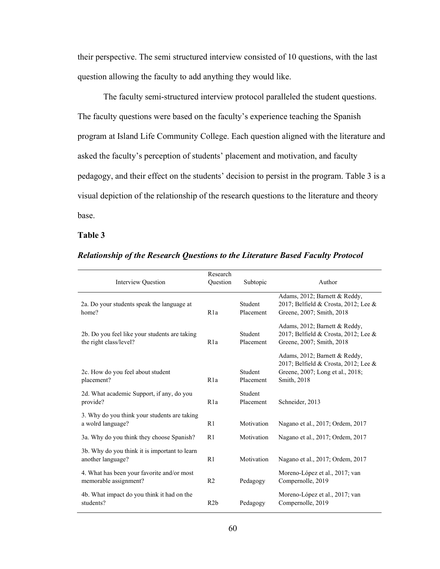their perspective. The semi structured interview consisted of 10 questions, with the last question allowing the faculty to add anything they would like.

The faculty semi-structured interview protocol paralleled the student questions. The faculty questions were based on the faculty's experience teaching the Spanish program at Island Life Community College. Each question aligned with the literature and asked the faculty's perception of students' placement and motivation, and faculty pedagogy, and their effect on the students' decision to persist in the program. Table 3 is a visual depiction of the relationship of the research questions to the literature and theory base.

## Table 3

| Interview Question                                                      | Research<br>Ouestion | Subtopic             | Author                                                                                                                   |
|-------------------------------------------------------------------------|----------------------|----------------------|--------------------------------------------------------------------------------------------------------------------------|
| 2a. Do your students speak the language at<br>home?                     | R <sub>1</sub> a     | Student<br>Placement | Adams, 2012; Barnett & Reddy,<br>2017; Belfield & Crosta, 2012; Lee &<br>Greene, 2007; Smith, 2018                       |
| 2b. Do you feel like your students are taking<br>the right class/level? | R1a                  | Student<br>Placement | Adams, 2012; Barnett & Reddy,<br>2017; Belfield & Crosta, 2012; Lee &<br>Greene, 2007; Smith, 2018                       |
| 2c. How do you feel about student<br>placement?                         | R1a                  | Student<br>Placement | Adams, 2012; Barnett & Reddy,<br>2017; Belfield & Crosta, 2012; Lee &<br>Greene, 2007; Long et al., 2018;<br>Smith, 2018 |
| 2d. What academic Support, if any, do you<br>provide?                   | R <sub>1</sub> a     | Student<br>Placement | Schneider, 2013                                                                                                          |
| 3. Why do you think your students are taking<br>a wolrd language?       | R1                   | Motivation           | Nagano et al., 2017; Ordem, 2017                                                                                         |
| 3a. Why do you think they choose Spanish?                               | R1                   | Motivation           | Nagano et al., 2017; Ordem, 2017                                                                                         |
| 3b. Why do you think it is important to learn<br>another language?      | R1                   | Motivation           | Nagano et al., 2017; Ordem, 2017                                                                                         |
| 4. What has been your favorite and/or most<br>memorable assignment?     | R <sub>2</sub>       | Pedagogy             | Moreno-López et al., 2017; van<br>Compernolle, 2019                                                                      |
| 4b. What impact do you think it had on the<br>students?                 | R2b                  | Pedagogy             | Moreno-López et al., 2017; van<br>Compernolle, 2019                                                                      |

# Relationship of the Research Questions to the Literature Based Faculty Protocol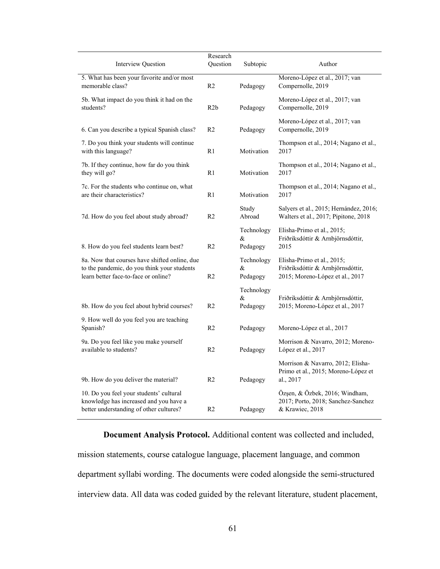|                                                                                                                                      | Research         |                             |                                                                                                    |  |
|--------------------------------------------------------------------------------------------------------------------------------------|------------------|-----------------------------|----------------------------------------------------------------------------------------------------|--|
| <b>Interview Question</b>                                                                                                            | Question         | Subtopic                    | Author                                                                                             |  |
| 5. What has been your favorite and/or most                                                                                           |                  |                             | Moreno-López et al., 2017; van                                                                     |  |
| memorable class?                                                                                                                     | R <sub>2</sub>   | Pedagogy                    | Compernolle, 2019                                                                                  |  |
| 5b. What impact do you think it had on the<br>students?                                                                              | R <sub>2</sub> b | Pedagogy                    | Moreno-López et al., 2017; van<br>Compernolle, 2019                                                |  |
| 6. Can you describe a typical Spanish class?                                                                                         | R <sub>2</sub>   | Pedagogy                    | Moreno-López et al., 2017; van<br>Compernolle, 2019                                                |  |
| 7. Do you think your students will continue<br>with this language?                                                                   | R1               | Motivation                  | Thompson et al., 2014; Nagano et al.,<br>2017                                                      |  |
| 7b. If they continue, how far do you think<br>they will go?                                                                          | R1               | Motivation                  | Thompson et al., 2014; Nagano et al.,<br>2017                                                      |  |
| 7c. For the students who continue on, what<br>are their characteristics?                                                             | R1               | Motivation                  | Thompson et al., 2014; Nagano et al.,<br>2017                                                      |  |
| 7d. How do you feel about study abroad?                                                                                              | R <sub>2</sub>   | Study<br>Abroad             | Salyers et al., 2015; Hernández, 2016;<br>Walters et al., 2017; Pipitone, 2018                     |  |
| 8. How do you feel students learn best?                                                                                              | R <sub>2</sub>   | Technology<br>&<br>Pedagogy | Elisha-Primo et al., 2015;<br>Friðriksdóttir & Arnbjörnsdóttir,<br>2015                            |  |
|                                                                                                                                      |                  |                             |                                                                                                    |  |
| 8a. Now that courses have shifted online, due<br>to the pandemic, do you think your students<br>learn better face-to-face or online? | R <sub>2</sub>   | Technology<br>&<br>Pedagogy | Elisha-Primo et al., 2015;<br>Friðriksdóttir & Arnbjörnsdóttir,<br>2015; Moreno-López et al., 2017 |  |
|                                                                                                                                      |                  | Technology                  |                                                                                                    |  |
| 8b. How do you feel about hybrid courses?                                                                                            | R <sub>2</sub>   | &<br>Pedagogy               | Friðriksdóttir & Arnbjörnsdóttir,<br>2015; Moreno-López et al., 2017                               |  |
| 9. How well do you feel you are teaching<br>Spanish?                                                                                 | R <sub>2</sub>   | Pedagogy                    | Moreno-López et al., 2017                                                                          |  |
| 9a. Do you feel like you make yourself                                                                                               |                  |                             | Morrison & Navarro, 2012; Moreno-                                                                  |  |
| available to students?                                                                                                               | R <sub>2</sub>   | Pedagogy                    | López et al., 2017                                                                                 |  |
| 9b. How do you deliver the material?                                                                                                 | R <sub>2</sub>   | Pedagogy                    | Morrison & Navarro, 2012; Elisha-<br>Primo et al., 2015; Moreno-López et<br>al., 2017              |  |
| 10. Do you feel your students' cultural                                                                                              |                  |                             | Özşen, & Özbek, 2016; Windham,                                                                     |  |
| knowledge has increased and you have a<br>better understanding of other cultures?                                                    | R <sub>2</sub>   | Pedagogy                    | 2017; Porto, 2018; Sanchez-Sanchez<br>& Krawiec, 2018                                              |  |
|                                                                                                                                      |                  |                             |                                                                                                    |  |

Document Analysis Protocol. Additional content was collected and included, mission statements, course catalogue language, placement language, and common department syllabi wording. The documents were coded alongside the semi-structured interview data. All data was coded guided by the relevant literature, student placement,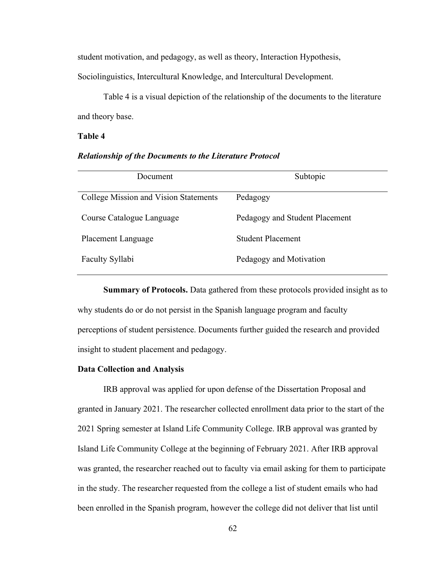student motivation, and pedagogy, as well as theory, Interaction Hypothesis,

Sociolinguistics, Intercultural Knowledge, and Intercultural Development.

Table 4 is a visual depiction of the relationship of the documents to the literature and theory base.

## Table 4

#### Relationship of the Documents to the Literature Protocol

| Document                              | Subtopic                       |  |  |  |
|---------------------------------------|--------------------------------|--|--|--|
| College Mission and Vision Statements | Pedagogy                       |  |  |  |
| Course Catalogue Language             | Pedagogy and Student Placement |  |  |  |
| Placement Language                    | <b>Student Placement</b>       |  |  |  |
| Faculty Syllabi                       | Pedagogy and Motivation        |  |  |  |

Summary of Protocols. Data gathered from these protocols provided insight as to why students do or do not persist in the Spanish language program and faculty perceptions of student persistence. Documents further guided the research and provided insight to student placement and pedagogy.

## Data Collection and Analysis

IRB approval was applied for upon defense of the Dissertation Proposal and granted in January 2021. The researcher collected enrollment data prior to the start of the 2021 Spring semester at Island Life Community College. IRB approval was granted by Island Life Community College at the beginning of February 2021. After IRB approval was granted, the researcher reached out to faculty via email asking for them to participate in the study. The researcher requested from the college a list of student emails who had been enrolled in the Spanish program, however the college did not deliver that list until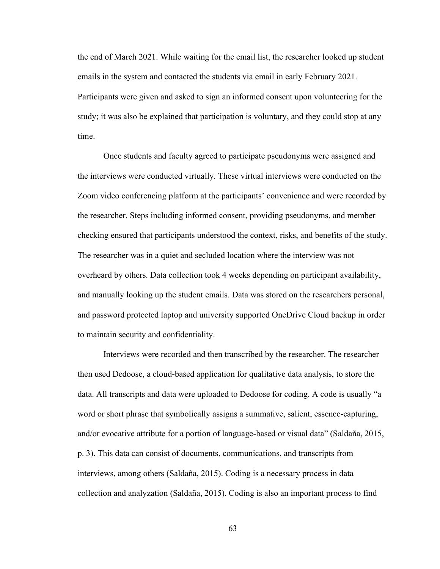the end of March 2021. While waiting for the email list, the researcher looked up student emails in the system and contacted the students via email in early February 2021. Participants were given and asked to sign an informed consent upon volunteering for the study; it was also be explained that participation is voluntary, and they could stop at any time.

Once students and faculty agreed to participate pseudonyms were assigned and the interviews were conducted virtually. These virtual interviews were conducted on the Zoom video conferencing platform at the participants' convenience and were recorded by the researcher. Steps including informed consent, providing pseudonyms, and member checking ensured that participants understood the context, risks, and benefits of the study. The researcher was in a quiet and secluded location where the interview was not overheard by others. Data collection took 4 weeks depending on participant availability, and manually looking up the student emails. Data was stored on the researchers personal, and password protected laptop and university supported OneDrive Cloud backup in order to maintain security and confidentiality.

Interviews were recorded and then transcribed by the researcher. The researcher then used Dedoose, a cloud-based application for qualitative data analysis, to store the data. All transcripts and data were uploaded to Dedoose for coding. A code is usually "a word or short phrase that symbolically assigns a summative, salient, essence-capturing, and/or evocative attribute for a portion of language-based or visual data" (Saldaña, 2015, p. 3). This data can consist of documents, communications, and transcripts from interviews, among others (Saldaña, 2015). Coding is a necessary process in data collection and analyzation (Saldaña, 2015). Coding is also an important process to find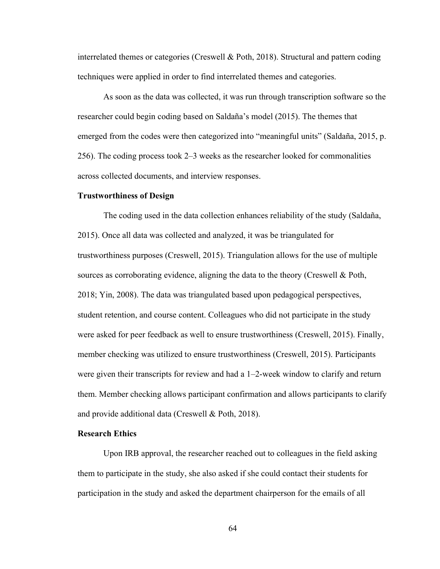interrelated themes or categories (Creswell & Poth, 2018). Structural and pattern coding techniques were applied in order to find interrelated themes and categories.

As soon as the data was collected, it was run through transcription software so the researcher could begin coding based on Saldaña's model (2015). The themes that emerged from the codes were then categorized into "meaningful units" (Saldaña, 2015, p. 256). The coding process took 2–3 weeks as the researcher looked for commonalities across collected documents, and interview responses.

### Trustworthiness of Design

 The coding used in the data collection enhances reliability of the study (Saldaña, 2015). Once all data was collected and analyzed, it was be triangulated for trustworthiness purposes (Creswell, 2015). Triangulation allows for the use of multiple sources as corroborating evidence, aligning the data to the theory (Creswell & Poth, 2018; Yin, 2008). The data was triangulated based upon pedagogical perspectives, student retention, and course content. Colleagues who did not participate in the study were asked for peer feedback as well to ensure trustworthiness (Creswell, 2015). Finally, member checking was utilized to ensure trustworthiness (Creswell, 2015). Participants were given their transcripts for review and had a 1–2-week window to clarify and return them. Member checking allows participant confirmation and allows participants to clarify and provide additional data (Creswell & Poth, 2018).

## Research Ethics

Upon IRB approval, the researcher reached out to colleagues in the field asking them to participate in the study, she also asked if she could contact their students for participation in the study and asked the department chairperson for the emails of all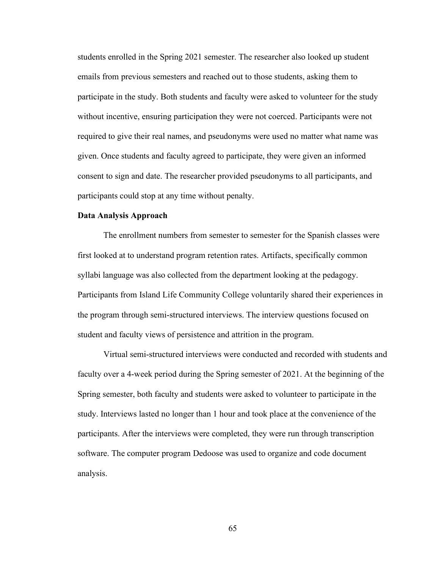students enrolled in the Spring 2021 semester. The researcher also looked up student emails from previous semesters and reached out to those students, asking them to participate in the study. Both students and faculty were asked to volunteer for the study without incentive, ensuring participation they were not coerced. Participants were not required to give their real names, and pseudonyms were used no matter what name was given. Once students and faculty agreed to participate, they were given an informed consent to sign and date. The researcher provided pseudonyms to all participants, and participants could stop at any time without penalty.

### Data Analysis Approach

The enrollment numbers from semester to semester for the Spanish classes were first looked at to understand program retention rates. Artifacts, specifically common syllabi language was also collected from the department looking at the pedagogy. Participants from Island Life Community College voluntarily shared their experiences in the program through semi-structured interviews. The interview questions focused on student and faculty views of persistence and attrition in the program.

 Virtual semi-structured interviews were conducted and recorded with students and faculty over a 4-week period during the Spring semester of 2021. At the beginning of the Spring semester, both faculty and students were asked to volunteer to participate in the study. Interviews lasted no longer than 1 hour and took place at the convenience of the participants. After the interviews were completed, they were run through transcription software. The computer program Dedoose was used to organize and code document analysis.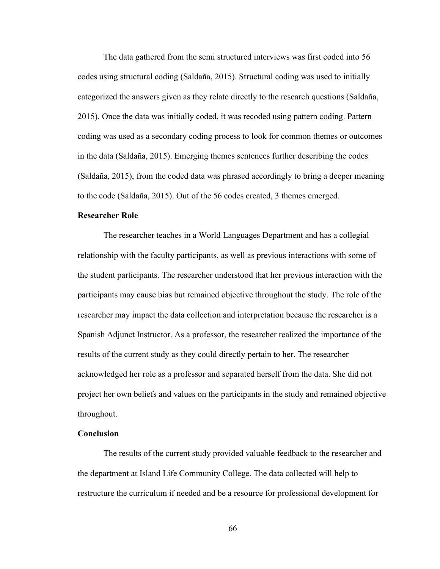The data gathered from the semi structured interviews was first coded into 56 codes using structural coding (Saldaña, 2015). Structural coding was used to initially categorized the answers given as they relate directly to the research questions (Saldaña, 2015). Once the data was initially coded, it was recoded using pattern coding. Pattern coding was used as a secondary coding process to look for common themes or outcomes in the data (Saldaña, 2015). Emerging themes sentences further describing the codes (Saldaña, 2015), from the coded data was phrased accordingly to bring a deeper meaning to the code (Saldaña, 2015). Out of the 56 codes created, 3 themes emerged.

## Researcher Role

 The researcher teaches in a World Languages Department and has a collegial relationship with the faculty participants, as well as previous interactions with some of the student participants. The researcher understood that her previous interaction with the participants may cause bias but remained objective throughout the study. The role of the researcher may impact the data collection and interpretation because the researcher is a Spanish Adjunct Instructor. As a professor, the researcher realized the importance of the results of the current study as they could directly pertain to her. The researcher acknowledged her role as a professor and separated herself from the data. She did not project her own beliefs and values on the participants in the study and remained objective throughout.

# **Conclusion**

 The results of the current study provided valuable feedback to the researcher and the department at Island Life Community College. The data collected will help to restructure the curriculum if needed and be a resource for professional development for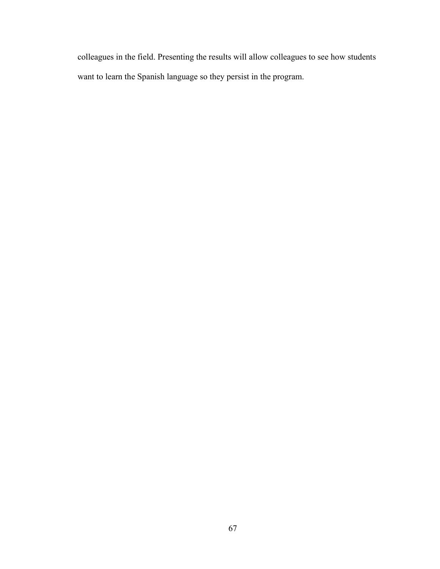colleagues in the field. Presenting the results will allow colleagues to see how students want to learn the Spanish language so they persist in the program.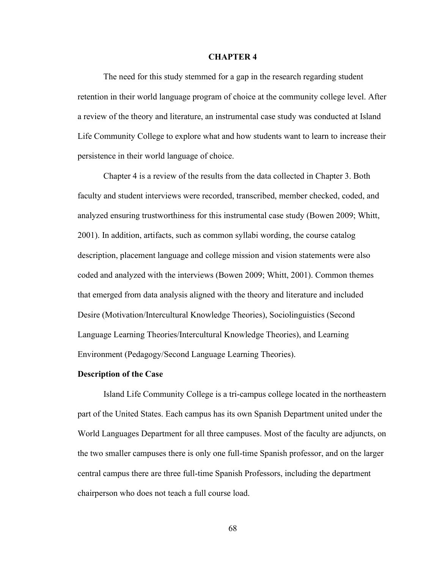### CHAPTER 4

The need for this study stemmed for a gap in the research regarding student retention in their world language program of choice at the community college level. After a review of the theory and literature, an instrumental case study was conducted at Island Life Community College to explore what and how students want to learn to increase their persistence in their world language of choice.

Chapter 4 is a review of the results from the data collected in Chapter 3. Both faculty and student interviews were recorded, transcribed, member checked, coded, and analyzed ensuring trustworthiness for this instrumental case study (Bowen 2009; Whitt, 2001). In addition, artifacts, such as common syllabi wording, the course catalog description, placement language and college mission and vision statements were also coded and analyzed with the interviews (Bowen 2009; Whitt, 2001). Common themes that emerged from data analysis aligned with the theory and literature and included Desire (Motivation/Intercultural Knowledge Theories), Sociolinguistics (Second Language Learning Theories/Intercultural Knowledge Theories), and Learning Environment (Pedagogy/Second Language Learning Theories).

#### Description of the Case

 Island Life Community College is a tri-campus college located in the northeastern part of the United States. Each campus has its own Spanish Department united under the World Languages Department for all three campuses. Most of the faculty are adjuncts, on the two smaller campuses there is only one full-time Spanish professor, and on the larger central campus there are three full-time Spanish Professors, including the department chairperson who does not teach a full course load.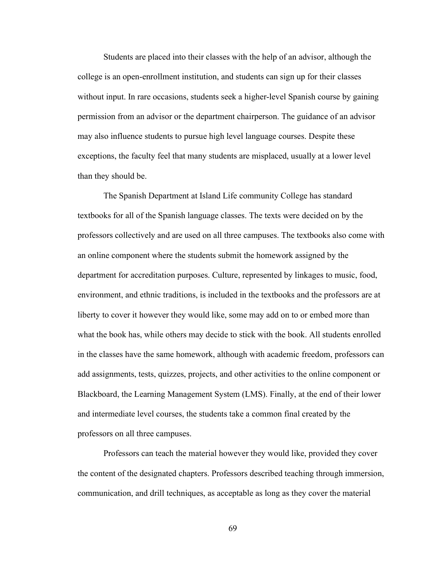Students are placed into their classes with the help of an advisor, although the college is an open-enrollment institution, and students can sign up for their classes without input. In rare occasions, students seek a higher-level Spanish course by gaining permission from an advisor or the department chairperson. The guidance of an advisor may also influence students to pursue high level language courses. Despite these exceptions, the faculty feel that many students are misplaced, usually at a lower level than they should be.

 The Spanish Department at Island Life community College has standard textbooks for all of the Spanish language classes. The texts were decided on by the professors collectively and are used on all three campuses. The textbooks also come with an online component where the students submit the homework assigned by the department for accreditation purposes. Culture, represented by linkages to music, food, environment, and ethnic traditions, is included in the textbooks and the professors are at liberty to cover it however they would like, some may add on to or embed more than what the book has, while others may decide to stick with the book. All students enrolled in the classes have the same homework, although with academic freedom, professors can add assignments, tests, quizzes, projects, and other activities to the online component or Blackboard, the Learning Management System (LMS). Finally, at the end of their lower and intermediate level courses, the students take a common final created by the professors on all three campuses.

 Professors can teach the material however they would like, provided they cover the content of the designated chapters. Professors described teaching through immersion, communication, and drill techniques, as acceptable as long as they cover the material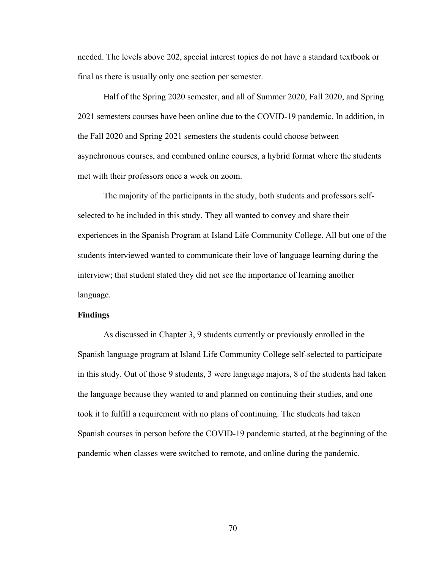needed. The levels above 202, special interest topics do not have a standard textbook or final as there is usually only one section per semester.

 Half of the Spring 2020 semester, and all of Summer 2020, Fall 2020, and Spring 2021 semesters courses have been online due to the COVID-19 pandemic. In addition, in the Fall 2020 and Spring 2021 semesters the students could choose between asynchronous courses, and combined online courses, a hybrid format where the students met with their professors once a week on zoom.

 The majority of the participants in the study, both students and professors selfselected to be included in this study. They all wanted to convey and share their experiences in the Spanish Program at Island Life Community College. All but one of the students interviewed wanted to communicate their love of language learning during the interview; that student stated they did not see the importance of learning another language.

### Findings

 As discussed in Chapter 3, 9 students currently or previously enrolled in the Spanish language program at Island Life Community College self-selected to participate in this study. Out of those 9 students, 3 were language majors, 8 of the students had taken the language because they wanted to and planned on continuing their studies, and one took it to fulfill a requirement with no plans of continuing. The students had taken Spanish courses in person before the COVID-19 pandemic started, at the beginning of the pandemic when classes were switched to remote, and online during the pandemic.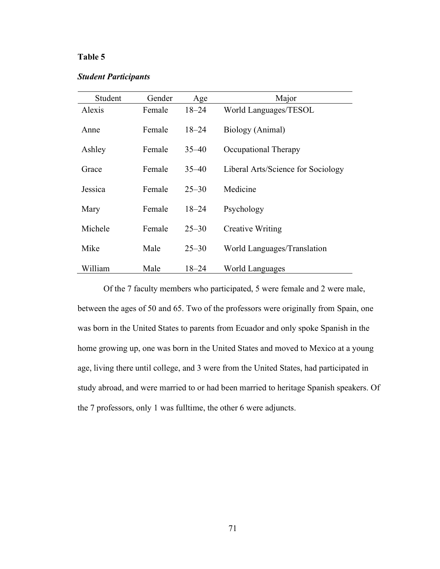# Table 5

# Student Participants

| Student | Gender | Age       | Major                              |
|---------|--------|-----------|------------------------------------|
| Alexis  | Female | $18 - 24$ | World Languages/TESOL              |
| Anne    | Female | $18 - 24$ | Biology (Animal)                   |
| Ashley  | Female | $35 - 40$ | Occupational Therapy               |
| Grace   | Female | $35 - 40$ | Liberal Arts/Science for Sociology |
| Jessica | Female | $25 - 30$ | Medicine                           |
| Mary    | Female | $18 - 24$ | Psychology                         |
| Michele | Female | $25 - 30$ | <b>Creative Writing</b>            |
| Mike    | Male   | $25 - 30$ | World Languages/Translation        |
| William | Male   | 18–24     | <b>World Languages</b>             |

 Of the 7 faculty members who participated, 5 were female and 2 were male, between the ages of 50 and 65. Two of the professors were originally from Spain, one was born in the United States to parents from Ecuador and only spoke Spanish in the home growing up, one was born in the United States and moved to Mexico at a young age, living there until college, and 3 were from the United States, had participated in study abroad, and were married to or had been married to heritage Spanish speakers. Of the 7 professors, only 1 was fulltime, the other 6 were adjuncts.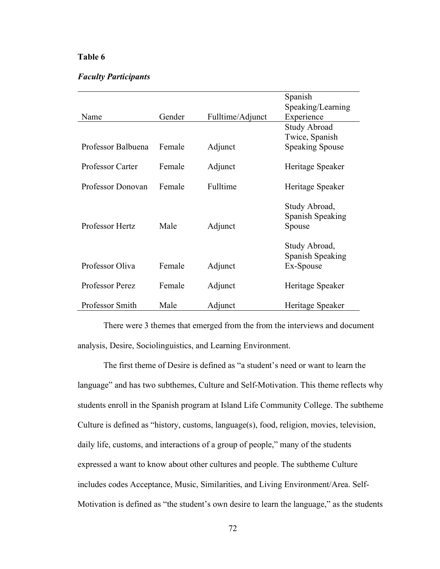## Table 6

## Faculty Participants

|                        |        |                  | Spanish                                        |
|------------------------|--------|------------------|------------------------------------------------|
|                        |        |                  | Speaking/Learning                              |
| Name                   | Gender | Fulltime/Adjunct | Experience                                     |
|                        |        |                  | <b>Study Abroad</b>                            |
|                        |        |                  | Twice, Spanish                                 |
| Professor Balbuena     | Female | Adjunct          | <b>Speaking Spouse</b>                         |
|                        |        |                  |                                                |
| Professor Carter       | Female | Adjunct          | Heritage Speaker                               |
|                        |        |                  |                                                |
| Professor Donovan      | Female | Fulltime         | Heritage Speaker                               |
| Professor Hertz        | Male   | Adjunct          | Study Abroad,<br>Spanish Speaking<br>Spouse    |
| Professor Oliva        | Female | Adjunct          | Study Abroad,<br>Spanish Speaking<br>Ex-Spouse |
|                        |        |                  |                                                |
| <b>Professor Perez</b> | Female | Adjunct          | Heritage Speaker                               |
| Professor Smith        | Male   | Adjunct          | Heritage Speaker                               |

 There were 3 themes that emerged from the from the interviews and document analysis, Desire, Sociolinguistics, and Learning Environment.

 The first theme of Desire is defined as "a student's need or want to learn the language" and has two subthemes, Culture and Self-Motivation. This theme reflects why students enroll in the Spanish program at Island Life Community College. The subtheme Culture is defined as "history, customs, language(s), food, religion, movies, television, daily life, customs, and interactions of a group of people," many of the students expressed a want to know about other cultures and people. The subtheme Culture includes codes Acceptance, Music, Similarities, and Living Environment/Area. Self-Motivation is defined as "the student's own desire to learn the language," as the students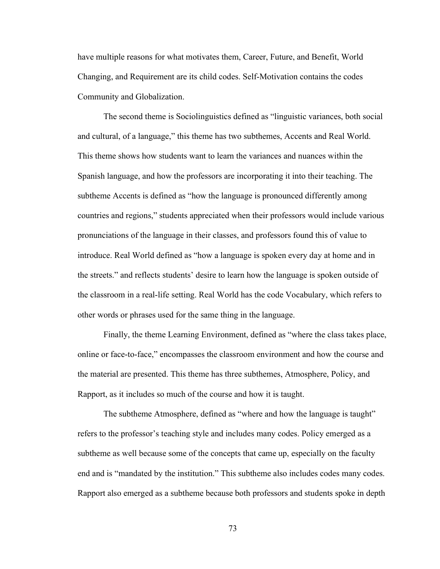have multiple reasons for what motivates them, Career, Future, and Benefit, World Changing, and Requirement are its child codes. Self-Motivation contains the codes Community and Globalization.

 The second theme is Sociolinguistics defined as "linguistic variances, both social and cultural, of a language," this theme has two subthemes, Accents and Real World. This theme shows how students want to learn the variances and nuances within the Spanish language, and how the professors are incorporating it into their teaching. The subtheme Accents is defined as "how the language is pronounced differently among countries and regions," students appreciated when their professors would include various pronunciations of the language in their classes, and professors found this of value to introduce. Real World defined as "how a language is spoken every day at home and in the streets." and reflects students' desire to learn how the language is spoken outside of the classroom in a real-life setting. Real World has the code Vocabulary, which refers to other words or phrases used for the same thing in the language.

 Finally, the theme Learning Environment, defined as "where the class takes place, online or face-to-face," encompasses the classroom environment and how the course and the material are presented. This theme has three subthemes, Atmosphere, Policy, and Rapport, as it includes so much of the course and how it is taught.

 The subtheme Atmosphere, defined as "where and how the language is taught" refers to the professor's teaching style and includes many codes. Policy emerged as a subtheme as well because some of the concepts that came up, especially on the faculty end and is "mandated by the institution." This subtheme also includes codes many codes. Rapport also emerged as a subtheme because both professors and students spoke in depth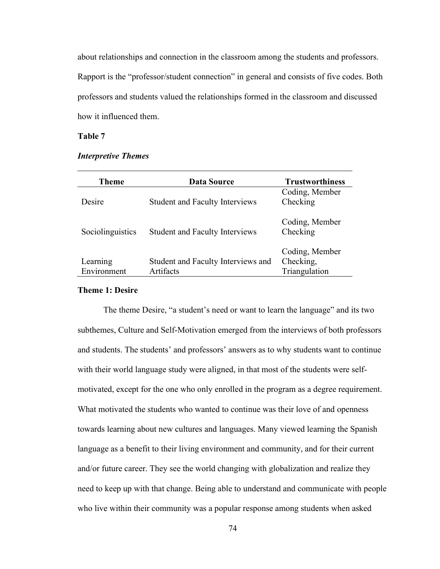about relationships and connection in the classroom among the students and professors. Rapport is the "professor/student connection" in general and consists of five codes. Both professors and students valued the relationships formed in the classroom and discussed how it influenced them.

# Table 7

| <b>Theme</b>            | <b>Data Source</b>                              | <b>Trustworthiness</b>                       |
|-------------------------|-------------------------------------------------|----------------------------------------------|
| Desire                  | <b>Student and Faculty Interviews</b>           | Coding, Member<br>Checking                   |
| Sociolinguistics        | <b>Student and Faculty Interviews</b>           | Coding, Member<br>Checking                   |
| Learning<br>Environment | Student and Faculty Interviews and<br>Artifacts | Coding, Member<br>Checking,<br>Triangulation |

### Interpretive Themes

#### Theme 1: Desire

 The theme Desire, "a student's need or want to learn the language" and its two subthemes, Culture and Self-Motivation emerged from the interviews of both professors and students. The students' and professors' answers as to why students want to continue with their world language study were aligned, in that most of the students were selfmotivated, except for the one who only enrolled in the program as a degree requirement. What motivated the students who wanted to continue was their love of and openness towards learning about new cultures and languages. Many viewed learning the Spanish language as a benefit to their living environment and community, and for their current and/or future career. They see the world changing with globalization and realize they need to keep up with that change. Being able to understand and communicate with people who live within their community was a popular response among students when asked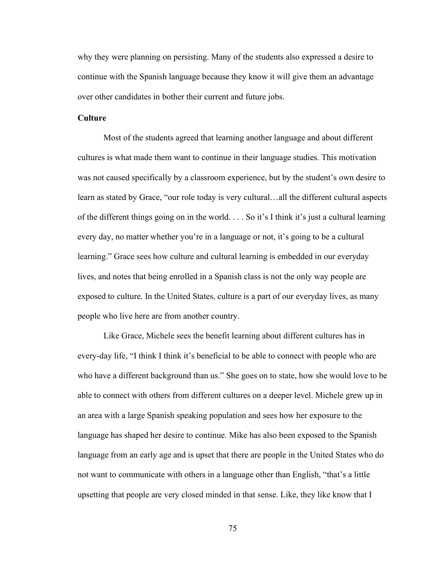why they were planning on persisting. Many of the students also expressed a desire to continue with the Spanish language because they know it will give them an advantage over other candidates in bother their current and future jobs.

## Culture

 Most of the students agreed that learning another language and about different cultures is what made them want to continue in their language studies. This motivation was not caused specifically by a classroom experience, but by the student's own desire to learn as stated by Grace, "our role today is very cultural…all the different cultural aspects of the different things going on in the world. . . . So it's I think it's just a cultural learning every day, no matter whether you're in a language or not, it's going to be a cultural learning." Grace sees how culture and cultural learning is embedded in our everyday lives, and notes that being enrolled in a Spanish class is not the only way people are exposed to culture. In the United States, culture is a part of our everyday lives, as many people who live here are from another country.

 Like Grace, Michele sees the benefit learning about different cultures has in every-day life, "I think I think it's beneficial to be able to connect with people who are who have a different background than us." She goes on to state, how she would love to be able to connect with others from different cultures on a deeper level. Michele grew up in an area with a large Spanish speaking population and sees how her exposure to the language has shaped her desire to continue. Mike has also been exposed to the Spanish language from an early age and is upset that there are people in the United States who do not want to communicate with others in a language other than English, "that's a little upsetting that people are very closed minded in that sense. Like, they like know that I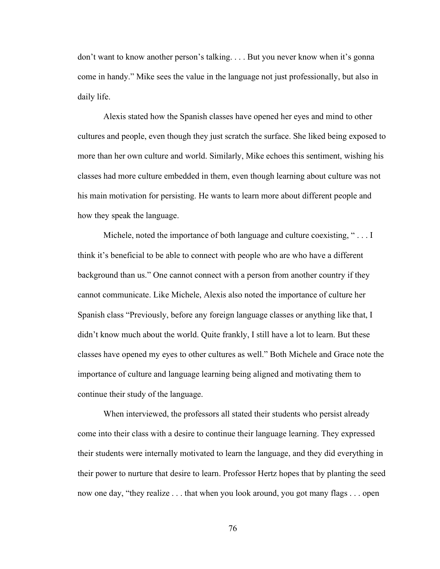don't want to know another person's talking. . . . But you never know when it's gonna come in handy." Mike sees the value in the language not just professionally, but also in daily life.

Alexis stated how the Spanish classes have opened her eyes and mind to other cultures and people, even though they just scratch the surface. She liked being exposed to more than her own culture and world. Similarly, Mike echoes this sentiment, wishing his classes had more culture embedded in them, even though learning about culture was not his main motivation for persisting. He wants to learn more about different people and how they speak the language.

Michele, noted the importance of both language and culture coexisting, " . . . I think it's beneficial to be able to connect with people who are who have a different background than us." One cannot connect with a person from another country if they cannot communicate. Like Michele, Alexis also noted the importance of culture her Spanish class "Previously, before any foreign language classes or anything like that, I didn't know much about the world. Quite frankly, I still have a lot to learn. But these classes have opened my eyes to other cultures as well." Both Michele and Grace note the importance of culture and language learning being aligned and motivating them to continue their study of the language.

When interviewed, the professors all stated their students who persist already come into their class with a desire to continue their language learning. They expressed their students were internally motivated to learn the language, and they did everything in their power to nurture that desire to learn. Professor Hertz hopes that by planting the seed now one day, "they realize . . . that when you look around, you got many flags . . . open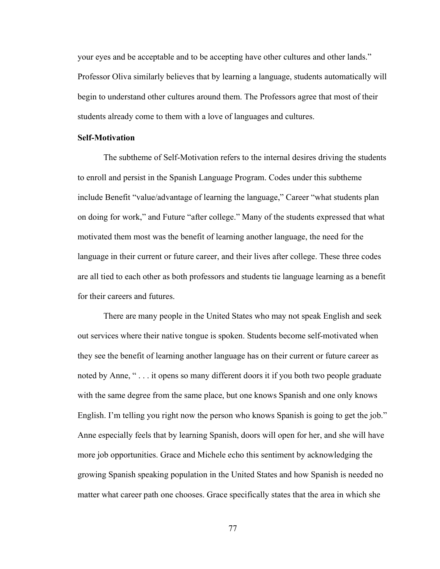your eyes and be acceptable and to be accepting have other cultures and other lands." Professor Oliva similarly believes that by learning a language, students automatically will begin to understand other cultures around them. The Professors agree that most of their students already come to them with a love of languages and cultures.

## Self-Motivation

 The subtheme of Self-Motivation refers to the internal desires driving the students to enroll and persist in the Spanish Language Program. Codes under this subtheme include Benefit "value/advantage of learning the language," Career "what students plan on doing for work," and Future "after college." Many of the students expressed that what motivated them most was the benefit of learning another language, the need for the language in their current or future career, and their lives after college. These three codes are all tied to each other as both professors and students tie language learning as a benefit for their careers and futures.

 There are many people in the United States who may not speak English and seek out services where their native tongue is spoken. Students become self-motivated when they see the benefit of learning another language has on their current or future career as noted by Anne, " . . . it opens so many different doors it if you both two people graduate with the same degree from the same place, but one knows Spanish and one only knows English. I'm telling you right now the person who knows Spanish is going to get the job." Anne especially feels that by learning Spanish, doors will open for her, and she will have more job opportunities. Grace and Michele echo this sentiment by acknowledging the growing Spanish speaking population in the United States and how Spanish is needed no matter what career path one chooses. Grace specifically states that the area in which she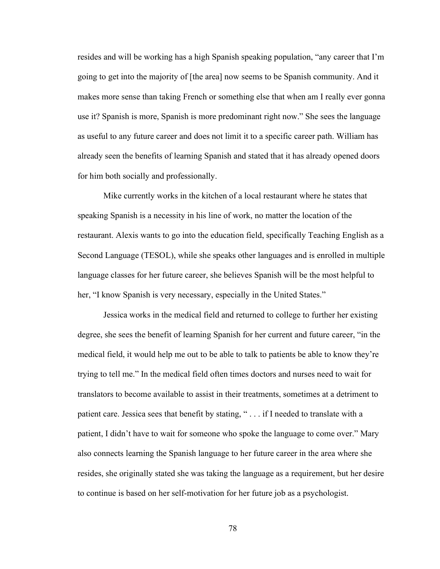resides and will be working has a high Spanish speaking population, "any career that I'm going to get into the majority of [the area] now seems to be Spanish community. And it makes more sense than taking French or something else that when am I really ever gonna use it? Spanish is more, Spanish is more predominant right now." She sees the language as useful to any future career and does not limit it to a specific career path. William has already seen the benefits of learning Spanish and stated that it has already opened doors for him both socially and professionally.

Mike currently works in the kitchen of a local restaurant where he states that speaking Spanish is a necessity in his line of work, no matter the location of the restaurant. Alexis wants to go into the education field, specifically Teaching English as a Second Language (TESOL), while she speaks other languages and is enrolled in multiple language classes for her future career, she believes Spanish will be the most helpful to her, "I know Spanish is very necessary, especially in the United States."

Jessica works in the medical field and returned to college to further her existing degree, she sees the benefit of learning Spanish for her current and future career, "in the medical field, it would help me out to be able to talk to patients be able to know they're trying to tell me." In the medical field often times doctors and nurses need to wait for translators to become available to assist in their treatments, sometimes at a detriment to patient care. Jessica sees that benefit by stating, " . . . if I needed to translate with a patient, I didn't have to wait for someone who spoke the language to come over." Mary also connects learning the Spanish language to her future career in the area where she resides, she originally stated she was taking the language as a requirement, but her desire to continue is based on her self-motivation for her future job as a psychologist.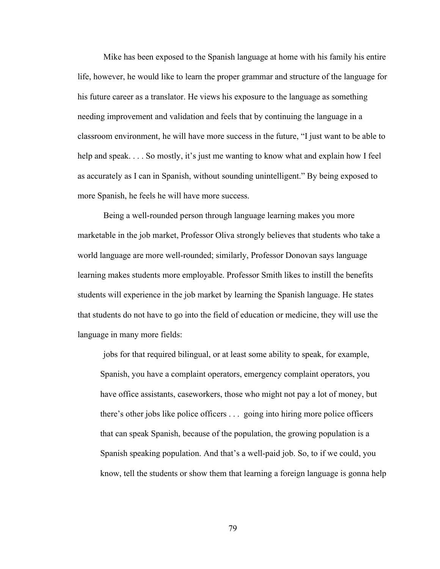Mike has been exposed to the Spanish language at home with his family his entire life, however, he would like to learn the proper grammar and structure of the language for his future career as a translator. He views his exposure to the language as something needing improvement and validation and feels that by continuing the language in a classroom environment, he will have more success in the future, "I just want to be able to help and speak. . . . So mostly, it's just me wanting to know what and explain how I feel as accurately as I can in Spanish, without sounding unintelligent." By being exposed to more Spanish, he feels he will have more success.

Being a well-rounded person through language learning makes you more marketable in the job market, Professor Oliva strongly believes that students who take a world language are more well-rounded; similarly, Professor Donovan says language learning makes students more employable. Professor Smith likes to instill the benefits students will experience in the job market by learning the Spanish language. He states that students do not have to go into the field of education or medicine, they will use the language in many more fields:

jobs for that required bilingual, or at least some ability to speak, for example, Spanish, you have a complaint operators, emergency complaint operators, you have office assistants, caseworkers, those who might not pay a lot of money, but there's other jobs like police officers . . . going into hiring more police officers that can speak Spanish, because of the population, the growing population is a Spanish speaking population. And that's a well-paid job. So, to if we could, you know, tell the students or show them that learning a foreign language is gonna help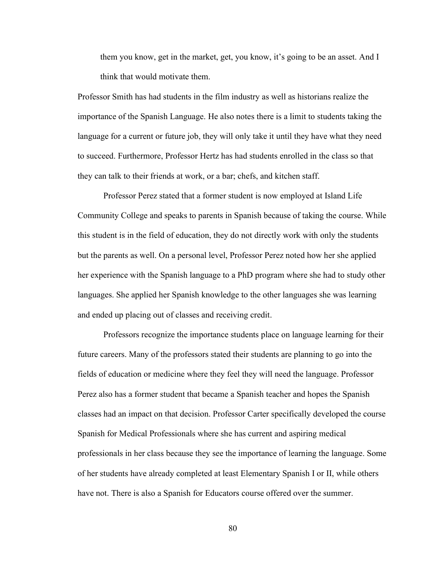them you know, get in the market, get, you know, it's going to be an asset. And I think that would motivate them.

Professor Smith has had students in the film industry as well as historians realize the importance of the Spanish Language. He also notes there is a limit to students taking the language for a current or future job, they will only take it until they have what they need to succeed. Furthermore, Professor Hertz has had students enrolled in the class so that they can talk to their friends at work, or a bar; chefs, and kitchen staff.

Professor Perez stated that a former student is now employed at Island Life Community College and speaks to parents in Spanish because of taking the course. While this student is in the field of education, they do not directly work with only the students but the parents as well. On a personal level, Professor Perez noted how her she applied her experience with the Spanish language to a PhD program where she had to study other languages. She applied her Spanish knowledge to the other languages she was learning and ended up placing out of classes and receiving credit.

Professors recognize the importance students place on language learning for their future careers. Many of the professors stated their students are planning to go into the fields of education or medicine where they feel they will need the language. Professor Perez also has a former student that became a Spanish teacher and hopes the Spanish classes had an impact on that decision. Professor Carter specifically developed the course Spanish for Medical Professionals where she has current and aspiring medical professionals in her class because they see the importance of learning the language. Some of her students have already completed at least Elementary Spanish I or II, while others have not. There is also a Spanish for Educators course offered over the summer.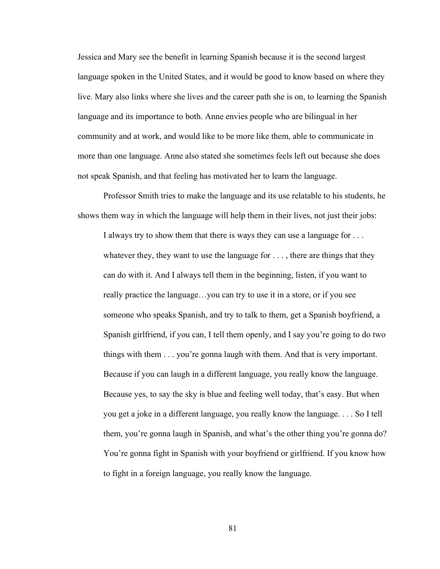Jessica and Mary see the benefit in learning Spanish because it is the second largest language spoken in the United States, and it would be good to know based on where they live. Mary also links where she lives and the career path she is on, to learning the Spanish language and its importance to both. Anne envies people who are bilingual in her community and at work, and would like to be more like them, able to communicate in more than one language. Anne also stated she sometimes feels left out because she does not speak Spanish, and that feeling has motivated her to learn the language.

Professor Smith tries to make the language and its use relatable to his students, he shows them way in which the language will help them in their lives, not just their jobs:

I always try to show them that there is ways they can use a language for . . . whatever they, they want to use the language for  $\dots$ , there are things that they can do with it. And I always tell them in the beginning, listen, if you want to really practice the language…you can try to use it in a store, or if you see someone who speaks Spanish, and try to talk to them, get a Spanish boyfriend, a Spanish girlfriend, if you can, I tell them openly, and I say you're going to do two things with them . . . you're gonna laugh with them. And that is very important. Because if you can laugh in a different language, you really know the language. Because yes, to say the sky is blue and feeling well today, that's easy. But when you get a joke in a different language, you really know the language. . . . So I tell them, you're gonna laugh in Spanish, and what's the other thing you're gonna do? You're gonna fight in Spanish with your boyfriend or girlfriend. If you know how to fight in a foreign language, you really know the language.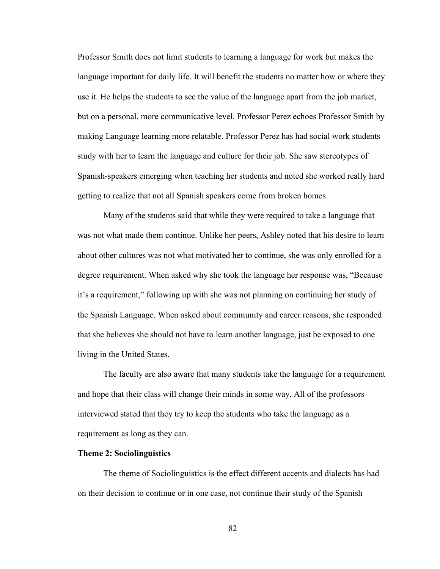Professor Smith does not limit students to learning a language for work but makes the language important for daily life. It will benefit the students no matter how or where they use it. He helps the students to see the value of the language apart from the job market, but on a personal, more communicative level. Professor Perez echoes Professor Smith by making Language learning more relatable. Professor Perez has had social work students study with her to learn the language and culture for their job. She saw stereotypes of Spanish-speakers emerging when teaching her students and noted she worked really hard getting to realize that not all Spanish speakers come from broken homes.

 Many of the students said that while they were required to take a language that was not what made them continue. Unlike her peers, Ashley noted that his desire to learn about other cultures was not what motivated her to continue, she was only enrolled for a degree requirement. When asked why she took the language her response was, "Because it's a requirement," following up with she was not planning on continuing her study of the Spanish Language. When asked about community and career reasons, she responded that she believes she should not have to learn another language, just be exposed to one living in the United States.

The faculty are also aware that many students take the language for a requirement and hope that their class will change their minds in some way. All of the professors interviewed stated that they try to keep the students who take the language as a requirement as long as they can.

### Theme 2: Sociolinguistics

The theme of Sociolinguistics is the effect different accents and dialects has had on their decision to continue or in one case, not continue their study of the Spanish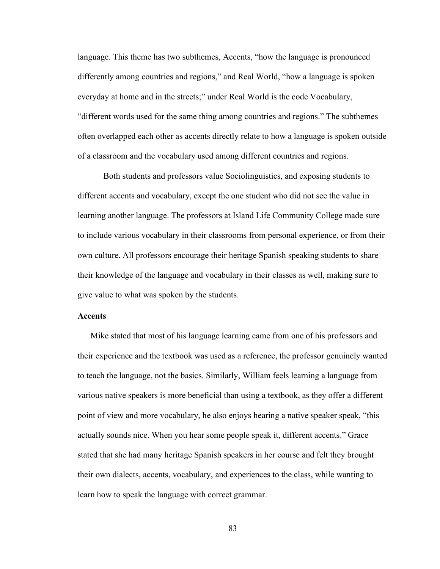language. This theme has two subthemes, Accents, "how the language is pronounced differently among countries and regions," and Real World, "how a language is spoken everyday at home and in the streets;" under Real World is the code Vocabulary, "different words used for the same thing among countries and regions." The subthemes often overlapped each other as accents directly relate to how a language is spoken outside of a classroom and the vocabulary used among different countries and regions.

Both students and professors value Sociolinguistics, and exposing students to different accents and vocabulary, except the one student who did not see the value in learning another language. The professors at Island Life Community College made sure to include various vocabulary in their classrooms from personal experience, or from their own culture. All professors encourage their heritage Spanish speaking students to share their knowledge of the language and vocabulary in their classes as well, making sure to give value to what was spoken by the students.

### Accents

Mike stated that most of his language learning came from one of his professors and their experience and the textbook was used as a reference, the professor genuinely wanted to teach the language, not the basics. Similarly, William feels learning a language from various native speakers is more beneficial than using a textbook, as they offer a different point of view and more vocabulary, he also enjoys hearing a native speaker speak, "this actually sounds nice. When you hear some people speak it, different accents." Grace stated that she had many heritage Spanish speakers in her course and felt they brought their own dialects, accents, vocabulary, and experiences to the class, while wanting to learn how to speak the language with correct grammar.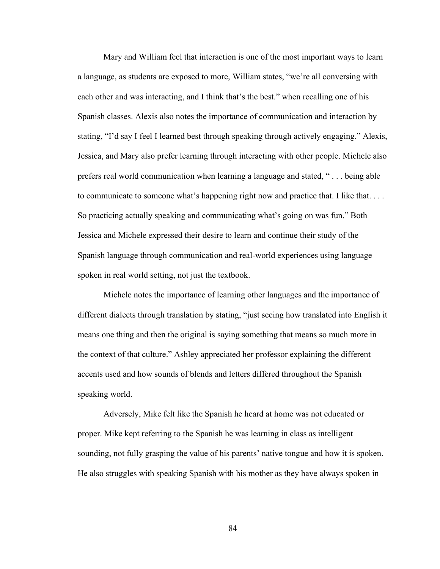Mary and William feel that interaction is one of the most important ways to learn a language, as students are exposed to more, William states, "we're all conversing with each other and was interacting, and I think that's the best." when recalling one of his Spanish classes. Alexis also notes the importance of communication and interaction by stating, "I'd say I feel I learned best through speaking through actively engaging." Alexis, Jessica, and Mary also prefer learning through interacting with other people. Michele also prefers real world communication when learning a language and stated, " . . . being able to communicate to someone what's happening right now and practice that. I like that... So practicing actually speaking and communicating what's going on was fun." Both Jessica and Michele expressed their desire to learn and continue their study of the Spanish language through communication and real-world experiences using language spoken in real world setting, not just the textbook.

 Michele notes the importance of learning other languages and the importance of different dialects through translation by stating, "just seeing how translated into English it means one thing and then the original is saying something that means so much more in the context of that culture." Ashley appreciated her professor explaining the different accents used and how sounds of blends and letters differed throughout the Spanish speaking world.

 Adversely, Mike felt like the Spanish he heard at home was not educated or proper. Mike kept referring to the Spanish he was learning in class as intelligent sounding, not fully grasping the value of his parents' native tongue and how it is spoken. He also struggles with speaking Spanish with his mother as they have always spoken in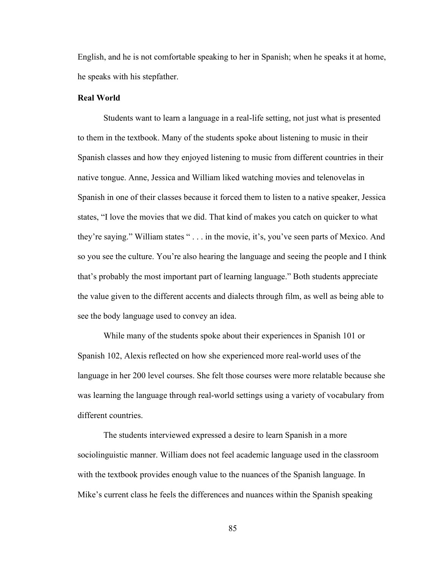English, and he is not comfortable speaking to her in Spanish; when he speaks it at home, he speaks with his stepfather.

### Real World

 Students want to learn a language in a real-life setting, not just what is presented to them in the textbook. Many of the students spoke about listening to music in their Spanish classes and how they enjoyed listening to music from different countries in their native tongue. Anne, Jessica and William liked watching movies and telenovelas in Spanish in one of their classes because it forced them to listen to a native speaker, Jessica states, "I love the movies that we did. That kind of makes you catch on quicker to what they're saying." William states " . . . in the movie, it's, you've seen parts of Mexico. And so you see the culture. You're also hearing the language and seeing the people and I think that's probably the most important part of learning language." Both students appreciate the value given to the different accents and dialects through film, as well as being able to see the body language used to convey an idea.

 While many of the students spoke about their experiences in Spanish 101 or Spanish 102, Alexis reflected on how she experienced more real-world uses of the language in her 200 level courses. She felt those courses were more relatable because she was learning the language through real-world settings using a variety of vocabulary from different countries.

 The students interviewed expressed a desire to learn Spanish in a more sociolinguistic manner. William does not feel academic language used in the classroom with the textbook provides enough value to the nuances of the Spanish language. In Mike's current class he feels the differences and nuances within the Spanish speaking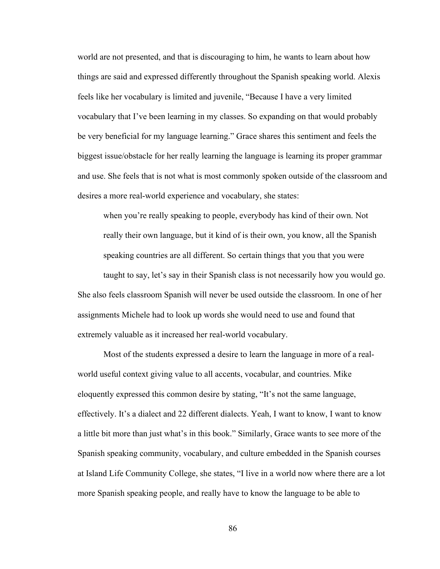world are not presented, and that is discouraging to him, he wants to learn about how things are said and expressed differently throughout the Spanish speaking world. Alexis feels like her vocabulary is limited and juvenile, "Because I have a very limited vocabulary that I've been learning in my classes. So expanding on that would probably be very beneficial for my language learning." Grace shares this sentiment and feels the biggest issue/obstacle for her really learning the language is learning its proper grammar and use. She feels that is not what is most commonly spoken outside of the classroom and desires a more real-world experience and vocabulary, she states:

when you're really speaking to people, everybody has kind of their own. Not really their own language, but it kind of is their own, you know, all the Spanish speaking countries are all different. So certain things that you that you were

taught to say, let's say in their Spanish class is not necessarily how you would go. She also feels classroom Spanish will never be used outside the classroom. In one of her assignments Michele had to look up words she would need to use and found that extremely valuable as it increased her real-world vocabulary.

 Most of the students expressed a desire to learn the language in more of a realworld useful context giving value to all accents, vocabular, and countries. Mike eloquently expressed this common desire by stating, "It's not the same language, effectively. It's a dialect and 22 different dialects. Yeah, I want to know, I want to know a little bit more than just what's in this book." Similarly, Grace wants to see more of the Spanish speaking community, vocabulary, and culture embedded in the Spanish courses at Island Life Community College, she states, "I live in a world now where there are a lot more Spanish speaking people, and really have to know the language to be able to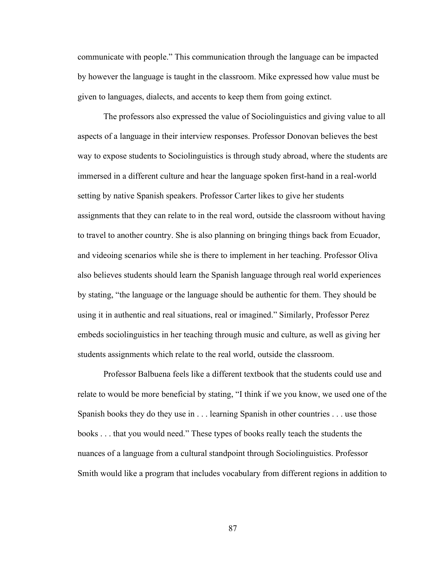communicate with people." This communication through the language can be impacted by however the language is taught in the classroom. Mike expressed how value must be given to languages, dialects, and accents to keep them from going extinct.

 The professors also expressed the value of Sociolinguistics and giving value to all aspects of a language in their interview responses. Professor Donovan believes the best way to expose students to Sociolinguistics is through study abroad, where the students are immersed in a different culture and hear the language spoken first-hand in a real-world setting by native Spanish speakers. Professor Carter likes to give her students assignments that they can relate to in the real word, outside the classroom without having to travel to another country. She is also planning on bringing things back from Ecuador, and videoing scenarios while she is there to implement in her teaching. Professor Oliva also believes students should learn the Spanish language through real world experiences by stating, "the language or the language should be authentic for them. They should be using it in authentic and real situations, real or imagined." Similarly, Professor Perez embeds sociolinguistics in her teaching through music and culture, as well as giving her students assignments which relate to the real world, outside the classroom.

 Professor Balbuena feels like a different textbook that the students could use and relate to would be more beneficial by stating, "I think if we you know, we used one of the Spanish books they do they use in . . . learning Spanish in other countries . . . use those books . . . that you would need." These types of books really teach the students the nuances of a language from a cultural standpoint through Sociolinguistics. Professor Smith would like a program that includes vocabulary from different regions in addition to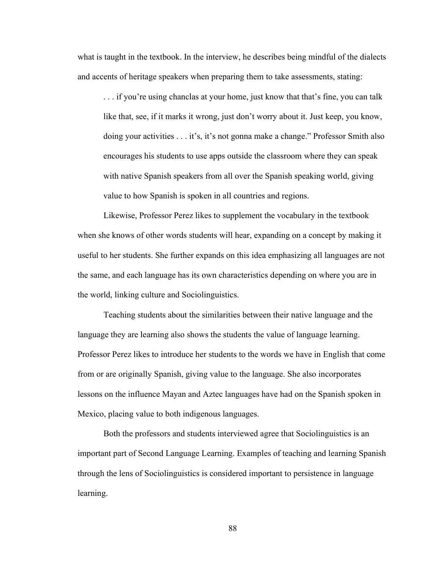what is taught in the textbook. In the interview, he describes being mindful of the dialects and accents of heritage speakers when preparing them to take assessments, stating:

. . . if you're using chanclas at your home, just know that that's fine, you can talk like that, see, if it marks it wrong, just don't worry about it. Just keep, you know, doing your activities . . . it's, it's not gonna make a change." Professor Smith also encourages his students to use apps outside the classroom where they can speak with native Spanish speakers from all over the Spanish speaking world, giving value to how Spanish is spoken in all countries and regions.

 Likewise, Professor Perez likes to supplement the vocabulary in the textbook when she knows of other words students will hear, expanding on a concept by making it useful to her students. She further expands on this idea emphasizing all languages are not the same, and each language has its own characteristics depending on where you are in the world, linking culture and Sociolinguistics.

 Teaching students about the similarities between their native language and the language they are learning also shows the students the value of language learning. Professor Perez likes to introduce her students to the words we have in English that come from or are originally Spanish, giving value to the language. She also incorporates lessons on the influence Mayan and Aztec languages have had on the Spanish spoken in Mexico, placing value to both indigenous languages.

 Both the professors and students interviewed agree that Sociolinguistics is an important part of Second Language Learning. Examples of teaching and learning Spanish through the lens of Sociolinguistics is considered important to persistence in language learning.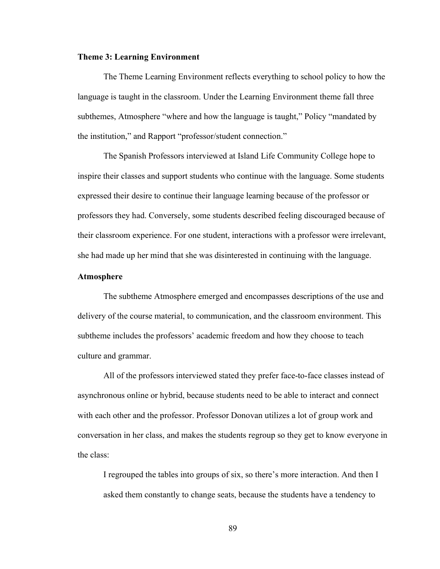### Theme 3: Learning Environment

 The Theme Learning Environment reflects everything to school policy to how the language is taught in the classroom. Under the Learning Environment theme fall three subthemes, Atmosphere "where and how the language is taught," Policy "mandated by the institution," and Rapport "professor/student connection."

 The Spanish Professors interviewed at Island Life Community College hope to inspire their classes and support students who continue with the language. Some students expressed their desire to continue their language learning because of the professor or professors they had. Conversely, some students described feeling discouraged because of their classroom experience. For one student, interactions with a professor were irrelevant, she had made up her mind that she was disinterested in continuing with the language.

## Atmosphere

 The subtheme Atmosphere emerged and encompasses descriptions of the use and delivery of the course material, to communication, and the classroom environment. This subtheme includes the professors' academic freedom and how they choose to teach culture and grammar.

 All of the professors interviewed stated they prefer face-to-face classes instead of asynchronous online or hybrid, because students need to be able to interact and connect with each other and the professor. Professor Donovan utilizes a lot of group work and conversation in her class, and makes the students regroup so they get to know everyone in the class:

I regrouped the tables into groups of six, so there's more interaction. And then I asked them constantly to change seats, because the students have a tendency to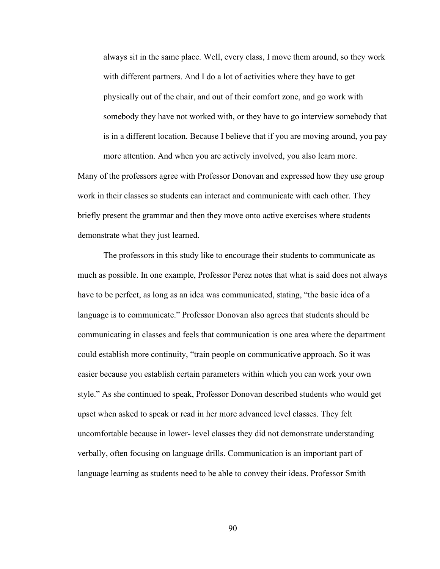always sit in the same place. Well, every class, I move them around, so they work with different partners. And I do a lot of activities where they have to get physically out of the chair, and out of their comfort zone, and go work with somebody they have not worked with, or they have to go interview somebody that is in a different location. Because I believe that if you are moving around, you pay more attention. And when you are actively involved, you also learn more.

Many of the professors agree with Professor Donovan and expressed how they use group work in their classes so students can interact and communicate with each other. They briefly present the grammar and then they move onto active exercises where students demonstrate what they just learned.

 The professors in this study like to encourage their students to communicate as much as possible. In one example, Professor Perez notes that what is said does not always have to be perfect, as long as an idea was communicated, stating, "the basic idea of a language is to communicate." Professor Donovan also agrees that students should be communicating in classes and feels that communication is one area where the department could establish more continuity, "train people on communicative approach. So it was easier because you establish certain parameters within which you can work your own style." As she continued to speak, Professor Donovan described students who would get upset when asked to speak or read in her more advanced level classes. They felt uncomfortable because in lower- level classes they did not demonstrate understanding verbally, often focusing on language drills. Communication is an important part of language learning as students need to be able to convey their ideas. Professor Smith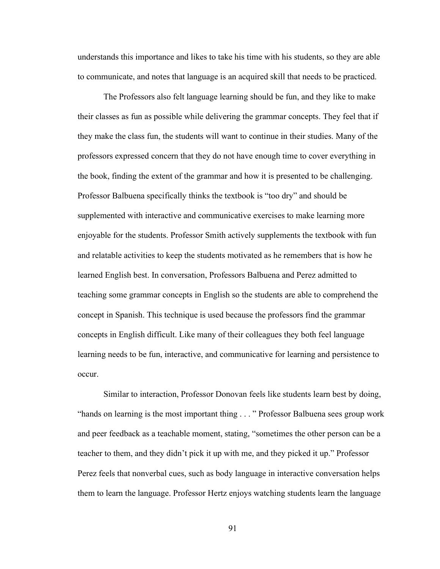understands this importance and likes to take his time with his students, so they are able to communicate, and notes that language is an acquired skill that needs to be practiced.

 The Professors also felt language learning should be fun, and they like to make their classes as fun as possible while delivering the grammar concepts. They feel that if they make the class fun, the students will want to continue in their studies. Many of the professors expressed concern that they do not have enough time to cover everything in the book, finding the extent of the grammar and how it is presented to be challenging. Professor Balbuena specifically thinks the textbook is "too dry" and should be supplemented with interactive and communicative exercises to make learning more enjoyable for the students. Professor Smith actively supplements the textbook with fun and relatable activities to keep the students motivated as he remembers that is how he learned English best. In conversation, Professors Balbuena and Perez admitted to teaching some grammar concepts in English so the students are able to comprehend the concept in Spanish. This technique is used because the professors find the grammar concepts in English difficult. Like many of their colleagues they both feel language learning needs to be fun, interactive, and communicative for learning and persistence to occur.

 Similar to interaction, Professor Donovan feels like students learn best by doing, "hands on learning is the most important thing . . . " Professor Balbuena sees group work and peer feedback as a teachable moment, stating, "sometimes the other person can be a teacher to them, and they didn't pick it up with me, and they picked it up." Professor Perez feels that nonverbal cues, such as body language in interactive conversation helps them to learn the language. Professor Hertz enjoys watching students learn the language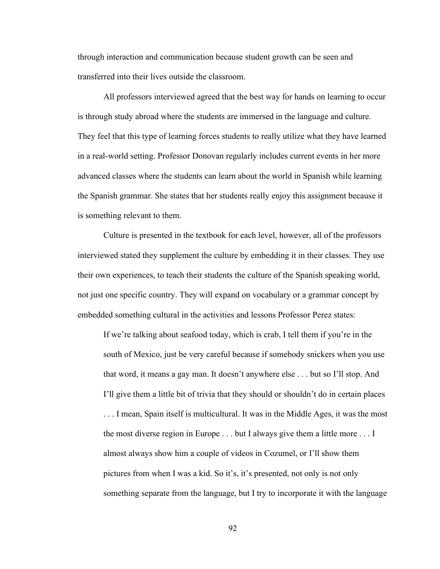through interaction and communication because student growth can be seen and transferred into their lives outside the classroom.

 All professors interviewed agreed that the best way for hands on learning to occur is through study abroad where the students are immersed in the language and culture. They feel that this type of learning forces students to really utilize what they have learned in a real-world setting. Professor Donovan regularly includes current events in her more advanced classes where the students can learn about the world in Spanish while learning the Spanish grammar. She states that her students really enjoy this assignment because it is something relevant to them.

 Culture is presented in the textbook for each level, however, all of the professors interviewed stated they supplement the culture by embedding it in their classes. They use their own experiences, to teach their students the culture of the Spanish speaking world, not just one specific country. They will expand on vocabulary or a grammar concept by embedded something cultural in the activities and lessons Professor Perez states:

If we're talking about seafood today, which is crab, I tell them if you're in the south of Mexico, just be very careful because if somebody snickers when you use that word, it means a gay man. It doesn't anywhere else . . . but so I'll stop. And I'll give them a little bit of trivia that they should or shouldn't do in certain places . . . I mean, Spain itself is multicultural. It was in the Middle Ages, it was the most the most diverse region in Europe . . . but I always give them a little more . . . I almost always show him a couple of videos in Cozumel, or I'll show them pictures from when I was a kid. So it's, it's presented, not only is not only something separate from the language, but I try to incorporate it with the language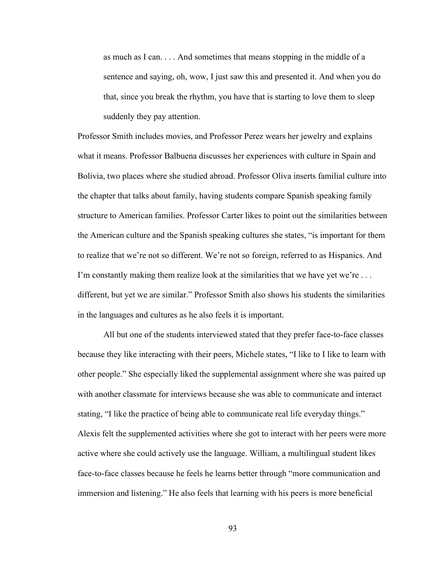as much as I can. . . . And sometimes that means stopping in the middle of a sentence and saying, oh, wow, I just saw this and presented it. And when you do that, since you break the rhythm, you have that is starting to love them to sleep suddenly they pay attention.

Professor Smith includes movies, and Professor Perez wears her jewelry and explains what it means. Professor Balbuena discusses her experiences with culture in Spain and Bolivia, two places where she studied abroad. Professor Oliva inserts familial culture into the chapter that talks about family, having students compare Spanish speaking family structure to American families. Professor Carter likes to point out the similarities between the American culture and the Spanish speaking cultures she states, "is important for them to realize that we're not so different. We're not so foreign, referred to as Hispanics. And I'm constantly making them realize look at the similarities that we have yet we're ... different, but yet we are similar." Professor Smith also shows his students the similarities in the languages and cultures as he also feels it is important.

 All but one of the students interviewed stated that they prefer face-to-face classes because they like interacting with their peers, Michele states, "I like to I like to learn with other people." She especially liked the supplemental assignment where she was paired up with another classmate for interviews because she was able to communicate and interact stating, "I like the practice of being able to communicate real life everyday things." Alexis felt the supplemented activities where she got to interact with her peers were more active where she could actively use the language. William, a multilingual student likes face-to-face classes because he feels he learns better through "more communication and immersion and listening." He also feels that learning with his peers is more beneficial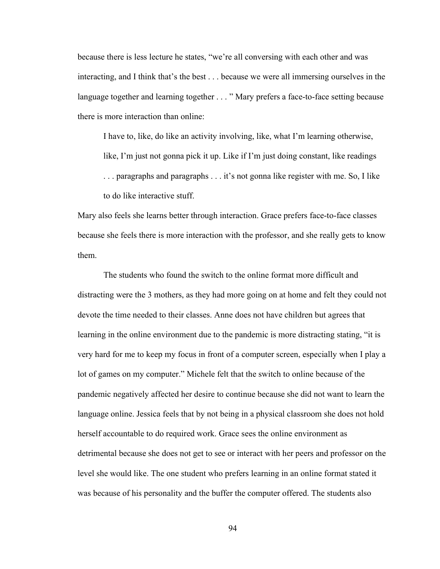because there is less lecture he states, "we're all conversing with each other and was interacting, and I think that's the best . . . because we were all immersing ourselves in the language together and learning together . . . " Mary prefers a face-to-face setting because there is more interaction than online:

I have to, like, do like an activity involving, like, what I'm learning otherwise,

like, I'm just not gonna pick it up. Like if I'm just doing constant, like readings

. . . paragraphs and paragraphs . . . it's not gonna like register with me. So, I like to do like interactive stuff.

Mary also feels she learns better through interaction. Grace prefers face-to-face classes because she feels there is more interaction with the professor, and she really gets to know them.

 The students who found the switch to the online format more difficult and distracting were the 3 mothers, as they had more going on at home and felt they could not devote the time needed to their classes. Anne does not have children but agrees that learning in the online environment due to the pandemic is more distracting stating, "it is very hard for me to keep my focus in front of a computer screen, especially when I play a lot of games on my computer." Michele felt that the switch to online because of the pandemic negatively affected her desire to continue because she did not want to learn the language online. Jessica feels that by not being in a physical classroom she does not hold herself accountable to do required work. Grace sees the online environment as detrimental because she does not get to see or interact with her peers and professor on the level she would like. The one student who prefers learning in an online format stated it was because of his personality and the buffer the computer offered. The students also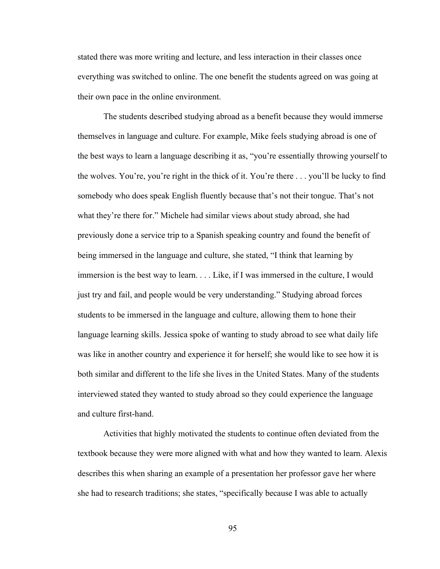stated there was more writing and lecture, and less interaction in their classes once everything was switched to online. The one benefit the students agreed on was going at their own pace in the online environment.

 The students described studying abroad as a benefit because they would immerse themselves in language and culture. For example, Mike feels studying abroad is one of the best ways to learn a language describing it as, "you're essentially throwing yourself to the wolves. You're, you're right in the thick of it. You're there . . . you'll be lucky to find somebody who does speak English fluently because that's not their tongue. That's not what they're there for." Michele had similar views about study abroad, she had previously done a service trip to a Spanish speaking country and found the benefit of being immersed in the language and culture, she stated, "I think that learning by immersion is the best way to learn. . . . Like, if I was immersed in the culture, I would just try and fail, and people would be very understanding." Studying abroad forces students to be immersed in the language and culture, allowing them to hone their language learning skills. Jessica spoke of wanting to study abroad to see what daily life was like in another country and experience it for herself; she would like to see how it is both similar and different to the life she lives in the United States. Many of the students interviewed stated they wanted to study abroad so they could experience the language and culture first-hand.

 Activities that highly motivated the students to continue often deviated from the textbook because they were more aligned with what and how they wanted to learn. Alexis describes this when sharing an example of a presentation her professor gave her where she had to research traditions; she states, "specifically because I was able to actually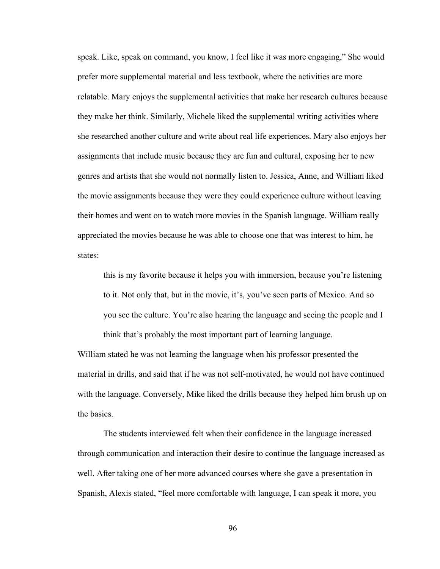speak. Like, speak on command, you know, I feel like it was more engaging," She would prefer more supplemental material and less textbook, where the activities are more relatable. Mary enjoys the supplemental activities that make her research cultures because they make her think. Similarly, Michele liked the supplemental writing activities where she researched another culture and write about real life experiences. Mary also enjoys her assignments that include music because they are fun and cultural, exposing her to new genres and artists that she would not normally listen to. Jessica, Anne, and William liked the movie assignments because they were they could experience culture without leaving their homes and went on to watch more movies in the Spanish language. William really appreciated the movies because he was able to choose one that was interest to him, he states:

this is my favorite because it helps you with immersion, because you're listening to it. Not only that, but in the movie, it's, you've seen parts of Mexico. And so you see the culture. You're also hearing the language and seeing the people and I think that's probably the most important part of learning language.

William stated he was not learning the language when his professor presented the material in drills, and said that if he was not self-motivated, he would not have continued with the language. Conversely, Mike liked the drills because they helped him brush up on the basics.

 The students interviewed felt when their confidence in the language increased through communication and interaction their desire to continue the language increased as well. After taking one of her more advanced courses where she gave a presentation in Spanish, Alexis stated, "feel more comfortable with language, I can speak it more, you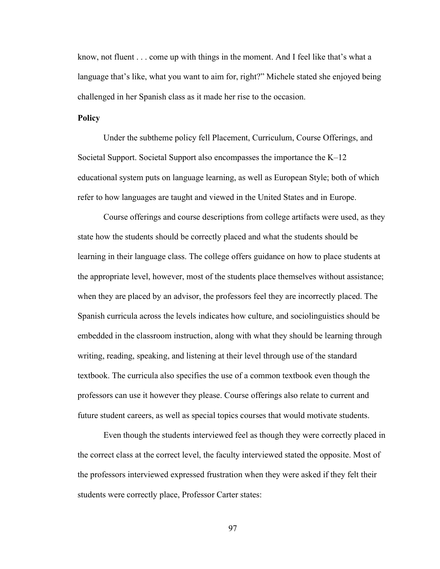know, not fluent . . . come up with things in the moment. And I feel like that's what a language that's like, what you want to aim for, right?" Michele stated she enjoyed being challenged in her Spanish class as it made her rise to the occasion.

## **Policy**

Under the subtheme policy fell Placement, Curriculum, Course Offerings, and Societal Support. Societal Support also encompasses the importance the K–12 educational system puts on language learning, as well as European Style; both of which refer to how languages are taught and viewed in the United States and in Europe.

 Course offerings and course descriptions from college artifacts were used, as they state how the students should be correctly placed and what the students should be learning in their language class. The college offers guidance on how to place students at the appropriate level, however, most of the students place themselves without assistance; when they are placed by an advisor, the professors feel they are incorrectly placed. The Spanish curricula across the levels indicates how culture, and sociolinguistics should be embedded in the classroom instruction, along with what they should be learning through writing, reading, speaking, and listening at their level through use of the standard textbook. The curricula also specifies the use of a common textbook even though the professors can use it however they please. Course offerings also relate to current and future student careers, as well as special topics courses that would motivate students.

 Even though the students interviewed feel as though they were correctly placed in the correct class at the correct level, the faculty interviewed stated the opposite. Most of the professors interviewed expressed frustration when they were asked if they felt their students were correctly place, Professor Carter states: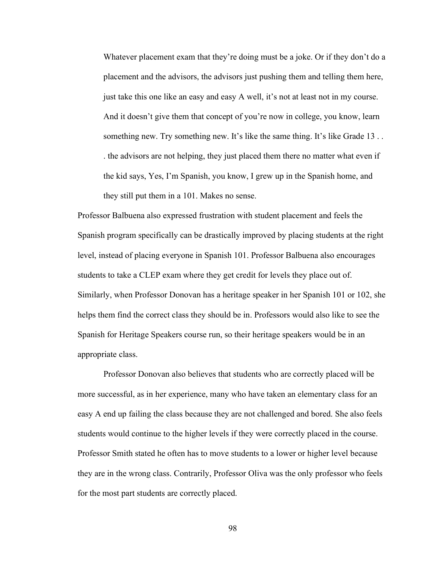Whatever placement exam that they're doing must be a joke. Or if they don't do a placement and the advisors, the advisors just pushing them and telling them here, just take this one like an easy and easy A well, it's not at least not in my course. And it doesn't give them that concept of you're now in college, you know, learn something new. Try something new. It's like the same thing. It's like Grade 13 . . . the advisors are not helping, they just placed them there no matter what even if the kid says, Yes, I'm Spanish, you know, I grew up in the Spanish home, and they still put them in a 101. Makes no sense.

Professor Balbuena also expressed frustration with student placement and feels the Spanish program specifically can be drastically improved by placing students at the right level, instead of placing everyone in Spanish 101. Professor Balbuena also encourages students to take a CLEP exam where they get credit for levels they place out of. Similarly, when Professor Donovan has a heritage speaker in her Spanish 101 or 102, she helps them find the correct class they should be in. Professors would also like to see the Spanish for Heritage Speakers course run, so their heritage speakers would be in an appropriate class.

 Professor Donovan also believes that students who are correctly placed will be more successful, as in her experience, many who have taken an elementary class for an easy A end up failing the class because they are not challenged and bored. She also feels students would continue to the higher levels if they were correctly placed in the course. Professor Smith stated he often has to move students to a lower or higher level because they are in the wrong class. Contrarily, Professor Oliva was the only professor who feels for the most part students are correctly placed.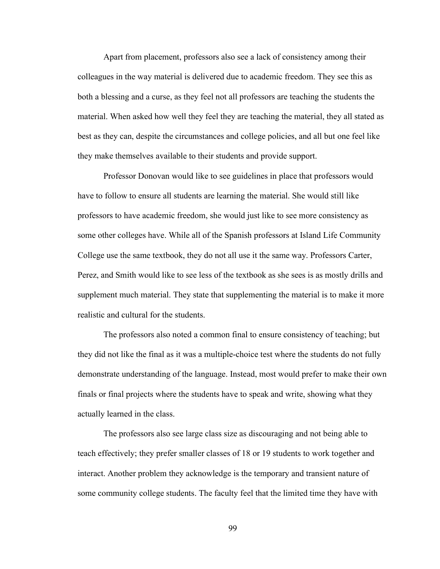Apart from placement, professors also see a lack of consistency among their colleagues in the way material is delivered due to academic freedom. They see this as both a blessing and a curse, as they feel not all professors are teaching the students the material. When asked how well they feel they are teaching the material, they all stated as best as they can, despite the circumstances and college policies, and all but one feel like they make themselves available to their students and provide support.

 Professor Donovan would like to see guidelines in place that professors would have to follow to ensure all students are learning the material. She would still like professors to have academic freedom, she would just like to see more consistency as some other colleges have. While all of the Spanish professors at Island Life Community College use the same textbook, they do not all use it the same way. Professors Carter, Perez, and Smith would like to see less of the textbook as she sees is as mostly drills and supplement much material. They state that supplementing the material is to make it more realistic and cultural for the students.

 The professors also noted a common final to ensure consistency of teaching; but they did not like the final as it was a multiple-choice test where the students do not fully demonstrate understanding of the language. Instead, most would prefer to make their own finals or final projects where the students have to speak and write, showing what they actually learned in the class.

 The professors also see large class size as discouraging and not being able to teach effectively; they prefer smaller classes of 18 or 19 students to work together and interact. Another problem they acknowledge is the temporary and transient nature of some community college students. The faculty feel that the limited time they have with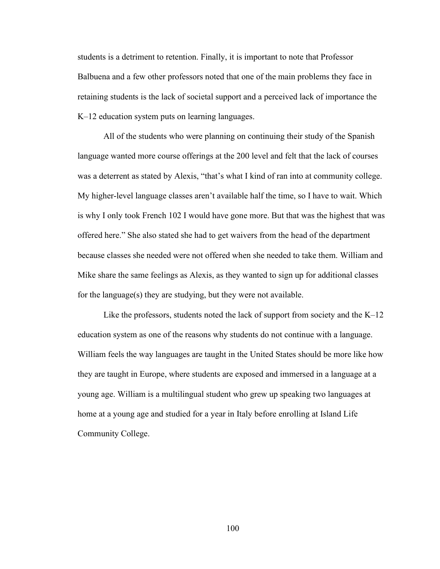students is a detriment to retention. Finally, it is important to note that Professor Balbuena and a few other professors noted that one of the main problems they face in retaining students is the lack of societal support and a perceived lack of importance the K–12 education system puts on learning languages.

 All of the students who were planning on continuing their study of the Spanish language wanted more course offerings at the 200 level and felt that the lack of courses was a deterrent as stated by Alexis, "that's what I kind of ran into at community college. My higher-level language classes aren't available half the time, so I have to wait. Which is why I only took French 102 I would have gone more. But that was the highest that was offered here." She also stated she had to get waivers from the head of the department because classes she needed were not offered when she needed to take them. William and Mike share the same feelings as Alexis, as they wanted to sign up for additional classes for the language(s) they are studying, but they were not available.

 Like the professors, students noted the lack of support from society and the K–12 education system as one of the reasons why students do not continue with a language. William feels the way languages are taught in the United States should be more like how they are taught in Europe, where students are exposed and immersed in a language at a young age. William is a multilingual student who grew up speaking two languages at home at a young age and studied for a year in Italy before enrolling at Island Life Community College.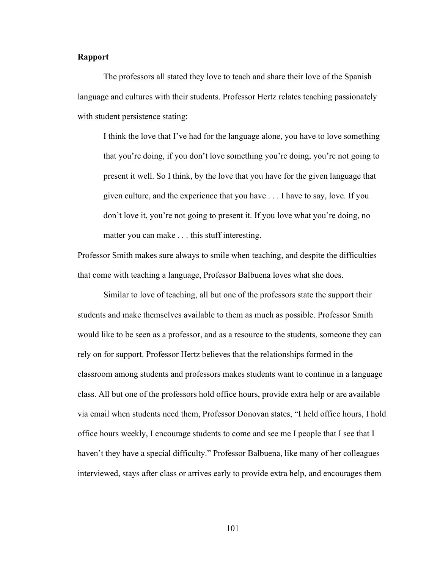### Rapport

 The professors all stated they love to teach and share their love of the Spanish language and cultures with their students. Professor Hertz relates teaching passionately with student persistence stating:

I think the love that I've had for the language alone, you have to love something that you're doing, if you don't love something you're doing, you're not going to present it well. So I think, by the love that you have for the given language that given culture, and the experience that you have . . . I have to say, love. If you don't love it, you're not going to present it. If you love what you're doing, no matter you can make . . . this stuff interesting.

Professor Smith makes sure always to smile when teaching, and despite the difficulties that come with teaching a language, Professor Balbuena loves what she does.

 Similar to love of teaching, all but one of the professors state the support their students and make themselves available to them as much as possible. Professor Smith would like to be seen as a professor, and as a resource to the students, someone they can rely on for support. Professor Hertz believes that the relationships formed in the classroom among students and professors makes students want to continue in a language class. All but one of the professors hold office hours, provide extra help or are available via email when students need them, Professor Donovan states, "I held office hours, I hold office hours weekly, I encourage students to come and see me I people that I see that I haven't they have a special difficulty." Professor Balbuena, like many of her colleagues interviewed, stays after class or arrives early to provide extra help, and encourages them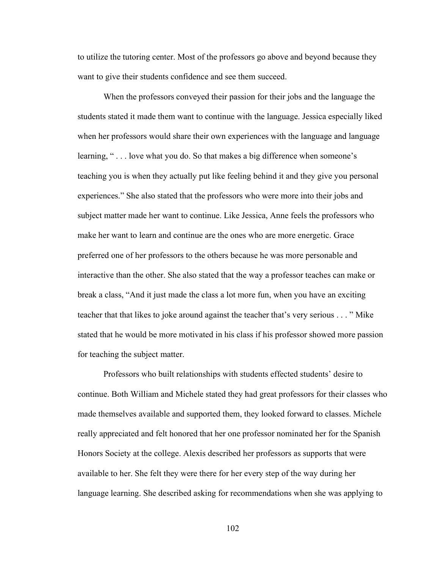to utilize the tutoring center. Most of the professors go above and beyond because they want to give their students confidence and see them succeed.

 When the professors conveyed their passion for their jobs and the language the students stated it made them want to continue with the language. Jessica especially liked when her professors would share their own experiences with the language and language learning, "... love what you do. So that makes a big difference when someone's teaching you is when they actually put like feeling behind it and they give you personal experiences." She also stated that the professors who were more into their jobs and subject matter made her want to continue. Like Jessica, Anne feels the professors who make her want to learn and continue are the ones who are more energetic. Grace preferred one of her professors to the others because he was more personable and interactive than the other. She also stated that the way a professor teaches can make or break a class, "And it just made the class a lot more fun, when you have an exciting teacher that that likes to joke around against the teacher that's very serious . . . " Mike stated that he would be more motivated in his class if his professor showed more passion for teaching the subject matter.

 Professors who built relationships with students effected students' desire to continue. Both William and Michele stated they had great professors for their classes who made themselves available and supported them, they looked forward to classes. Michele really appreciated and felt honored that her one professor nominated her for the Spanish Honors Society at the college. Alexis described her professors as supports that were available to her. She felt they were there for her every step of the way during her language learning. She described asking for recommendations when she was applying to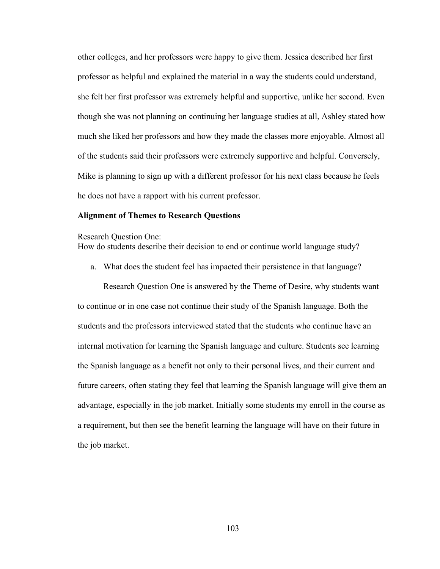other colleges, and her professors were happy to give them. Jessica described her first professor as helpful and explained the material in a way the students could understand, she felt her first professor was extremely helpful and supportive, unlike her second. Even though she was not planning on continuing her language studies at all, Ashley stated how much she liked her professors and how they made the classes more enjoyable. Almost all of the students said their professors were extremely supportive and helpful. Conversely, Mike is planning to sign up with a different professor for his next class because he feels he does not have a rapport with his current professor.

# Alignment of Themes to Research Questions

#### Research Question One:

How do students describe their decision to end or continue world language study?

a. What does the student feel has impacted their persistence in that language?

Research Question One is answered by the Theme of Desire, why students want to continue or in one case not continue their study of the Spanish language. Both the students and the professors interviewed stated that the students who continue have an internal motivation for learning the Spanish language and culture. Students see learning the Spanish language as a benefit not only to their personal lives, and their current and future careers, often stating they feel that learning the Spanish language will give them an advantage, especially in the job market. Initially some students my enroll in the course as a requirement, but then see the benefit learning the language will have on their future in the job market.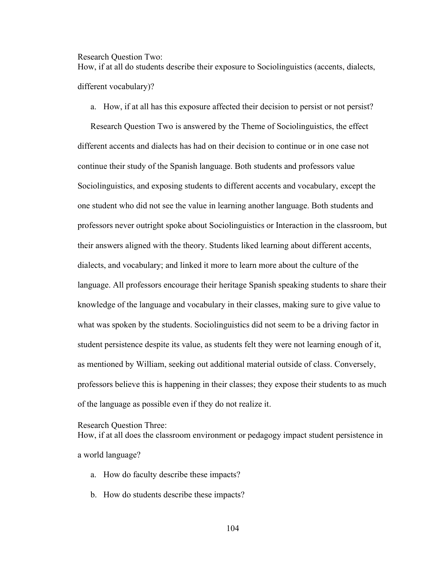Research Question Two:

How, if at all do students describe their exposure to Sociolinguistics (accents, dialects, different vocabulary)?

a. How, if at all has this exposure affected their decision to persist or not persist?

Research Question Two is answered by the Theme of Sociolinguistics, the effect different accents and dialects has had on their decision to continue or in one case not continue their study of the Spanish language. Both students and professors value Sociolinguistics, and exposing students to different accents and vocabulary, except the one student who did not see the value in learning another language. Both students and professors never outright spoke about Sociolinguistics or Interaction in the classroom, but their answers aligned with the theory. Students liked learning about different accents, dialects, and vocabulary; and linked it more to learn more about the culture of the language. All professors encourage their heritage Spanish speaking students to share their knowledge of the language and vocabulary in their classes, making sure to give value to what was spoken by the students. Sociolinguistics did not seem to be a driving factor in student persistence despite its value, as students felt they were not learning enough of it, as mentioned by William, seeking out additional material outside of class. Conversely, professors believe this is happening in their classes; they expose their students to as much of the language as possible even if they do not realize it.

### Research Question Three:

How, if at all does the classroom environment or pedagogy impact student persistence in

a world language?

- a. How do faculty describe these impacts?
- b. How do students describe these impacts?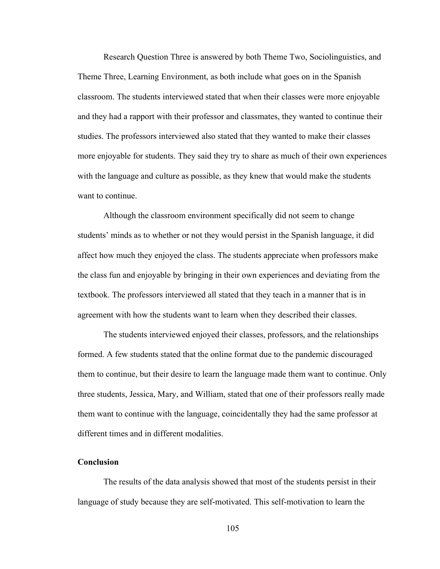Research Question Three is answered by both Theme Two, Sociolinguistics, and Theme Three, Learning Environment, as both include what goes on in the Spanish classroom. The students interviewed stated that when their classes were more enjoyable and they had a rapport with their professor and classmates, they wanted to continue their studies. The professors interviewed also stated that they wanted to make their classes more enjoyable for students. They said they try to share as much of their own experiences with the language and culture as possible, as they knew that would make the students want to continue.

 Although the classroom environment specifically did not seem to change students' minds as to whether or not they would persist in the Spanish language, it did affect how much they enjoyed the class. The students appreciate when professors make the class fun and enjoyable by bringing in their own experiences and deviating from the textbook. The professors interviewed all stated that they teach in a manner that is in agreement with how the students want to learn when they described their classes.

 The students interviewed enjoyed their classes, professors, and the relationships formed. A few students stated that the online format due to the pandemic discouraged them to continue, but their desire to learn the language made them want to continue. Only three students, Jessica, Mary, and William, stated that one of their professors really made them want to continue with the language, coincidentally they had the same professor at different times and in different modalities.

# Conclusion

 The results of the data analysis showed that most of the students persist in their language of study because they are self-motivated. This self-motivation to learn the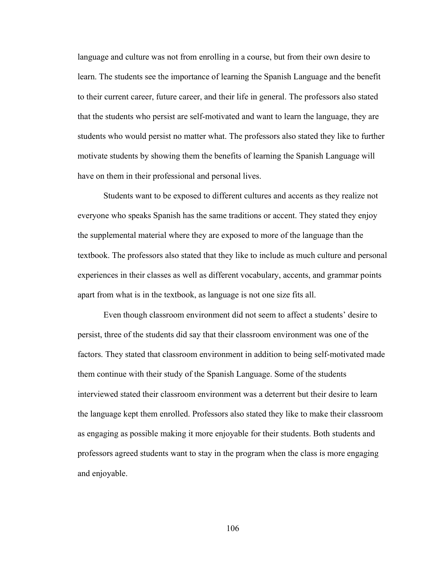language and culture was not from enrolling in a course, but from their own desire to learn. The students see the importance of learning the Spanish Language and the benefit to their current career, future career, and their life in general. The professors also stated that the students who persist are self-motivated and want to learn the language, they are students who would persist no matter what. The professors also stated they like to further motivate students by showing them the benefits of learning the Spanish Language will have on them in their professional and personal lives.

 Students want to be exposed to different cultures and accents as they realize not everyone who speaks Spanish has the same traditions or accent. They stated they enjoy the supplemental material where they are exposed to more of the language than the textbook. The professors also stated that they like to include as much culture and personal experiences in their classes as well as different vocabulary, accents, and grammar points apart from what is in the textbook, as language is not one size fits all.

 Even though classroom environment did not seem to affect a students' desire to persist, three of the students did say that their classroom environment was one of the factors. They stated that classroom environment in addition to being self-motivated made them continue with their study of the Spanish Language. Some of the students interviewed stated their classroom environment was a deterrent but their desire to learn the language kept them enrolled. Professors also stated they like to make their classroom as engaging as possible making it more enjoyable for their students. Both students and professors agreed students want to stay in the program when the class is more engaging and enjoyable.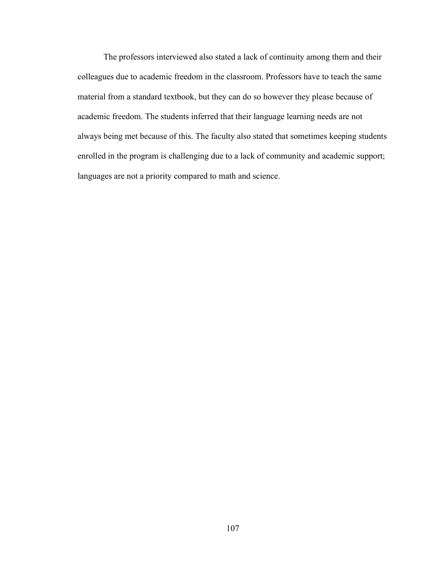The professors interviewed also stated a lack of continuity among them and their colleagues due to academic freedom in the classroom. Professors have to teach the same material from a standard textbook, but they can do so however they please because of academic freedom. The students inferred that their language learning needs are not always being met because of this. The faculty also stated that sometimes keeping students enrolled in the program is challenging due to a lack of community and academic support; languages are not a priority compared to math and science.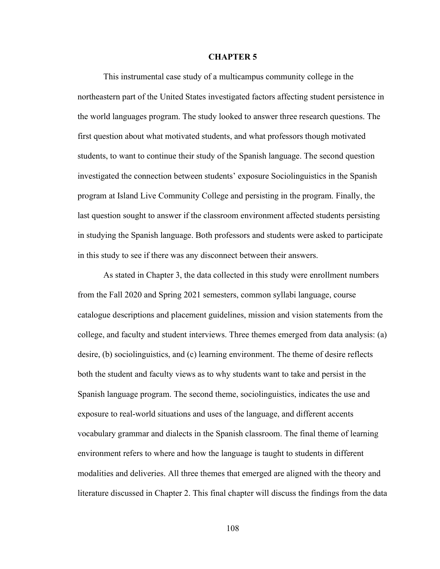### CHAPTER 5

This instrumental case study of a multicampus community college in the northeastern part of the United States investigated factors affecting student persistence in the world languages program. The study looked to answer three research questions. The first question about what motivated students, and what professors though motivated students, to want to continue their study of the Spanish language. The second question investigated the connection between students' exposure Sociolinguistics in the Spanish program at Island Live Community College and persisting in the program. Finally, the last question sought to answer if the classroom environment affected students persisting in studying the Spanish language. Both professors and students were asked to participate in this study to see if there was any disconnect between their answers.

As stated in Chapter 3, the data collected in this study were enrollment numbers from the Fall 2020 and Spring 2021 semesters, common syllabi language, course catalogue descriptions and placement guidelines, mission and vision statements from the college, and faculty and student interviews. Three themes emerged from data analysis: (a) desire, (b) sociolinguistics, and (c) learning environment. The theme of desire reflects both the student and faculty views as to why students want to take and persist in the Spanish language program. The second theme, sociolinguistics, indicates the use and exposure to real-world situations and uses of the language, and different accents vocabulary grammar and dialects in the Spanish classroom. The final theme of learning environment refers to where and how the language is taught to students in different modalities and deliveries. All three themes that emerged are aligned with the theory and literature discussed in Chapter 2. This final chapter will discuss the findings from the data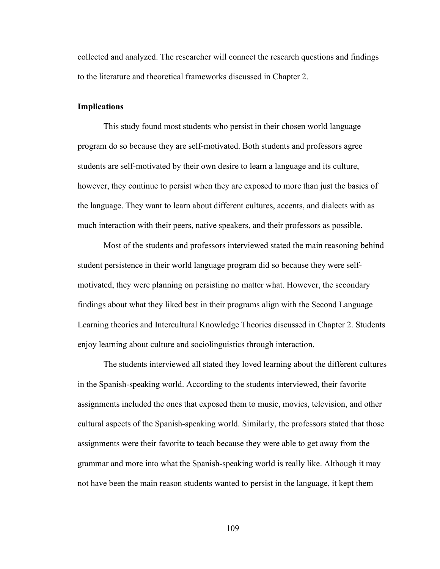collected and analyzed. The researcher will connect the research questions and findings to the literature and theoretical frameworks discussed in Chapter 2.

## Implications

 This study found most students who persist in their chosen world language program do so because they are self-motivated. Both students and professors agree students are self-motivated by their own desire to learn a language and its culture, however, they continue to persist when they are exposed to more than just the basics of the language. They want to learn about different cultures, accents, and dialects with as much interaction with their peers, native speakers, and their professors as possible.

 Most of the students and professors interviewed stated the main reasoning behind student persistence in their world language program did so because they were selfmotivated, they were planning on persisting no matter what. However, the secondary findings about what they liked best in their programs align with the Second Language Learning theories and Intercultural Knowledge Theories discussed in Chapter 2. Students enjoy learning about culture and sociolinguistics through interaction.

 The students interviewed all stated they loved learning about the different cultures in the Spanish-speaking world. According to the students interviewed, their favorite assignments included the ones that exposed them to music, movies, television, and other cultural aspects of the Spanish-speaking world. Similarly, the professors stated that those assignments were their favorite to teach because they were able to get away from the grammar and more into what the Spanish-speaking world is really like. Although it may not have been the main reason students wanted to persist in the language, it kept them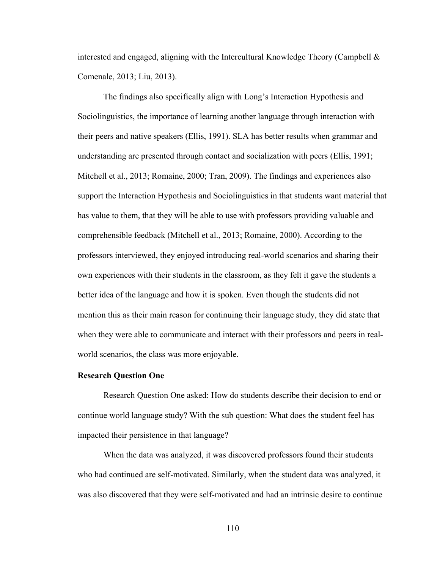interested and engaged, aligning with the Intercultural Knowledge Theory (Campbell  $\&$ Comenale, 2013; Liu, 2013).

The findings also specifically align with Long's Interaction Hypothesis and Sociolinguistics, the importance of learning another language through interaction with their peers and native speakers (Ellis, 1991). SLA has better results when grammar and understanding are presented through contact and socialization with peers (Ellis, 1991; Mitchell et al., 2013; Romaine, 2000; Tran, 2009). The findings and experiences also support the Interaction Hypothesis and Sociolinguistics in that students want material that has value to them, that they will be able to use with professors providing valuable and comprehensible feedback (Mitchell et al., 2013; Romaine, 2000). According to the professors interviewed, they enjoyed introducing real-world scenarios and sharing their own experiences with their students in the classroom, as they felt it gave the students a better idea of the language and how it is spoken. Even though the students did not mention this as their main reason for continuing their language study, they did state that when they were able to communicate and interact with their professors and peers in realworld scenarios, the class was more enjoyable.

### Research Question One

 Research Question One asked: How do students describe their decision to end or continue world language study? With the sub question: What does the student feel has impacted their persistence in that language?

 When the data was analyzed, it was discovered professors found their students who had continued are self-motivated. Similarly, when the student data was analyzed, it was also discovered that they were self-motivated and had an intrinsic desire to continue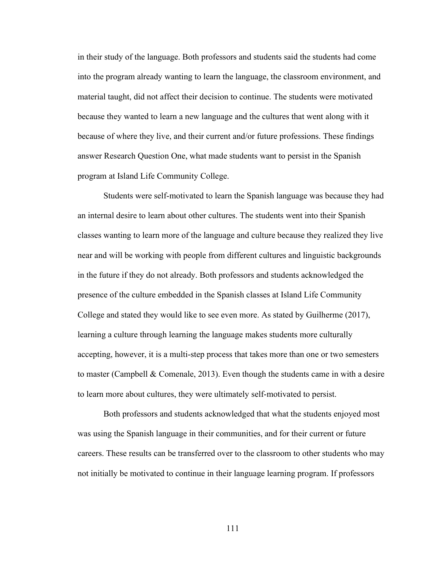in their study of the language. Both professors and students said the students had come into the program already wanting to learn the language, the classroom environment, and material taught, did not affect their decision to continue. The students were motivated because they wanted to learn a new language and the cultures that went along with it because of where they live, and their current and/or future professions. These findings answer Research Question One, what made students want to persist in the Spanish program at Island Life Community College.

 Students were self-motivated to learn the Spanish language was because they had an internal desire to learn about other cultures. The students went into their Spanish classes wanting to learn more of the language and culture because they realized they live near and will be working with people from different cultures and linguistic backgrounds in the future if they do not already. Both professors and students acknowledged the presence of the culture embedded in the Spanish classes at Island Life Community College and stated they would like to see even more. As stated by Guilherme (2017), learning a culture through learning the language makes students more culturally accepting, however, it is a multi-step process that takes more than one or two semesters to master (Campbell & Comenale, 2013). Even though the students came in with a desire to learn more about cultures, they were ultimately self-motivated to persist.

 Both professors and students acknowledged that what the students enjoyed most was using the Spanish language in their communities, and for their current or future careers. These results can be transferred over to the classroom to other students who may not initially be motivated to continue in their language learning program. If professors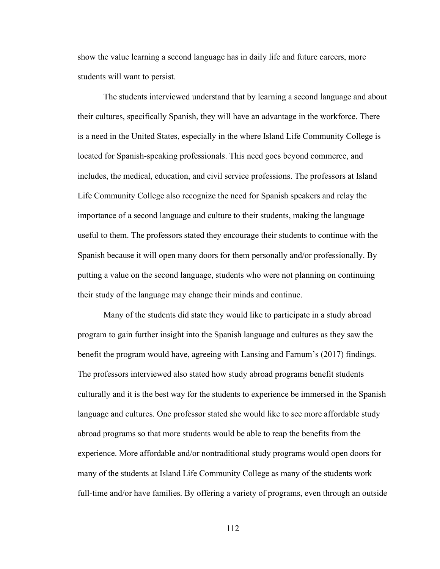show the value learning a second language has in daily life and future careers, more students will want to persist.

 The students interviewed understand that by learning a second language and about their cultures, specifically Spanish, they will have an advantage in the workforce. There is a need in the United States, especially in the where Island Life Community College is located for Spanish-speaking professionals. This need goes beyond commerce, and includes, the medical, education, and civil service professions. The professors at Island Life Community College also recognize the need for Spanish speakers and relay the importance of a second language and culture to their students, making the language useful to them. The professors stated they encourage their students to continue with the Spanish because it will open many doors for them personally and/or professionally. By putting a value on the second language, students who were not planning on continuing their study of the language may change their minds and continue.

 Many of the students did state they would like to participate in a study abroad program to gain further insight into the Spanish language and cultures as they saw the benefit the program would have, agreeing with Lansing and Farnum's (2017) findings. The professors interviewed also stated how study abroad programs benefit students culturally and it is the best way for the students to experience be immersed in the Spanish language and cultures. One professor stated she would like to see more affordable study abroad programs so that more students would be able to reap the benefits from the experience. More affordable and/or nontraditional study programs would open doors for many of the students at Island Life Community College as many of the students work full-time and/or have families. By offering a variety of programs, even through an outside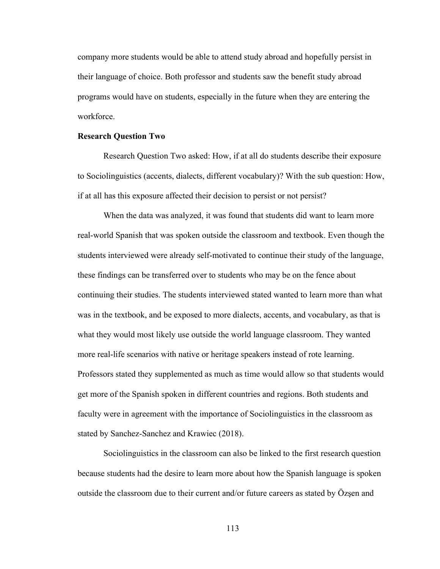company more students would be able to attend study abroad and hopefully persist in their language of choice. Both professor and students saw the benefit study abroad programs would have on students, especially in the future when they are entering the workforce.

#### Research Question Two

Research Question Two asked: How, if at all do students describe their exposure to Sociolinguistics (accents, dialects, different vocabulary)? With the sub question: How, if at all has this exposure affected their decision to persist or not persist?

 When the data was analyzed, it was found that students did want to learn more real-world Spanish that was spoken outside the classroom and textbook. Even though the students interviewed were already self-motivated to continue their study of the language, these findings can be transferred over to students who may be on the fence about continuing their studies. The students interviewed stated wanted to learn more than what was in the textbook, and be exposed to more dialects, accents, and vocabulary, as that is what they would most likely use outside the world language classroom. They wanted more real-life scenarios with native or heritage speakers instead of rote learning. Professors stated they supplemented as much as time would allow so that students would get more of the Spanish spoken in different countries and regions. Both students and faculty were in agreement with the importance of Sociolinguistics in the classroom as stated by Sanchez-Sanchez and Krawiec (2018).

 Sociolinguistics in the classroom can also be linked to the first research question because students had the desire to learn more about how the Spanish language is spoken outside the classroom due to their current and/or future careers as stated by Özşen and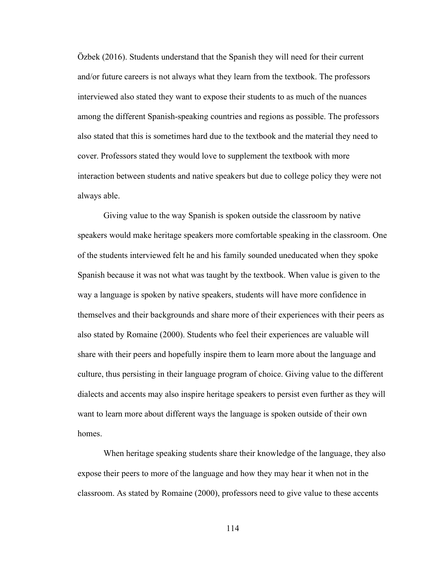Özbek (2016). Students understand that the Spanish they will need for their current and/or future careers is not always what they learn from the textbook. The professors interviewed also stated they want to expose their students to as much of the nuances among the different Spanish-speaking countries and regions as possible. The professors also stated that this is sometimes hard due to the textbook and the material they need to cover. Professors stated they would love to supplement the textbook with more interaction between students and native speakers but due to college policy they were not always able.

 Giving value to the way Spanish is spoken outside the classroom by native speakers would make heritage speakers more comfortable speaking in the classroom. One of the students interviewed felt he and his family sounded uneducated when they spoke Spanish because it was not what was taught by the textbook. When value is given to the way a language is spoken by native speakers, students will have more confidence in themselves and their backgrounds and share more of their experiences with their peers as also stated by Romaine (2000). Students who feel their experiences are valuable will share with their peers and hopefully inspire them to learn more about the language and culture, thus persisting in their language program of choice. Giving value to the different dialects and accents may also inspire heritage speakers to persist even further as they will want to learn more about different ways the language is spoken outside of their own homes.

 When heritage speaking students share their knowledge of the language, they also expose their peers to more of the language and how they may hear it when not in the classroom. As stated by Romaine (2000), professors need to give value to these accents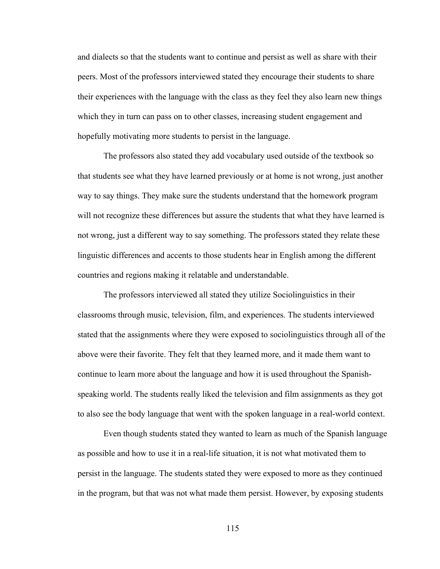and dialects so that the students want to continue and persist as well as share with their peers. Most of the professors interviewed stated they encourage their students to share their experiences with the language with the class as they feel they also learn new things which they in turn can pass on to other classes, increasing student engagement and hopefully motivating more students to persist in the language.

 The professors also stated they add vocabulary used outside of the textbook so that students see what they have learned previously or at home is not wrong, just another way to say things. They make sure the students understand that the homework program will not recognize these differences but assure the students that what they have learned is not wrong, just a different way to say something. The professors stated they relate these linguistic differences and accents to those students hear in English among the different countries and regions making it relatable and understandable.

 The professors interviewed all stated they utilize Sociolinguistics in their classrooms through music, television, film, and experiences. The students interviewed stated that the assignments where they were exposed to sociolinguistics through all of the above were their favorite. They felt that they learned more, and it made them want to continue to learn more about the language and how it is used throughout the Spanishspeaking world. The students really liked the television and film assignments as they got to also see the body language that went with the spoken language in a real-world context.

 Even though students stated they wanted to learn as much of the Spanish language as possible and how to use it in a real-life situation, it is not what motivated them to persist in the language. The students stated they were exposed to more as they continued in the program, but that was not what made them persist. However, by exposing students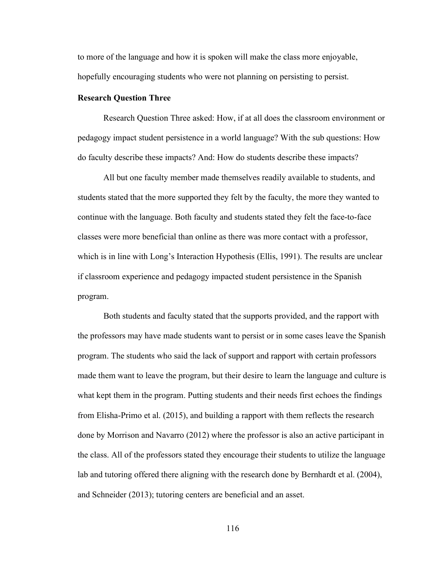to more of the language and how it is spoken will make the class more enjoyable, hopefully encouraging students who were not planning on persisting to persist.

#### Research Question Three

Research Question Three asked: How, if at all does the classroom environment or pedagogy impact student persistence in a world language? With the sub questions: How do faculty describe these impacts? And: How do students describe these impacts?

All but one faculty member made themselves readily available to students, and students stated that the more supported they felt by the faculty, the more they wanted to continue with the language. Both faculty and students stated they felt the face-to-face classes were more beneficial than online as there was more contact with a professor, which is in line with Long's Interaction Hypothesis (Ellis, 1991). The results are unclear if classroom experience and pedagogy impacted student persistence in the Spanish program.

 Both students and faculty stated that the supports provided, and the rapport with the professors may have made students want to persist or in some cases leave the Spanish program. The students who said the lack of support and rapport with certain professors made them want to leave the program, but their desire to learn the language and culture is what kept them in the program. Putting students and their needs first echoes the findings from Elisha-Primo et al. (2015), and building a rapport with them reflects the research done by Morrison and Navarro (2012) where the professor is also an active participant in the class. All of the professors stated they encourage their students to utilize the language lab and tutoring offered there aligning with the research done by Bernhardt et al. (2004), and Schneider (2013); tutoring centers are beneficial and an asset.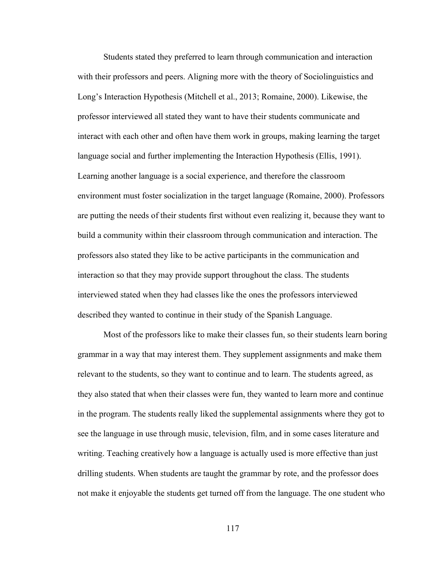Students stated they preferred to learn through communication and interaction with their professors and peers. Aligning more with the theory of Sociolinguistics and Long's Interaction Hypothesis (Mitchell et al., 2013; Romaine, 2000). Likewise, the professor interviewed all stated they want to have their students communicate and interact with each other and often have them work in groups, making learning the target language social and further implementing the Interaction Hypothesis (Ellis, 1991). Learning another language is a social experience, and therefore the classroom environment must foster socialization in the target language (Romaine, 2000). Professors are putting the needs of their students first without even realizing it, because they want to build a community within their classroom through communication and interaction. The professors also stated they like to be active participants in the communication and interaction so that they may provide support throughout the class. The students interviewed stated when they had classes like the ones the professors interviewed described they wanted to continue in their study of the Spanish Language.

 Most of the professors like to make their classes fun, so their students learn boring grammar in a way that may interest them. They supplement assignments and make them relevant to the students, so they want to continue and to learn. The students agreed, as they also stated that when their classes were fun, they wanted to learn more and continue in the program. The students really liked the supplemental assignments where they got to see the language in use through music, television, film, and in some cases literature and writing. Teaching creatively how a language is actually used is more effective than just drilling students. When students are taught the grammar by rote, and the professor does not make it enjoyable the students get turned off from the language. The one student who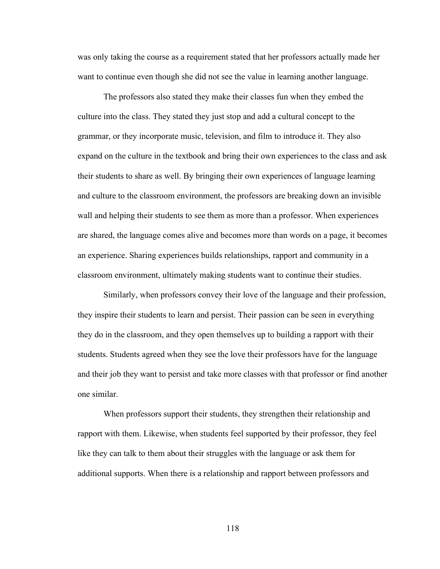was only taking the course as a requirement stated that her professors actually made her want to continue even though she did not see the value in learning another language.

 The professors also stated they make their classes fun when they embed the culture into the class. They stated they just stop and add a cultural concept to the grammar, or they incorporate music, television, and film to introduce it. They also expand on the culture in the textbook and bring their own experiences to the class and ask their students to share as well. By bringing their own experiences of language learning and culture to the classroom environment, the professors are breaking down an invisible wall and helping their students to see them as more than a professor. When experiences are shared, the language comes alive and becomes more than words on a page, it becomes an experience. Sharing experiences builds relationships, rapport and community in a classroom environment, ultimately making students want to continue their studies.

 Similarly, when professors convey their love of the language and their profession, they inspire their students to learn and persist. Their passion can be seen in everything they do in the classroom, and they open themselves up to building a rapport with their students. Students agreed when they see the love their professors have for the language and their job they want to persist and take more classes with that professor or find another one similar.

 When professors support their students, they strengthen their relationship and rapport with them. Likewise, when students feel supported by their professor, they feel like they can talk to them about their struggles with the language or ask them for additional supports. When there is a relationship and rapport between professors and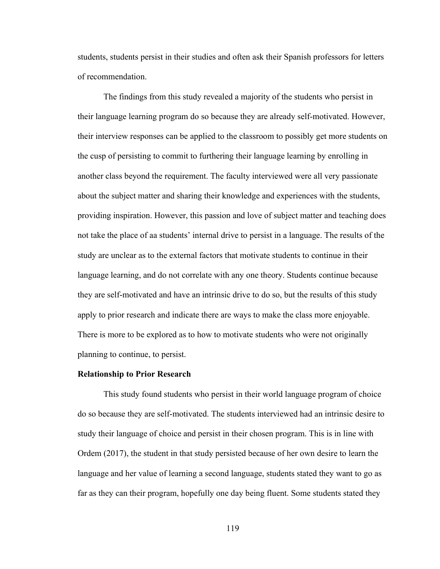students, students persist in their studies and often ask their Spanish professors for letters of recommendation.

 The findings from this study revealed a majority of the students who persist in their language learning program do so because they are already self-motivated. However, their interview responses can be applied to the classroom to possibly get more students on the cusp of persisting to commit to furthering their language learning by enrolling in another class beyond the requirement. The faculty interviewed were all very passionate about the subject matter and sharing their knowledge and experiences with the students, providing inspiration. However, this passion and love of subject matter and teaching does not take the place of aa students' internal drive to persist in a language. The results of the study are unclear as to the external factors that motivate students to continue in their language learning, and do not correlate with any one theory. Students continue because they are self-motivated and have an intrinsic drive to do so, but the results of this study apply to prior research and indicate there are ways to make the class more enjoyable. There is more to be explored as to how to motivate students who were not originally planning to continue, to persist.

#### Relationship to Prior Research

 This study found students who persist in their world language program of choice do so because they are self-motivated. The students interviewed had an intrinsic desire to study their language of choice and persist in their chosen program. This is in line with Ordem (2017), the student in that study persisted because of her own desire to learn the language and her value of learning a second language, students stated they want to go as far as they can their program, hopefully one day being fluent. Some students stated they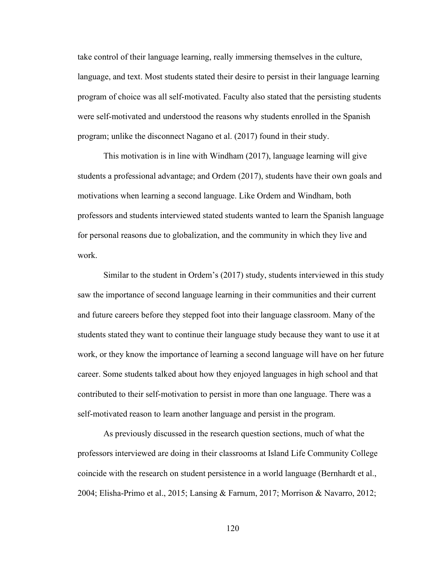take control of their language learning, really immersing themselves in the culture, language, and text. Most students stated their desire to persist in their language learning program of choice was all self-motivated. Faculty also stated that the persisting students were self-motivated and understood the reasons why students enrolled in the Spanish program; unlike the disconnect Nagano et al. (2017) found in their study.

 This motivation is in line with Windham (2017), language learning will give students a professional advantage; and Ordem (2017), students have their own goals and motivations when learning a second language. Like Ordem and Windham, both professors and students interviewed stated students wanted to learn the Spanish language for personal reasons due to globalization, and the community in which they live and work.

 Similar to the student in Ordem's (2017) study, students interviewed in this study saw the importance of second language learning in their communities and their current and future careers before they stepped foot into their language classroom. Many of the students stated they want to continue their language study because they want to use it at work, or they know the importance of learning a second language will have on her future career. Some students talked about how they enjoyed languages in high school and that contributed to their self-motivation to persist in more than one language. There was a self-motivated reason to learn another language and persist in the program.

 As previously discussed in the research question sections, much of what the professors interviewed are doing in their classrooms at Island Life Community College coincide with the research on student persistence in a world language (Bernhardt et al., 2004; Elisha-Primo et al., 2015; Lansing & Farnum, 2017; Morrison & Navarro, 2012;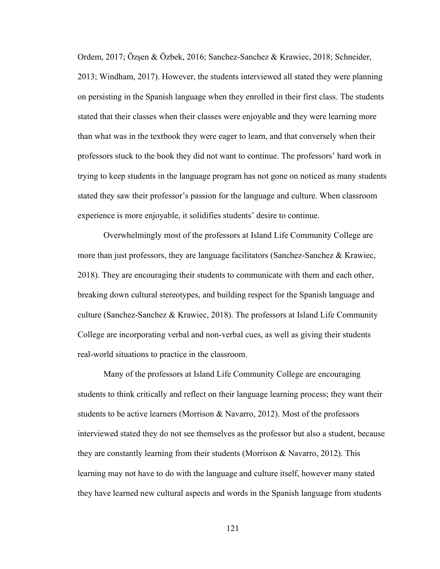Ordem, 2017; Özşen & Özbek, 2016; Sanchez-Sanchez & Krawiec, 2018; Schneider, 2013; Windham, 2017). However, the students interviewed all stated they were planning on persisting in the Spanish language when they enrolled in their first class. The students stated that their classes when their classes were enjoyable and they were learning more than what was in the textbook they were eager to learn, and that conversely when their professors stuck to the book they did not want to continue. The professors' hard work in trying to keep students in the language program has not gone on noticed as many students stated they saw their professor's passion for the language and culture. When classroom experience is more enjoyable, it solidifies students' desire to continue.

 Overwhelmingly most of the professors at Island Life Community College are more than just professors, they are language facilitators (Sanchez-Sanchez & Krawiec, 2018). They are encouraging their students to communicate with them and each other, breaking down cultural stereotypes, and building respect for the Spanish language and culture (Sanchez-Sanchez & Krawiec, 2018). The professors at Island Life Community College are incorporating verbal and non-verbal cues, as well as giving their students real-world situations to practice in the classroom.

 Many of the professors at Island Life Community College are encouraging students to think critically and reflect on their language learning process; they want their students to be active learners (Morrison & Navarro, 2012). Most of the professors interviewed stated they do not see themselves as the professor but also a student, because they are constantly learning from their students (Morrison & Navarro, 2012). This learning may not have to do with the language and culture itself, however many stated they have learned new cultural aspects and words in the Spanish language from students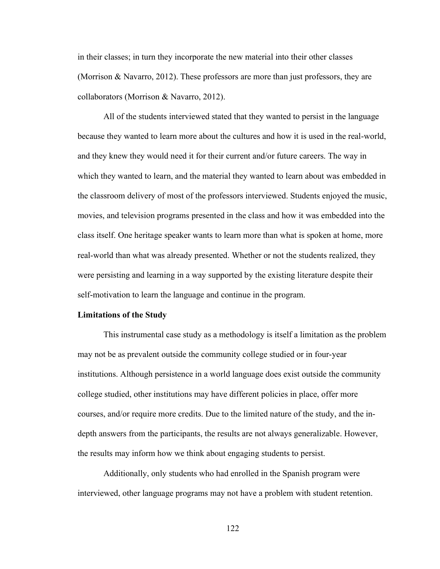in their classes; in turn they incorporate the new material into their other classes (Morrison & Navarro, 2012). These professors are more than just professors, they are collaborators (Morrison & Navarro, 2012).

 All of the students interviewed stated that they wanted to persist in the language because they wanted to learn more about the cultures and how it is used in the real-world, and they knew they would need it for their current and/or future careers. The way in which they wanted to learn, and the material they wanted to learn about was embedded in the classroom delivery of most of the professors interviewed. Students enjoyed the music, movies, and television programs presented in the class and how it was embedded into the class itself. One heritage speaker wants to learn more than what is spoken at home, more real-world than what was already presented. Whether or not the students realized, they were persisting and learning in a way supported by the existing literature despite their self-motivation to learn the language and continue in the program.

#### Limitations of the Study

 This instrumental case study as a methodology is itself a limitation as the problem may not be as prevalent outside the community college studied or in four-year institutions. Although persistence in a world language does exist outside the community college studied, other institutions may have different policies in place, offer more courses, and/or require more credits. Due to the limited nature of the study, and the indepth answers from the participants, the results are not always generalizable. However, the results may inform how we think about engaging students to persist.

 Additionally, only students who had enrolled in the Spanish program were interviewed, other language programs may not have a problem with student retention.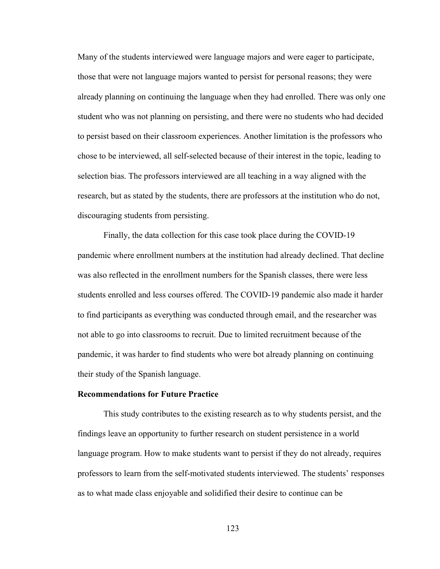Many of the students interviewed were language majors and were eager to participate, those that were not language majors wanted to persist for personal reasons; they were already planning on continuing the language when they had enrolled. There was only one student who was not planning on persisting, and there were no students who had decided to persist based on their classroom experiences. Another limitation is the professors who chose to be interviewed, all self-selected because of their interest in the topic, leading to selection bias. The professors interviewed are all teaching in a way aligned with the research, but as stated by the students, there are professors at the institution who do not, discouraging students from persisting.

 Finally, the data collection for this case took place during the COVID-19 pandemic where enrollment numbers at the institution had already declined. That decline was also reflected in the enrollment numbers for the Spanish classes, there were less students enrolled and less courses offered. The COVID-19 pandemic also made it harder to find participants as everything was conducted through email, and the researcher was not able to go into classrooms to recruit. Due to limited recruitment because of the pandemic, it was harder to find students who were bot already planning on continuing their study of the Spanish language.

### Recommendations for Future Practice

 This study contributes to the existing research as to why students persist, and the findings leave an opportunity to further research on student persistence in a world language program. How to make students want to persist if they do not already, requires professors to learn from the self-motivated students interviewed. The students' responses as to what made class enjoyable and solidified their desire to continue can be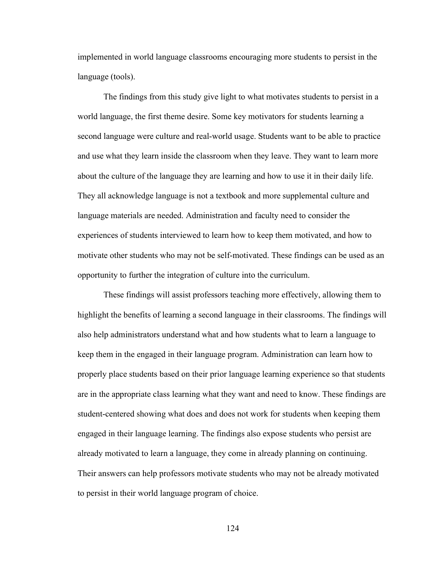implemented in world language classrooms encouraging more students to persist in the language (tools).

 The findings from this study give light to what motivates students to persist in a world language, the first theme desire. Some key motivators for students learning a second language were culture and real-world usage. Students want to be able to practice and use what they learn inside the classroom when they leave. They want to learn more about the culture of the language they are learning and how to use it in their daily life. They all acknowledge language is not a textbook and more supplemental culture and language materials are needed. Administration and faculty need to consider the experiences of students interviewed to learn how to keep them motivated, and how to motivate other students who may not be self-motivated. These findings can be used as an opportunity to further the integration of culture into the curriculum.

 These findings will assist professors teaching more effectively, allowing them to highlight the benefits of learning a second language in their classrooms. The findings will also help administrators understand what and how students what to learn a language to keep them in the engaged in their language program. Administration can learn how to properly place students based on their prior language learning experience so that students are in the appropriate class learning what they want and need to know. These findings are student-centered showing what does and does not work for students when keeping them engaged in their language learning. The findings also expose students who persist are already motivated to learn a language, they come in already planning on continuing. Their answers can help professors motivate students who may not be already motivated to persist in their world language program of choice.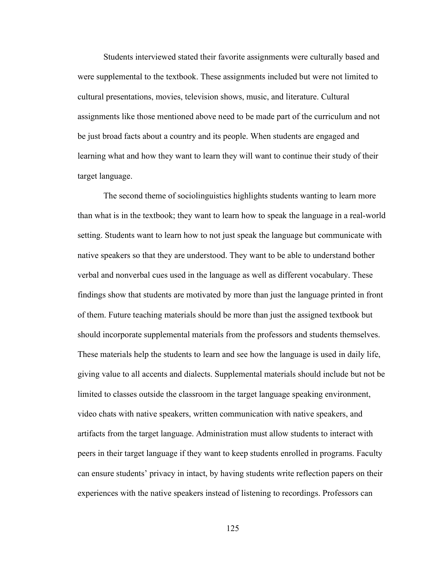Students interviewed stated their favorite assignments were culturally based and were supplemental to the textbook. These assignments included but were not limited to cultural presentations, movies, television shows, music, and literature. Cultural assignments like those mentioned above need to be made part of the curriculum and not be just broad facts about a country and its people. When students are engaged and learning what and how they want to learn they will want to continue their study of their target language.

 The second theme of sociolinguistics highlights students wanting to learn more than what is in the textbook; they want to learn how to speak the language in a real-world setting. Students want to learn how to not just speak the language but communicate with native speakers so that they are understood. They want to be able to understand bother verbal and nonverbal cues used in the language as well as different vocabulary. These findings show that students are motivated by more than just the language printed in front of them. Future teaching materials should be more than just the assigned textbook but should incorporate supplemental materials from the professors and students themselves. These materials help the students to learn and see how the language is used in daily life, giving value to all accents and dialects. Supplemental materials should include but not be limited to classes outside the classroom in the target language speaking environment, video chats with native speakers, written communication with native speakers, and artifacts from the target language. Administration must allow students to interact with peers in their target language if they want to keep students enrolled in programs. Faculty can ensure students' privacy in intact, by having students write reflection papers on their experiences with the native speakers instead of listening to recordings. Professors can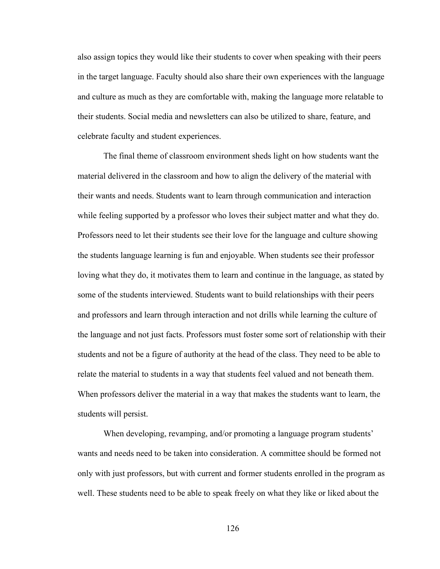also assign topics they would like their students to cover when speaking with their peers in the target language. Faculty should also share their own experiences with the language and culture as much as they are comfortable with, making the language more relatable to their students. Social media and newsletters can also be utilized to share, feature, and celebrate faculty and student experiences.

 The final theme of classroom environment sheds light on how students want the material delivered in the classroom and how to align the delivery of the material with their wants and needs. Students want to learn through communication and interaction while feeling supported by a professor who loves their subject matter and what they do. Professors need to let their students see their love for the language and culture showing the students language learning is fun and enjoyable. When students see their professor loving what they do, it motivates them to learn and continue in the language, as stated by some of the students interviewed. Students want to build relationships with their peers and professors and learn through interaction and not drills while learning the culture of the language and not just facts. Professors must foster some sort of relationship with their students and not be a figure of authority at the head of the class. They need to be able to relate the material to students in a way that students feel valued and not beneath them. When professors deliver the material in a way that makes the students want to learn, the students will persist.

 When developing, revamping, and/or promoting a language program students' wants and needs need to be taken into consideration. A committee should be formed not only with just professors, but with current and former students enrolled in the program as well. These students need to be able to speak freely on what they like or liked about the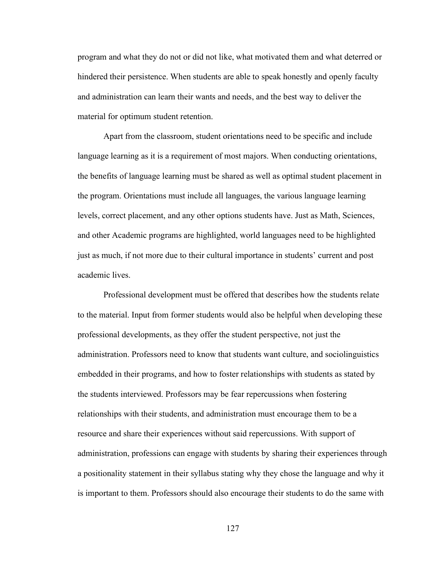program and what they do not or did not like, what motivated them and what deterred or hindered their persistence. When students are able to speak honestly and openly faculty and administration can learn their wants and needs, and the best way to deliver the material for optimum student retention.

 Apart from the classroom, student orientations need to be specific and include language learning as it is a requirement of most majors. When conducting orientations, the benefits of language learning must be shared as well as optimal student placement in the program. Orientations must include all languages, the various language learning levels, correct placement, and any other options students have. Just as Math, Sciences, and other Academic programs are highlighted, world languages need to be highlighted just as much, if not more due to their cultural importance in students' current and post academic lives.

 Professional development must be offered that describes how the students relate to the material. Input from former students would also be helpful when developing these professional developments, as they offer the student perspective, not just the administration. Professors need to know that students want culture, and sociolinguistics embedded in their programs, and how to foster relationships with students as stated by the students interviewed. Professors may be fear repercussions when fostering relationships with their students, and administration must encourage them to be a resource and share their experiences without said repercussions. With support of administration, professions can engage with students by sharing their experiences through a positionality statement in their syllabus stating why they chose the language and why it is important to them. Professors should also encourage their students to do the same with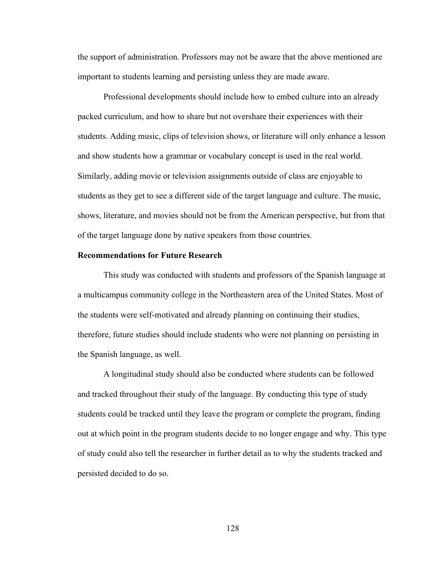the support of administration. Professors may not be aware that the above mentioned are important to students learning and persisting unless they are made aware.

 Professional developments should include how to embed culture into an already packed curriculum, and how to share but not overshare their experiences with their students. Adding music, clips of television shows, or literature will only enhance a lesson and show students how a grammar or vocabulary concept is used in the real world. Similarly, adding movie or television assignments outside of class are enjoyable to students as they get to see a different side of the target language and culture. The music, shows, literature, and movies should not be from the American perspective, but from that of the target language done by native speakers from those countries.

### Recommendations for Future Research

 This study was conducted with students and professors of the Spanish language at a multicampus community college in the Northeastern area of the United States. Most of the students were self-motivated and already planning on continuing their studies, therefore, future studies should include students who were not planning on persisting in the Spanish language, as well.

 A longitudinal study should also be conducted where students can be followed and tracked throughout their study of the language. By conducting this type of study students could be tracked until they leave the program or complete the program, finding out at which point in the program students decide to no longer engage and why. This type of study could also tell the researcher in further detail as to why the students tracked and persisted decided to do so.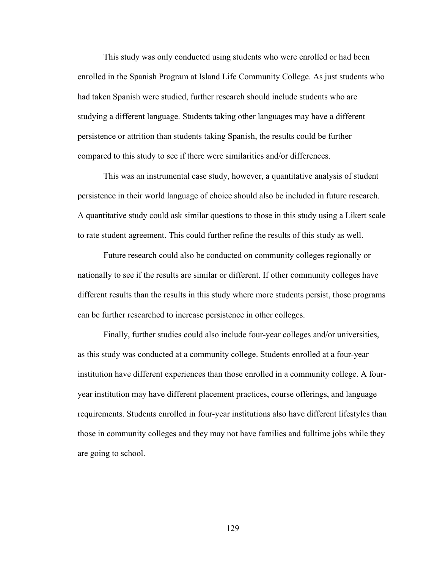This study was only conducted using students who were enrolled or had been enrolled in the Spanish Program at Island Life Community College. As just students who had taken Spanish were studied, further research should include students who are studying a different language. Students taking other languages may have a different persistence or attrition than students taking Spanish, the results could be further compared to this study to see if there were similarities and/or differences.

 This was an instrumental case study, however, a quantitative analysis of student persistence in their world language of choice should also be included in future research. A quantitative study could ask similar questions to those in this study using a Likert scale to rate student agreement. This could further refine the results of this study as well.

 Future research could also be conducted on community colleges regionally or nationally to see if the results are similar or different. If other community colleges have different results than the results in this study where more students persist, those programs can be further researched to increase persistence in other colleges.

 Finally, further studies could also include four-year colleges and/or universities, as this study was conducted at a community college. Students enrolled at a four-year institution have different experiences than those enrolled in a community college. A fouryear institution may have different placement practices, course offerings, and language requirements. Students enrolled in four-year institutions also have different lifestyles than those in community colleges and they may not have families and fulltime jobs while they are going to school.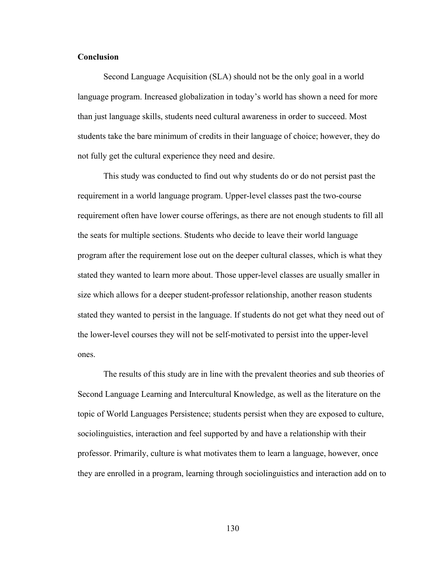# **Conclusion**

 Second Language Acquisition (SLA) should not be the only goal in a world language program. Increased globalization in today's world has shown a need for more than just language skills, students need cultural awareness in order to succeed. Most students take the bare minimum of credits in their language of choice; however, they do not fully get the cultural experience they need and desire.

 This study was conducted to find out why students do or do not persist past the requirement in a world language program. Upper-level classes past the two-course requirement often have lower course offerings, as there are not enough students to fill all the seats for multiple sections. Students who decide to leave their world language program after the requirement lose out on the deeper cultural classes, which is what they stated they wanted to learn more about. Those upper-level classes are usually smaller in size which allows for a deeper student-professor relationship, another reason students stated they wanted to persist in the language. If students do not get what they need out of the lower-level courses they will not be self-motivated to persist into the upper-level ones.

 The results of this study are in line with the prevalent theories and sub theories of Second Language Learning and Intercultural Knowledge, as well as the literature on the topic of World Languages Persistence; students persist when they are exposed to culture, sociolinguistics, interaction and feel supported by and have a relationship with their professor. Primarily, culture is what motivates them to learn a language, however, once they are enrolled in a program, learning through sociolinguistics and interaction add on to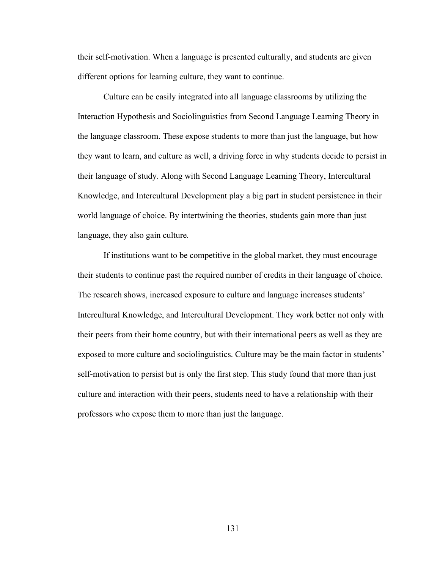their self-motivation. When a language is presented culturally, and students are given different options for learning culture, they want to continue.

 Culture can be easily integrated into all language classrooms by utilizing the Interaction Hypothesis and Sociolinguistics from Second Language Learning Theory in the language classroom. These expose students to more than just the language, but how they want to learn, and culture as well, a driving force in why students decide to persist in their language of study. Along with Second Language Learning Theory, Intercultural Knowledge, and Intercultural Development play a big part in student persistence in their world language of choice. By intertwining the theories, students gain more than just language, they also gain culture.

 If institutions want to be competitive in the global market, they must encourage their students to continue past the required number of credits in their language of choice. The research shows, increased exposure to culture and language increases students' Intercultural Knowledge, and Intercultural Development. They work better not only with their peers from their home country, but with their international peers as well as they are exposed to more culture and sociolinguistics. Culture may be the main factor in students' self-motivation to persist but is only the first step. This study found that more than just culture and interaction with their peers, students need to have a relationship with their professors who expose them to more than just the language.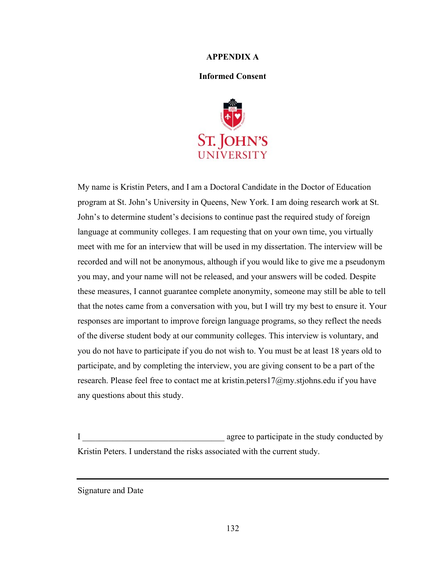### APPENDIX A

### Informed Consent



My name is Kristin Peters, and I am a Doctoral Candidate in the Doctor of Education program at St. John's University in Queens, New York. I am doing research work at St. John's to determine student's decisions to continue past the required study of foreign language at community colleges. I am requesting that on your own time, you virtually meet with me for an interview that will be used in my dissertation. The interview will be recorded and will not be anonymous, although if you would like to give me a pseudonym you may, and your name will not be released, and your answers will be coded. Despite these measures, I cannot guarantee complete anonymity, someone may still be able to tell that the notes came from a conversation with you, but I will try my best to ensure it. Your responses are important to improve foreign language programs, so they reflect the needs of the diverse student body at our community colleges. This interview is voluntary, and you do not have to participate if you do not wish to. You must be at least 18 years old to participate, and by completing the interview, you are giving consent to be a part of the research. Please feel free to contact me at kristin.peters17 $@$ my.stjohns.edu if you have any questions about this study.

I agree to participate in the study conducted by Kristin Peters. I understand the risks associated with the current study.

Signature and Date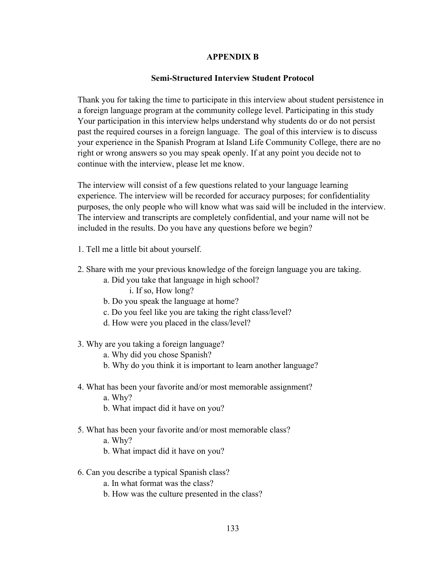## APPENDIX B

# Semi-Structured Interview Student Protocol

Thank you for taking the time to participate in this interview about student persistence in a foreign language program at the community college level. Participating in this study Your participation in this interview helps understand why students do or do not persist past the required courses in a foreign language. The goal of this interview is to discuss your experience in the Spanish Program at Island Life Community College, there are no right or wrong answers so you may speak openly. If at any point you decide not to continue with the interview, please let me know.

The interview will consist of a few questions related to your language learning experience. The interview will be recorded for accuracy purposes; for confidentiality purposes, the only people who will know what was said will be included in the interview. The interview and transcripts are completely confidential, and your name will not be included in the results. Do you have any questions before we begin?

- 1. Tell me a little bit about yourself.
- 2. Share with me your previous knowledge of the foreign language you are taking.
	- a. Did you take that language in high school? i. If so, How long?
	- b. Do you speak the language at home?
	- c. Do you feel like you are taking the right class/level?
	- d. How were you placed in the class/level?
- 3. Why are you taking a foreign language?
	- a. Why did you chose Spanish?
	- b. Why do you think it is important to learn another language?
- 4. What has been your favorite and/or most memorable assignment?
	- a. Why?
	- b. What impact did it have on you?
- 5. What has been your favorite and/or most memorable class?
	- a. Why?
	- b. What impact did it have on you?
- 6. Can you describe a typical Spanish class?

a. In what format was the class?

b. How was the culture presented in the class?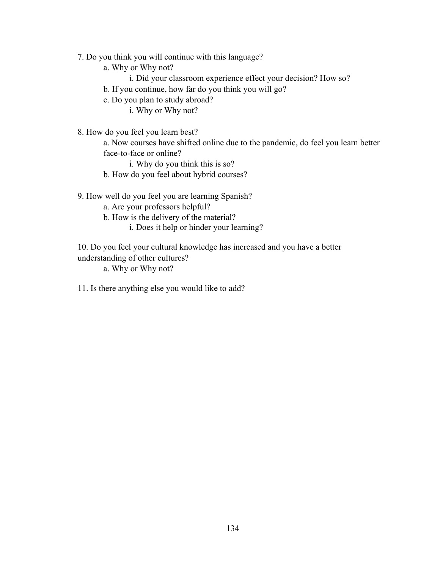7. Do you think you will continue with this language?

a. Why or Why not?

- i. Did your classroom experience effect your decision? How so?
- b. If you continue, how far do you think you will go?

c. Do you plan to study abroad?

i. Why or Why not?

8. How do you feel you learn best?

a. Now courses have shifted online due to the pandemic, do feel you learn better face-to-face or online?

i. Why do you think this is so?

b. How do you feel about hybrid courses?

9. How well do you feel you are learning Spanish?

a. Are your professors helpful?

- b. How is the delivery of the material?
	- i. Does it help or hinder your learning?

10. Do you feel your cultural knowledge has increased and you have a better understanding of other cultures?

a. Why or Why not?

11. Is there anything else you would like to add?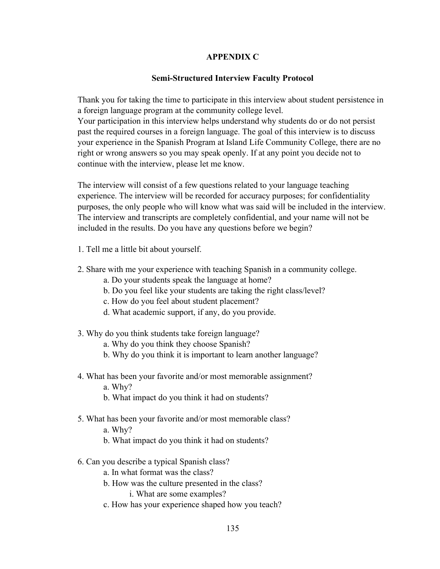# APPENDIX C

# Semi-Structured Interview Faculty Protocol

Thank you for taking the time to participate in this interview about student persistence in a foreign language program at the community college level.

Your participation in this interview helps understand why students do or do not persist past the required courses in a foreign language. The goal of this interview is to discuss your experience in the Spanish Program at Island Life Community College, there are no right or wrong answers so you may speak openly. If at any point you decide not to continue with the interview, please let me know.

The interview will consist of a few questions related to your language teaching experience. The interview will be recorded for accuracy purposes; for confidentiality purposes, the only people who will know what was said will be included in the interview. The interview and transcripts are completely confidential, and your name will not be included in the results. Do you have any questions before we begin?

- 1. Tell me a little bit about yourself.
- 2. Share with me your experience with teaching Spanish in a community college.
	- a. Do your students speak the language at home?
	- b. Do you feel like your students are taking the right class/level?
	- c. How do you feel about student placement?
	- d. What academic support, if any, do you provide.
- 3. Why do you think students take foreign language?
	- a. Why do you think they choose Spanish?
	- b. Why do you think it is important to learn another language?
- 4. What has been your favorite and/or most memorable assignment?
	- a. Why?
	- b. What impact do you think it had on students?
- 5. What has been your favorite and/or most memorable class?
	- a. Why?
	- b. What impact do you think it had on students?
- 6. Can you describe a typical Spanish class?
	- a. In what format was the class?
	- b. How was the culture presented in the class?

i. What are some examples?

c. How has your experience shaped how you teach?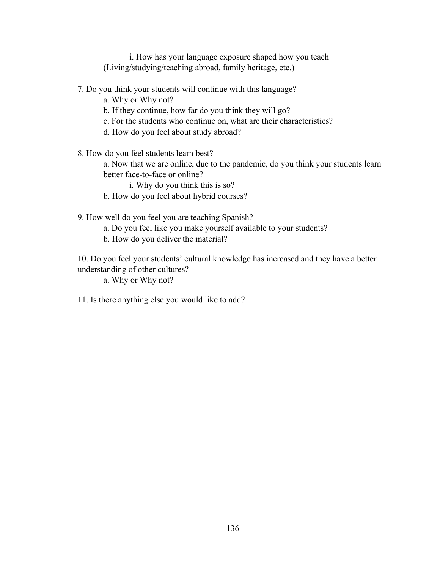i. How has your language exposure shaped how you teach (Living/studying/teaching abroad, family heritage, etc.)

- 7. Do you think your students will continue with this language?
	- a. Why or Why not?
	- b. If they continue, how far do you think they will go?
	- c. For the students who continue on, what are their characteristics?
	- d. How do you feel about study abroad?

8. How do you feel students learn best?

a. Now that we are online, due to the pandemic, do you think your students learn better face-to-face or online?

i. Why do you think this is so?

b. How do you feel about hybrid courses?

9. How well do you feel you are teaching Spanish?

- a. Do you feel like you make yourself available to your students?
- b. How do you deliver the material?

10. Do you feel your students' cultural knowledge has increased and they have a better understanding of other cultures?

a. Why or Why not?

11. Is there anything else you would like to add?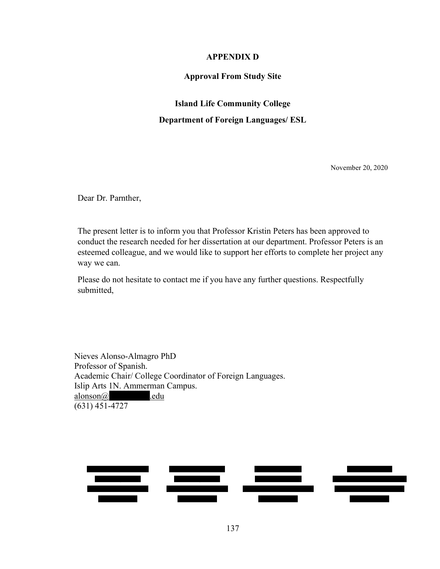### APPENDIX D

### Approval From Study Site

### Island Life Community College

#### Department of Foreign Languages/ ESL

November 20, 2020

Dear Dr. Parnther,

The present letter is to inform you that Professor Kristin Peters has been approved to conduct the research needed for her dissertation at our department. Professor Peters is an esteemed colleague, and we would like to support her efforts to complete her project any way we can.

Please do not hesitate to contact me if you have any further questions. Respectfully submitted,

Nieves Alonso-Almagro PhD Professor of Spanish. Academic Chair/ College Coordinator of Foreign Languages. Islip Arts 1N. Ammerman Campus.  $alongan(\widehat{a})$  edu  $(631)$  451-4727

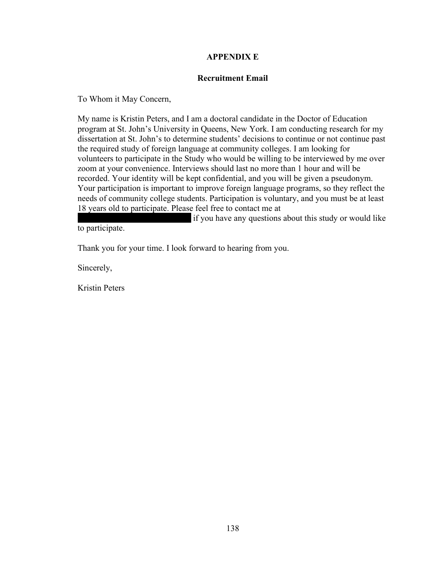# APPENDIX E

## Recruitment Email

To Whom it May Concern,

My name is Kristin Peters, and I am a doctoral candidate in the Doctor of Education program at St. John's University in Queens, New York. I am conducting research for my dissertation at St. John's to determine students' decisions to continue or not continue past the required study of foreign language at community colleges. I am looking for volunteers to participate in the Study who would be willing to be interviewed by me over zoom at your convenience. Interviews should last no more than 1 hour and will be recorded. Your identity will be kept confidential, and you will be given a pseudonym. Your participation is important to improve foreign language programs, so they reflect the needs of community college students. Participation is voluntary, and you must be at least 18 years old to participate. Please feel free to contact me at

if you have any questions about this study or would like to participate.

Thank you for your time. I look forward to hearing from you.

Sincerely,

Kristin Peters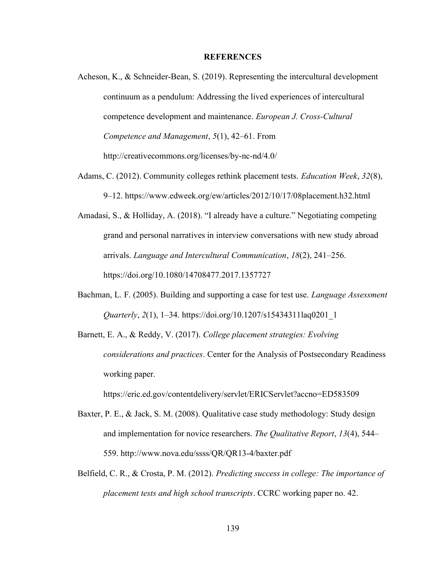#### **REFERENCES**

- Acheson, K., & Schneider-Bean, S. (2019). Representing the intercultural development continuum as a pendulum: Addressing the lived experiences of intercultural competence development and maintenance. European J. Cross-Cultural Competence and Management, 5(1), 42–61. From http://creativecommons.org/licenses/by-nc-nd/4.0/
- Adams, C. (2012). Community colleges rethink placement tests. *Education Week*, 32(8), 9–12. https://www.edweek.org/ew/articles/2012/10/17/08placement.h32.html
- Amadasi, S., & Holliday, A. (2018). "I already have a culture." Negotiating competing grand and personal narratives in interview conversations with new study abroad arrivals. Language and Intercultural Communication, 18(2), 241–256. https://doi.org/10.1080/14708477.2017.1357727
- Bachman, L. F. (2005). Building and supporting a case for test use. *Language Assessment* Quarterly, 2(1), 1–34. https://doi.org/10.1207/s15434311laq0201\_1
- Barnett, E. A., & Reddy, V. (2017). College placement strategies: Evolving considerations and practices. Center for the Analysis of Postsecondary Readiness working paper.

https://eric.ed.gov/contentdelivery/servlet/ERICServlet?accno=ED583509

- Baxter, P. E., & Jack, S. M. (2008). Qualitative case study methodology: Study design and implementation for novice researchers. The Qualitative Report, 13(4), 544– 559. http://www.nova.edu/ssss/QR/QR13-4/baxter.pdf
- Belfield, C. R., & Crosta, P. M. (2012). Predicting success in college: The importance of placement tests and high school transcripts. CCRC working paper no. 42.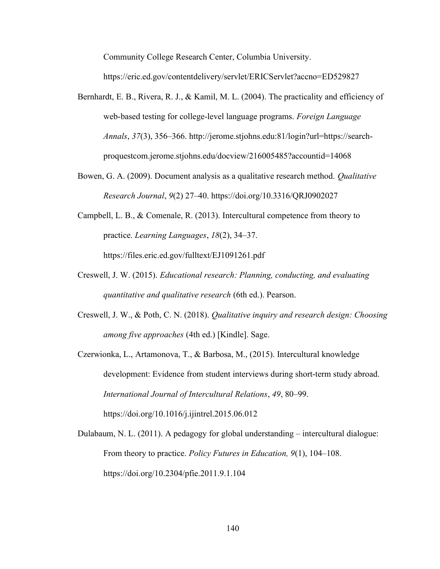Community College Research Center, Columbia University.

https://eric.ed.gov/contentdelivery/servlet/ERICServlet?accno=ED529827

- Bernhardt, E. B., Rivera, R. J., & Kamil, M. L. (2004). The practicality and efficiency of web-based testing for college-level language programs. Foreign Language Annals, 37(3), 356–366. http://jerome.stjohns.edu:81/login?url=https://searchproquestcom.jerome.stjohns.edu/docview/216005485?accountid=14068
- Bowen, G. A. (2009). Document analysis as a qualitative research method. *Qualitative* Research Journal, 9(2) 27–40. https://doi.org/10.3316/QRJ0902027
- Campbell, L. B., & Comenale, R. (2013). Intercultural competence from theory to practice. Learning Languages, 18(2), 34–37. https://files.eric.ed.gov/fulltext/EJ1091261.pdf
- Creswell, J. W. (2015). Educational research: Planning, conducting, and evaluating quantitative and qualitative research (6th ed.). Pearson.
- Creswell, J. W., & Poth, C. N. (2018). Qualitative inquiry and research design: Choosing among five approaches (4th ed.) [Kindle]. Sage.

Czerwionka, L., Artamonova, T., & Barbosa, M., (2015). Intercultural knowledge development: Evidence from student interviews during short-term study abroad. International Journal of Intercultural Relations, 49, 80–99. https://doi.org/10.1016/j.ijintrel.2015.06.012

Dulabaum, N. L. (2011). A pedagogy for global understanding – intercultural dialogue: From theory to practice. *Policy Futures in Education*, 9(1), 104–108. https://doi.org/10.2304/pfie.2011.9.1.104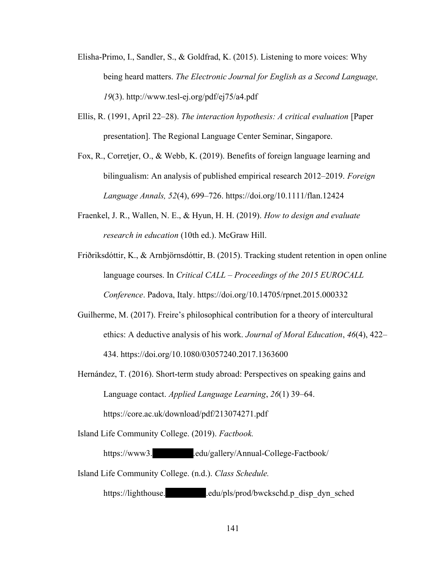- Elisha-Primo, I., Sandler, S., & Goldfrad, K. (2015). Listening to more voices: Why being heard matters. The Electronic Journal for English as a Second Language, 19(3). http://www.tesl-ej.org/pdf/ej75/a4.pdf
- Ellis, R. (1991, April 22–28). The interaction hypothesis: A critical evaluation [Paper presentation]. The Regional Language Center Seminar, Singapore.
- Fox, R., Corretjer, O., & Webb, K. (2019). Benefits of foreign language learning and bilingualism: An analysis of published empirical research 2012–2019. Foreign Language Annals, 52(4), 699–726. https://doi.org/10.1111/flan.12424
- Fraenkel, J. R., Wallen, N. E., & Hyun, H. H. (2019). How to design and evaluate research in education (10th ed.). McGraw Hill.
- Friðriksdóttir, K., & Arnbjörnsdóttir, B. (2015). Tracking student retention in open online language courses. In Critical CALL – Proceedings of the 2015 EUROCALL Conference. Padova, Italy. https://doi.org/10.14705/rpnet.2015.000332
- Guilherme, M. (2017). Freire's philosophical contribution for a theory of intercultural ethics: A deductive analysis of his work. Journal of Moral Education, 46(4), 422– 434. https://doi.org/10.1080/03057240.2017.1363600
- Hernández, T. (2016). Short-term study abroad: Perspectives on speaking gains and Language contact. Applied Language Learning, 26(1) 39–64. https://core.ac.uk/download/pdf/213074271.pdf

Island Life Community College. (2019). Factbook.

https://www3. edu/gallery/Annual-College-Factbook/

Island Life Community College. (n.d.). Class Schedule.

https://lighthouse. edu/pls/prod/bwckschd.p\_disp\_dyn\_sched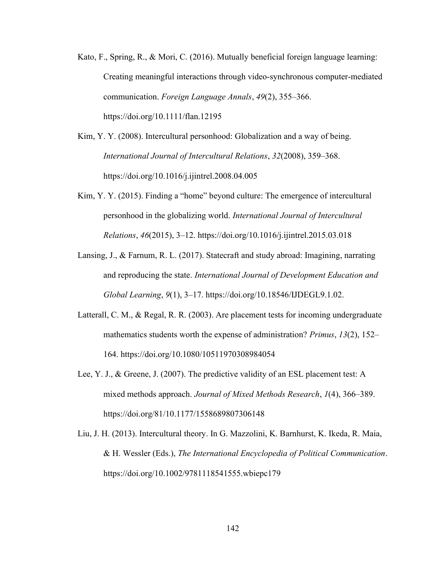- Kato, F., Spring, R., & Mori, C. (2016). Mutually beneficial foreign language learning: Creating meaningful interactions through video-synchronous computer-mediated communication. Foreign Language Annals, 49(2), 355–366. https://doi.org/10.1111/flan.12195
- Kim, Y. Y. (2008). Intercultural personhood: Globalization and a way of being. International Journal of Intercultural Relations, 32(2008), 359–368. https://doi.org/10.1016/j.ijintrel.2008.04.005
- Kim, Y. Y. (2015). Finding a "home" beyond culture: The emergence of intercultural personhood in the globalizing world. International Journal of Intercultural Relations, 46(2015), 3–12. https://doi.org/10.1016/j.ijintrel.2015.03.018
- Lansing, J., & Farnum, R. L. (2017). Statecraft and study abroad: Imagining, narrating and reproducing the state. International Journal of Development Education and Global Learning, 9(1), 3–17. https://doi.org/10.18546/IJDEGL9.1.02.
- Latterall, C. M., & Regal, R. R. (2003). Are placement tests for incoming undergraduate mathematics students worth the expense of administration? Primus, 13(2), 152– 164. https://doi.org/10.1080/10511970308984054
- Lee, Y. J., & Greene, J. (2007). The predictive validity of an ESL placement test: A mixed methods approach. Journal of Mixed Methods Research, 1(4), 366–389. https://doi.org/81/10.1177/1558689807306148
- Liu, J. H. (2013). Intercultural theory. In G. Mazzolini, K. Barnhurst, K. Ikeda, R. Maia, & H. Wessler (Eds.), The International Encyclopedia of Political Communication. https://doi.org/10.1002/9781118541555.wbiepc179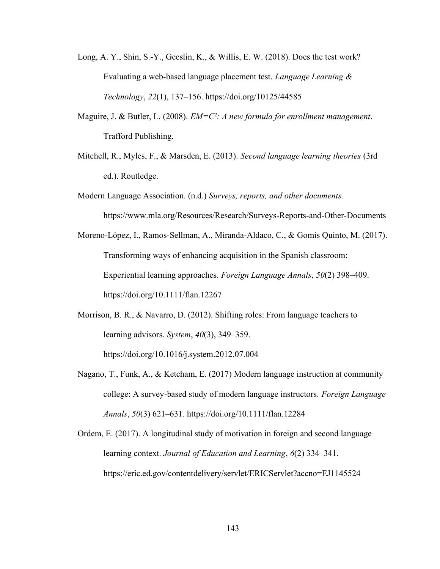- Long, A. Y., Shin, S.-Y., Geeslin, K., & Willis, E. W. (2018). Does the test work? Evaluating a web-based language placement test. Language Learning & Technology, 22(1), 137–156. https://doi.org/10125/44585
- Maguire, J. & Butler, L. (2008).  $EM=C^2$ : A new formula for enrollment management. Trafford Publishing.
- Mitchell, R., Myles, F., & Marsden, E. (2013). Second language learning theories (3rd ed.). Routledge.
- Modern Language Association. (n.d.) Surveys, reports, and other documents. https://www.mla.org/Resources/Research/Surveys-Reports-and-Other-Documents
- Moreno-López, I., Ramos-Sellman, A., Miranda-Aldaco, C., & Gomis Quinto, M. (2017). Transforming ways of enhancing acquisition in the Spanish classroom: Experiential learning approaches. Foreign Language Annals, 50(2) 398–409. https://doi.org/10.1111/flan.12267
- Morrison, B. R., & Navarro, D. (2012). Shifting roles: From language teachers to learning advisors. System, 40(3), 349–359. https://doi.org/10.1016/j.system.2012.07.004
- Nagano, T., Funk, A., & Ketcham, E. (2017) Modern language instruction at community college: A survey-based study of modern language instructors. Foreign Language Annals, 50(3) 621–631. https://doi.org/10.1111/flan.12284
- Ordem, E. (2017). A longitudinal study of motivation in foreign and second language learning context. Journal of Education and Learning, 6(2) 334–341. https://eric.ed.gov/contentdelivery/servlet/ERICServlet?accno=EJ1145524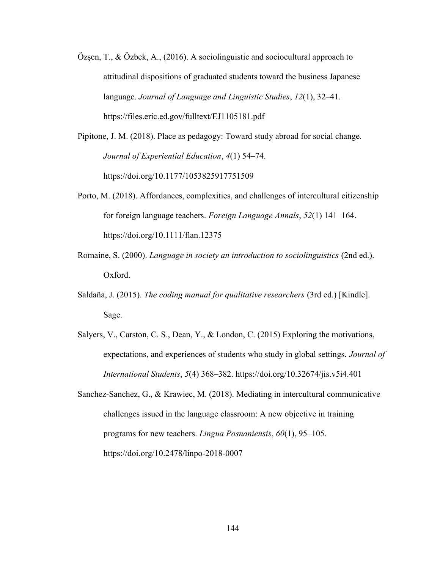- Özsen, T., & Özbek, A.,  $(2016)$ . A sociolinguistic and sociocultural approach to attitudinal dispositions of graduated students toward the business Japanese language. Journal of Language and Linguistic Studies, 12(1), 32–41. https://files.eric.ed.gov/fulltext/EJ1105181.pdf
- Pipitone, J. M. (2018). Place as pedagogy: Toward study abroad for social change. Journal of Experiential Education, 4(1) 54–74. https://doi.org/10.1177/1053825917751509
- Porto, M. (2018). Affordances, complexities, and challenges of intercultural citizenship for foreign language teachers. Foreign Language Annals, 52(1) 141–164. https://doi.org/10.1111/flan.12375
- Romaine, S. (2000). Language in society an introduction to sociolinguistics (2nd ed.). Oxford.
- Saldaña, J. (2015). The coding manual for qualitative researchers (3rd ed.) [Kindle]. Sage.
- Salyers, V., Carston, C. S., Dean, Y., & London, C. (2015) Exploring the motivations, expectations, and experiences of students who study in global settings. Journal of International Students, 5(4) 368–382. https://doi.org/10.32674/jis.v5i4.401
- Sanchez-Sanchez, G., & Krawiec, M. (2018). Mediating in intercultural communicative challenges issued in the language classroom: A new objective in training programs for new teachers. Lingua Posnaniensis, 60(1), 95–105. https://doi.org/10.2478/linpo-2018-0007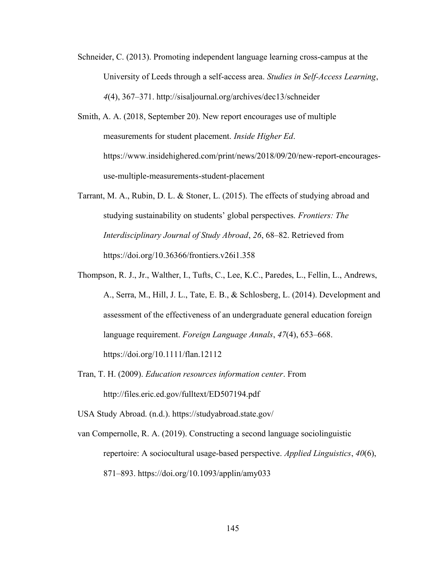- Schneider, C. (2013). Promoting independent language learning cross-campus at the University of Leeds through a self-access area. Studies in Self-Access Learning, 4(4), 367–371. http://sisaljournal.org/archives/dec13/schneider
- Smith, A. A. (2018, September 20). New report encourages use of multiple measurements for student placement. Inside Higher Ed. https://www.insidehighered.com/print/news/2018/09/20/new-report-encouragesuse-multiple-measurements-student-placement
- Tarrant, M. A., Rubin, D. L. & Stoner, L. (2015). The effects of studying abroad and studying sustainability on students' global perspectives. Frontiers: The Interdisciplinary Journal of Study Abroad, 26, 68–82. Retrieved from https://doi.org/10.36366/frontiers.v26i1.358
- Thompson, R. J., Jr., Walther, I., Tufts, C., Lee, K.C., Paredes, L., Fellin, L., Andrews, A., Serra, M., Hill, J. L., Tate, E. B., & Schlosberg, L. (2014). Development and assessment of the effectiveness of an undergraduate general education foreign language requirement. Foreign Language Annals, 47(4), 653–668. https://doi.org/10.1111/flan.12112
- Tran, T. H. (2009). Education resources information center. From http://files.eric.ed.gov/fulltext/ED507194.pdf

USA Study Abroad. (n.d.). https://studyabroad.state.gov/

van Compernolle, R. A. (2019). Constructing a second language sociolinguistic repertoire: A sociocultural usage-based perspective. Applied Linguistics, 40(6), 871–893. https://doi.org/10.1093/applin/amy033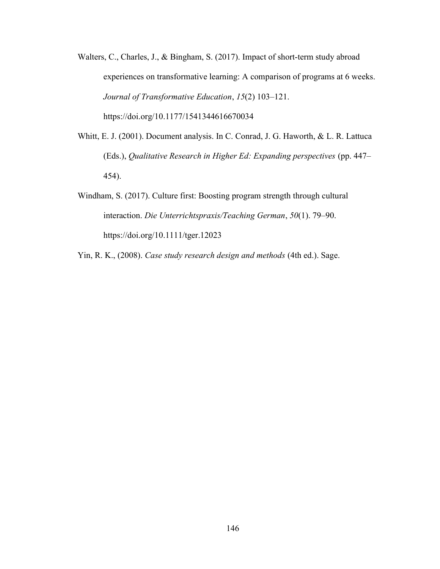- Walters, C., Charles, J., & Bingham, S. (2017). Impact of short-term study abroad experiences on transformative learning: A comparison of programs at 6 weeks. Journal of Transformative Education, 15(2) 103–121. https://doi.org/10.1177/1541344616670034
- Whitt, E. J. (2001). Document analysis. In C. Conrad, J. G. Haworth, & L. R. Lattuca (Eds.), Qualitative Research in Higher Ed: Expanding perspectives (pp. 447– 454).
- Windham, S. (2017). Culture first: Boosting program strength through cultural interaction. Die Unterrichtspraxis/Teaching German, 50(1). 79–90. https://doi.org/10.1111/tger.12023

Yin, R. K., (2008). Case study research design and methods (4th ed.). Sage.